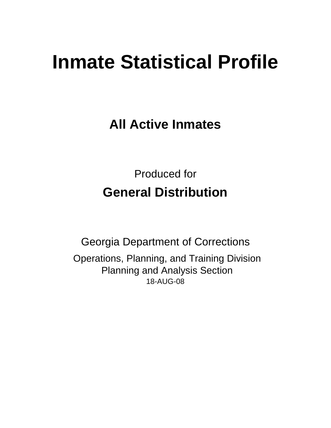# **Inmate Statistical Profile**

**All Active Inmates**

Produced for **General Distribution**

18-AUG-08 Georgia Department of Corrections Operations, Planning, and Training Division Planning and Analysis Section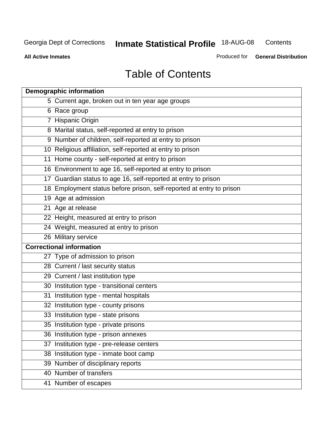**Contents** 

**All Active Inmates**

Produced for **General Distribution**

# Table of Contents

| <b>Demographic information</b>                                       |  |
|----------------------------------------------------------------------|--|
| 5 Current age, broken out in ten year age groups                     |  |
| 6 Race group                                                         |  |
| 7 Hispanic Origin                                                    |  |
| 8 Marital status, self-reported at entry to prison                   |  |
| 9 Number of children, self-reported at entry to prison               |  |
| 10 Religious affiliation, self-reported at entry to prison           |  |
| 11 Home county - self-reported at entry to prison                    |  |
| 16 Environment to age 16, self-reported at entry to prison           |  |
| 17 Guardian status to age 16, self-reported at entry to prison       |  |
| 18 Employment status before prison, self-reported at entry to prison |  |
| 19 Age at admission                                                  |  |
| 21 Age at release                                                    |  |
| 22 Height, measured at entry to prison                               |  |
| 24 Weight, measured at entry to prison                               |  |
| 26 Military service                                                  |  |
| <b>Correctional information</b>                                      |  |
| 27 Type of admission to prison                                       |  |
| 28 Current / last security status                                    |  |
| 29 Current / last institution type                                   |  |
| 30 Institution type - transitional centers                           |  |
| Institution type - mental hospitals<br>31                            |  |
| 32 Institution type - county prisons                                 |  |
| 33 Institution type - state prisons                                  |  |
| 35 Institution type - private prisons                                |  |
| 36 Institution type - prison annexes                                 |  |
| Institution type - pre-release centers<br>37                         |  |
| 38 Institution type - inmate boot camp                               |  |
| 39 Number of disciplinary reports                                    |  |
| 40 Number of transfers                                               |  |
| 41 Number of escapes                                                 |  |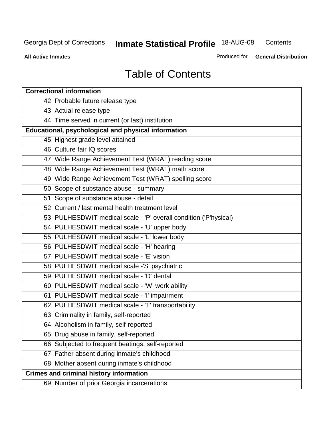**Contents** 

**All Active Inmates**

Produced for **General Distribution**

# Table of Contents

| <b>Correctional information</b>                                  |
|------------------------------------------------------------------|
| 42 Probable future release type                                  |
| 43 Actual release type                                           |
| 44 Time served in current (or last) institution                  |
| Educational, psychological and physical information              |
| 45 Highest grade level attained                                  |
| 46 Culture fair IQ scores                                        |
| 47 Wide Range Achievement Test (WRAT) reading score              |
| 48 Wide Range Achievement Test (WRAT) math score                 |
| 49 Wide Range Achievement Test (WRAT) spelling score             |
| 50 Scope of substance abuse - summary                            |
| 51 Scope of substance abuse - detail                             |
| 52 Current / last mental health treatment level                  |
| 53 PULHESDWIT medical scale - 'P' overall condition ('P'hysical) |
| 54 PULHESDWIT medical scale - 'U' upper body                     |
| 55 PULHESDWIT medical scale - 'L' lower body                     |
| 56 PULHESDWIT medical scale - 'H' hearing                        |
| 57 PULHESDWIT medical scale - 'E' vision                         |
| 58 PULHESDWIT medical scale -'S' psychiatric                     |
| 59 PULHESDWIT medical scale - 'D' dental                         |
| 60 PULHESDWIT medical scale - 'W' work ability                   |
| 61 PULHESDWIT medical scale - 'I' impairment                     |
| 62 PULHESDWIT medical scale - 'T' transportability               |
| 63 Criminality in family, self-reported                          |
| 64 Alcoholism in family, self-reported                           |
| 65 Drug abuse in family, self-reported                           |
| 66 Subjected to frequent beatings, self-reported                 |
| 67 Father absent during inmate's childhood                       |
| 68 Mother absent during inmate's childhood                       |
| <b>Crimes and criminal history information</b>                   |
| 69 Number of prior Georgia incarcerations                        |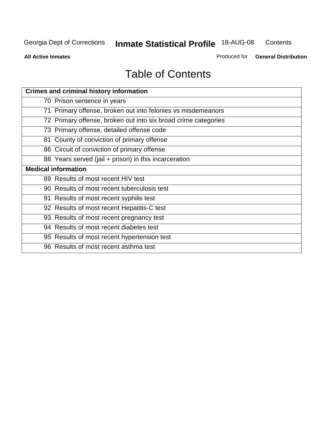**Contents** 

**All Active Inmates**

Produced for **General Distribution**

# Table of Contents

| <b>Crimes and criminal history information</b>                 |
|----------------------------------------------------------------|
| 70 Prison sentence in years                                    |
| 71 Primary offense, broken out into felonies vs misdemeanors   |
| 72 Primary offense, broken out into six broad crime categories |
| 73 Primary offense, detailed offense code                      |
| 81 County of conviction of primary offense                     |
| 86 Circuit of conviction of primary offense                    |
| 88 Years served (jail + prison) in this incarceration          |
| <b>Medical information</b>                                     |
| 89 Results of most recent HIV test                             |
| 90 Results of most recent tuberculosis test                    |
| 91 Results of most recent syphilis test                        |
| 92 Results of most recent Hepatitis-C test                     |
| 93 Results of most recent pregnancy test                       |
| 94 Results of most recent diabetes test                        |
| 95 Results of most recent hypertension test                    |
| 96 Results of most recent asthma test                          |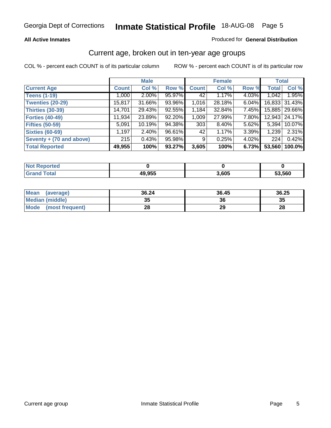#### **All Active Inmates**

#### Produced for **General Distribution**

### Current age, broken out in ten-year age groups

|                          |              | <b>Male</b> |        |              | <b>Female</b> |          | <b>Total</b> |                 |
|--------------------------|--------------|-------------|--------|--------------|---------------|----------|--------------|-----------------|
| <b>Current Age</b>       | <b>Count</b> | Col %       | Row %  | <b>Count</b> | Col %         | Row %    | <b>Total</b> | Col %           |
| <b>Teens (1-19)</b>      | 1,000        | $2.00\%$    | 95.97% | 42           | 1.17%         | 4.03%    | 1,042        | 1.95%           |
| <b>Twenties (20-29)</b>  | 15,817       | 31.66%      | 93.96% | 1,016        | 28.18%        | $6.04\%$ |              | 16,833 31.43%   |
| <b>Thirties (30-39)</b>  | 14,701       | 29.43%      | 92.55% | 1,184        | 32.84%        | $7.45\%$ |              | 15,885   29.66% |
| <b>Forties (40-49)</b>   | 11,934       | 23.89%      | 92.20% | 1,009        | 27.99%        | 7.80%    |              | 12,943   24.17% |
| <b>Fifties (50-59)</b>   | 5,091        | 10.19%      | 94.38% | 303          | $8.40\%$      | $5.62\%$ | 5,394        | 10.07%          |
| <b>Sixties (60-69)</b>   | 1,197        | $2.40\%$    | 96.61% | 42           | 1.17%         | 3.39%    | 1,239        | 2.31%           |
| Seventy + (70 and above) | 215          | 0.43%       | 95.98% | -9 I         | 0.25%         | $4.02\%$ | 224          | 0.42%           |
| <b>Total Reported</b>    | 49,955       | 100%        | 93.27% | 3,605        | 100%          | 6.73%    | 53,560       | 100.0%          |

| Not I<br>للمستقصر<br>теа |        |       |        |
|--------------------------|--------|-------|--------|
| <b>Sotal</b>             | 49,955 | 3,605 | 53,560 |

| <b>Mean</b><br>(average)       | 36.24    | 36.45 | 36.25 |
|--------------------------------|----------|-------|-------|
| Median (middle)                | 25<br>vu | 36    | 35    |
| <b>Mode</b><br>(most frequent) | 28       | 29    | 28    |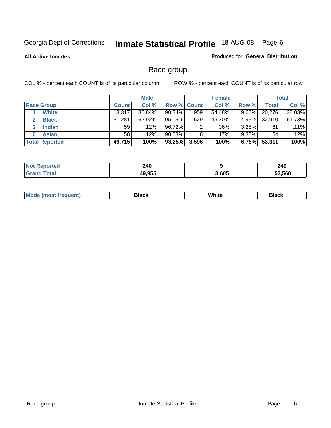**All Active Inmates**

#### Produced for **General Distribution**

### Race group

|                       |              | <b>Male</b> |                    |       | <b>Female</b> |          |        | <b>Total</b> |
|-----------------------|--------------|-------------|--------------------|-------|---------------|----------|--------|--------------|
| <b>Race Group</b>     | <b>Count</b> | Col %       | <b>Row % Count</b> |       | Col %         | Row %    | Total  | Col %        |
| <b>White</b>          | 18,317       | 36.84%      | $90.34\%$          | 1,959 | 54.48%        | 9.66%    | 20,276 | 38.03%       |
| <b>Black</b>          | 31,281       | $62.92\%$   | 95.05%             | 1,629 | 45.30%        | 4.95%    | 32,910 | 61.73%       |
| <b>Indian</b><br>3    | 59           | $.12\%$     | 96.72%             | 2     | .06%          | $3.28\%$ | 61     | $.11\%$      |
| <b>Asian</b>          | 58           | $.12\%$     | $90.63\%$          | 6     | $.17\%$       | $9.38\%$ | 64     | $.12\%$      |
| <b>Total Reported</b> | 49,715       | 100%        | 93.25%             | 3,596 | 100%          | 6.75%    | 53,311 | 100%         |

| 240<br>$\sim$ |       | 249    |
|---------------|-------|--------|
| E<br>1C       | 3,605 | 53.560 |

| ____<br>____<br>$ -$ |  | Мe | Black | White | Black |
|----------------------|--|----|-------|-------|-------|
|----------------------|--|----|-------|-------|-------|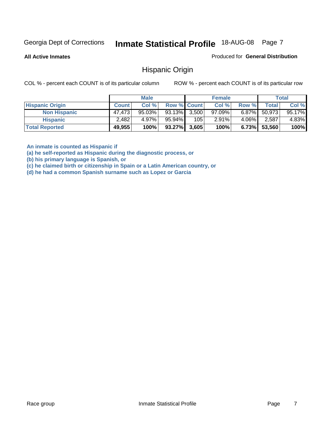**All Active Inmates**

Produced for **General Distribution**

### Hispanic Origin

COL % - percent each COUNT is of its particular column ROW % - percent each COUNT is of its particular row

|                        |              | <b>Male</b> |                    |     | <b>Female</b> |          |        | <b>Total</b> |
|------------------------|--------------|-------------|--------------------|-----|---------------|----------|--------|--------------|
| <b>Hispanic Origin</b> | <b>Count</b> | Col %       | <b>Row % Count</b> |     | Col %         | Row %    | Total  | Col %        |
| <b>Non Hispanic</b>    | 47,473       | $95.03\%$   | $93.13\%$ 3.500    |     | $97.09\%$     | $6.87\%$ | 50,973 | 95.17%       |
| <b>Hispanic</b>        | 2,482        | 4.97%       | $95.94\%$          | 105 | 2.91%         | $4.06\%$ | 2,587  | 4.83%        |
| <b>Total Reported</b>  | 49,955       | 100%        | $93.27\%$ 3,605    |     | 100%          | 6.73%    | 53,560 | 100%         |

**An inmate is counted as Hispanic if** 

**(a) he self-reported as Hispanic during the diagnostic process, or** 

**(b) his primary language is Spanish, or** 

**(c) he claimed birth or citizenship in Spain or a Latin American country, or** 

**(d) he had a common Spanish surname such as Lopez or Garcia**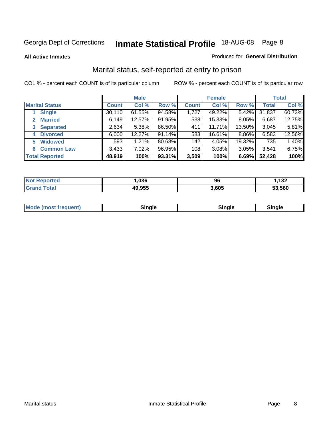**All Active Inmates**

#### Produced for **General Distribution**

### Marital status, self-reported at entry to prison

|                                    |              | <b>Male</b> |        |              | <b>Female</b> |          |              | <b>Total</b> |
|------------------------------------|--------------|-------------|--------|--------------|---------------|----------|--------------|--------------|
| <b>Marital Status</b>              | <b>Count</b> | Col %       | Row %  | <b>Count</b> | Col %         | Row %    | <b>Total</b> | Col %        |
| <b>Single</b>                      | 30,110       | 61.55%      | 94.58% | 1,727        | 49.22%        | $5.42\%$ | 31,837       | 60.73%       |
| <b>Married</b><br>$\mathbf{2}^-$   | 6,149        | 12.57%      | 91.95% | 538          | 15.33%        | 8.05%    | 6,687        | 12.75%       |
| <b>Separated</b><br>3 <sup>1</sup> | 2,634        | 5.38%       | 86.50% | 411          | 11.71%        | 13.50%   | 3,045        | 5.81%        |
| <b>Divorced</b><br>4               | 6,000        | 12.27%      | 91.14% | 583          | 16.61%        | 8.86%    | 6,583        | 12.56%       |
| <b>Widowed</b><br>5                | 593          | 1.21%       | 80.68% | 142          | 4.05%         | 19.32%   | 735          | 1.40%        |
| <b>Common Law</b><br>6.            | 3,433        | 7.02%       | 96.95% | 108          | 3.08%         | 3.05%    | 3,541        | 6.75%        |
| <b>Total Reported</b>              | 48,919       | 100%        | 93.31% | 3,509        | 100%          | 6.69%    | 52,428       | 100%         |

| 036           | 96   | 122<br>عد ا |
|---------------|------|-------------|
| 9.955<br>71 W | .605 | 53.560      |

|  | Mode (most f<br>freauent) | `ınale |  | `inale |
|--|---------------------------|--------|--|--------|
|--|---------------------------|--------|--|--------|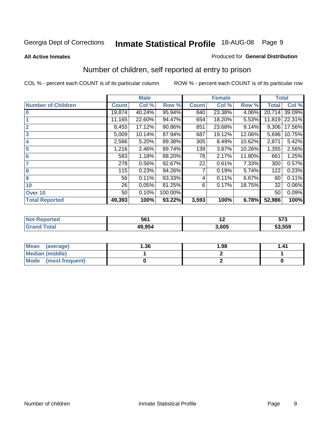#### **All Active Inmates**

#### Produced for **General Distribution**

### Number of children, self reported at entry to prison

|                           | <b>Male</b>  |        |         |              | <b>Female</b> |        | <b>Total</b> |        |
|---------------------------|--------------|--------|---------|--------------|---------------|--------|--------------|--------|
| <b>Number of Children</b> | <b>Count</b> | Col %  | Row %   | <b>Count</b> | Col %         | Row %  | <b>Total</b> | Col %  |
| $\bf{0}$                  | 19,874       | 40.24% | 95.94%  | 840          | 23.38%        | 4.06%  | 20,714       | 39.09% |
|                           | 11,165       | 22.60% | 94.47%  | 654          | 18.20%        | 5.53%  | 11,819       | 22.31% |
| $\overline{2}$            | 8,455        | 17.12% | 90.86%  | 851          | 23.68%        | 9.14%  | 9,306        | 17.56% |
| 3                         | 5,009        | 10.14% | 87.94%  | 687          | 19.12%        | 12.06% | 5,696        | 10.75% |
| 4                         | 2,566        | 5.20%  | 89.38%  | 305          | 8.49%         | 10.62% | 2,871        | 5.42%  |
| 5                         | 1,216        | 2.46%  | 89.74%  | 139          | 3.87%         | 10.26% | 1,355        | 2.56%  |
| $6\phantom{a}$            | 583          | 1.18%  | 88.20%  | 78           | 2.17%         | 11.80% | 661          | 1.25%  |
| 7                         | 278          | 0.56%  | 92.67%  | 22           | 0.61%         | 7.33%  | 300          | 0.57%  |
| 8                         | 115          | 0.23%  | 94.26%  |              | 0.19%         | 5.74%  | 122          | 0.23%  |
| 9                         | 56           | 0.11%  | 93.33%  | 4            | 0.11%         | 6.67%  | 60           | 0.11%  |
| 10                        | 26           | 0.05%  | 81.25%  | 6            | 0.17%         | 18.75% | 32           | 0.06%  |
| Over 10                   | 50           | 0.10%  | 100.00% |              |               |        | 50           | 0.09%  |
| <b>Total Reported</b>     | 49,393       | 100%   | 93.22%  | 3,593        | 100%          | 6.78%  | 52,986       | 100%   |

| 561  | . .  | $- - -$<br><u>JIJ</u><br>- - |
|------|------|------------------------------|
| ADDE | .605 | 53,559                       |

| Mean<br>(average)              | 1.36 | 1.98 | 41. ا |
|--------------------------------|------|------|-------|
| <b>Median (middle)</b>         |      |      |       |
| <b>Mode</b><br>(most frequent) |      |      |       |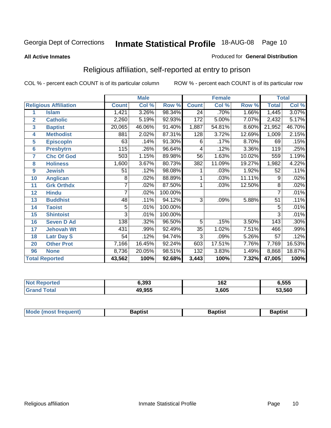#### **All Active Inmates**

#### Produced for **General Distribution**

### Religious affiliation, self-reported at entry to prison

|                  |                              |                | <b>Male</b> |         | <b>Female</b>   |        |        | <b>Total</b>    |        |
|------------------|------------------------------|----------------|-------------|---------|-----------------|--------|--------|-----------------|--------|
|                  | <b>Religious Affiliation</b> | <b>Count</b>   | Col %       | Row %   | <b>Count</b>    | Col %  | Row %  | <b>Total</b>    | Col %  |
| 1                | <b>Islam</b>                 | 1,421          | 3.26%       | 98.34%  | $\overline{24}$ | .70%   | 1.66%  | 1,445           | 3.07%  |
| $\overline{2}$   | <b>Catholic</b>              | 2,260          | 5.19%       | 92.93%  | 172             | 5.00%  | 7.07%  | 2,432           | 5.17%  |
| 3                | <b>Baptist</b>               | 20,065         | 46.06%      | 91.40%  | 1,887           | 54.81% | 8.60%  | 21,952          | 46.70% |
| 4                | <b>Methodist</b>             | 881            | 2.02%       | 87.31%  | 128             | 3.72%  | 12.69% | 1,009           | 2.15%  |
| 5                | <b>EpiscopIn</b>             | 63             | .14%        | 91.30%  | 6               | .17%   | 8.70%  | 69              | .15%   |
| 6                | <b>Presbytrn</b>             | 115            | .26%        | 96.64%  | 4               | .12%   | 3.36%  | 119             | .25%   |
| 7                | <b>Chc Of God</b>            | 503            | 1.15%       | 89.98%  | 56              | 1.63%  | 10.02% | 559             | 1.19%  |
| 8                | <b>Holiness</b>              | 1,600          | 3.67%       | 80.73%  | 382             | 11.09% | 19.27% | 1,982           | 4.22%  |
| $\boldsymbol{9}$ | <b>Jewish</b>                | 51             | .12%        | 98.08%  |                 | .03%   | 1.92%  | $\overline{52}$ | .11%   |
| 10               | <b>Anglican</b>              | 8              | .02%        | 88.89%  |                 | .03%   | 11.11% | 9               | .02%   |
| 11               | <b>Grk Orthdx</b>            |                | .02%        | 87.50%  |                 | .03%   | 12.50% | 8               | .02%   |
| 12               | <b>Hindu</b>                 | 7              | .02%        | 100.00% |                 |        |        | 7               | .01%   |
| 13               | <b>Buddhist</b>              | 48             | .11%        | 94.12%  | $\overline{3}$  | .09%   | 5.88%  | $\overline{51}$ | .11%   |
| 14               | <b>Taoist</b>                | 5              | .01%        | 100.00% |                 |        |        | 5               | .01%   |
| 15               | <b>Shintoist</b>             | $\overline{3}$ | .01%        | 100.00% |                 |        |        | 3               | .01%   |
| 16               | <b>Seven D Ad</b>            | 138            | .32%        | 96.50%  | 5               | .15%   | 3.50%  | 143             | .30%   |
| 17               | <b>Jehovah Wt</b>            | 431            | .99%        | 92.49%  | $\overline{35}$ | 1.02%  | 7.51%  | 466             | .99%   |
| 18               | <b>Latr Day S</b>            | 54             | .12%        | 94.74%  | 3               | .09%   | 5.26%  | 57              | .12%   |
| 20               | <b>Other Prot</b>            | 7,166          | 16.45%      | 92.24%  | 603             | 17.51% | 7.76%  | 7,769           | 16.53% |
| 96               | <b>None</b>                  | 8,736          | 20.05%      | 98.51%  | 132             | 3.83%  | 1.49%  | 8,868           | 18.87% |
|                  | <b>Total Reported</b>        | 43,562         | 100%        | 92.68%  | 3,443           | 100%   | 7.32%  | 47,005          | 100%   |

| 3.393  | 162   | 6,555  |
|--------|-------|--------|
| 49,955 | 3,605 | 53,560 |

|  | <b>Mode</b><br>reduent)<br>ns | ำotist | 3aptist | Baptıst |
|--|-------------------------------|--------|---------|---------|
|--|-------------------------------|--------|---------|---------|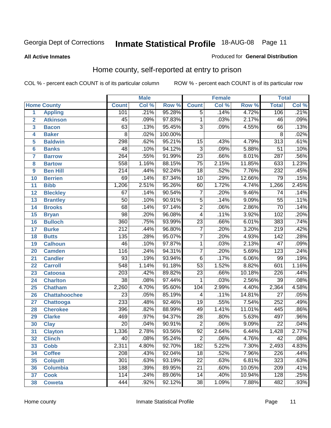#### **All Active Inmates**

#### Produced for **General Distribution**

### Home county, self-reported at entry to prison

|                 |                      |                  | <b>Male</b> |         |                 | <b>Female</b> |        | <b>Total</b>     |       |
|-----------------|----------------------|------------------|-------------|---------|-----------------|---------------|--------|------------------|-------|
|                 | <b>Home County</b>   | <b>Count</b>     | Col %       | Row %   | <b>Count</b>    | Col %         | Row %  | <b>Total</b>     | Col % |
| 1               | <b>Appling</b>       | 101              | .21%        | 95.28%  | $\overline{5}$  | .14%          | 4.72%  | 106              | .21%  |
| $\overline{2}$  | <b>Atkinson</b>      | $\overline{45}$  | .09%        | 97.83%  | 1               | .03%          | 2.17%  | 46               | .09%  |
| 3               | <b>Bacon</b>         | 63               | .13%        | 95.45%  | $\overline{3}$  | .09%          | 4.55%  | 66               | .13%  |
| 4               | <b>Baker</b>         | $\overline{8}$   | .02%        | 100.00% |                 |               |        | $\overline{8}$   | .02%  |
| 5               | <b>Baldwin</b>       | 298              | .62%        | 95.21%  | 15              | .43%          | 4.79%  | $\overline{313}$ | .61%  |
| $6\phantom{a}$  | <b>Banks</b>         | 48               | .10%        | 94.12%  | $\overline{3}$  | .09%          | 5.88%  | $\overline{51}$  | .10%  |
| $\overline{7}$  | <b>Barrow</b>        | $\overline{264}$ | .55%        | 91.99%  | $\overline{23}$ | .66%          | 8.01%  | 287              | .56%  |
| 8               | <b>Bartow</b>        | 558              | 1.16%       | 88.15%  | $\overline{75}$ | 2.15%         | 11.85% | 633              | 1.23% |
| 9               | <b>Ben Hill</b>      | $\overline{214}$ | .44%        | 92.24%  | $\overline{18}$ | .52%          | 7.76%  | 232              | .45%  |
| 10              | <b>Berrien</b>       | 69               | .14%        | 87.34%  | $\overline{10}$ | .29%          | 12.66% | $\overline{79}$  | .15%  |
| 11              | <b>Bibb</b>          | 1,206            | 2.51%       | 95.26%  | 60              | 1.72%         | 4.74%  | 1,266            | 2.45% |
| 12              | <b>Bleckley</b>      | $\overline{67}$  | .14%        | 90.54%  | $\overline{7}$  | .20%          | 9.46%  | $\overline{74}$  | .14%  |
| $\overline{13}$ | <b>Brantley</b>      | $\overline{50}$  | .10%        | 90.91%  | $\overline{5}$  | .14%          | 9.09%  | $\overline{55}$  | .11%  |
| $\overline{14}$ | <b>Brooks</b>        | $\overline{68}$  | .14%        | 97.14%  | $\overline{2}$  | .06%          | 2.86%  | $\overline{70}$  | .14%  |
| 15              | <b>Bryan</b>         | $\overline{98}$  | .20%        | 96.08%  | $\overline{4}$  | .11%          | 3.92%  | 102              | .20%  |
| 16              | <b>Bulloch</b>       | 360              | .75%        | 93.99%  | $\overline{23}$ | .66%          | 6.01%  | 383              | .74%  |
| $\overline{17}$ | <b>Burke</b>         | $\overline{212}$ | .44%        | 96.80%  | $\overline{7}$  | .20%          | 3.20%  | $\overline{219}$ | .42%  |
| 18              | <b>Butts</b>         | 135              | .28%        | 95.07%  | $\overline{7}$  | .20%          | 4.93%  | $\overline{142}$ | .28%  |
| 19              | <b>Calhoun</b>       | 46               | .10%        | 97.87%  | $\mathbf{1}$    | .03%          | 2.13%  | $\overline{47}$  | .09%  |
| 20              | <b>Camden</b>        | 116              | .24%        | 94.31%  | $\overline{7}$  | .20%          | 5.69%  | $\overline{123}$ | .24%  |
| 21              | <b>Candler</b>       | $\overline{93}$  | .19%        | 93.94%  | $\overline{6}$  | .17%          | 6.06%  | 99               | .19%  |
| $\overline{22}$ | <b>Carroll</b>       | $\overline{548}$ | 1.14%       | 91.18%  | $\overline{53}$ | 1.52%         | 8.82%  | 601              | 1.16% |
| 23              | <b>Catoosa</b>       | $\overline{203}$ | .42%        | 89.82%  | $\overline{23}$ | .66%          | 10.18% | 226              | .44%  |
| 24              | <b>Charlton</b>      | $\overline{38}$  | .08%        | 97.44%  | $\mathbf{1}$    | .03%          | 2.56%  | $\overline{39}$  | .08%  |
| 25              | <b>Chatham</b>       | 2,260            | 4.70%       | 95.60%  | 104             | 2.99%         | 4.40%  | 2,364            | 4.58% |
| 26              | <b>Chattahoochee</b> | $\overline{23}$  | .05%        | 85.19%  | 4               | .11%          | 14.81% | $\overline{27}$  | .05%  |
| 27              | <b>Chattooga</b>     | $\overline{233}$ | .48%        | 92.46%  | $\overline{19}$ | .55%          | 7.54%  | 252              | .49%  |
| 28              | <b>Cherokee</b>      | 396              | .82%        | 88.99%  | 49              | 1.41%         | 11.01% | 445              | .86%  |
| 29              | <b>Clarke</b>        | 469              | .97%        | 94.37%  | $\overline{28}$ | .80%          | 5.63%  | 497              | .96%  |
| 30              | <b>Clay</b>          | $\overline{20}$  | .04%        | 90.91%  | $\overline{2}$  | .06%          | 9.09%  | $\overline{22}$  | .04%  |
| $\overline{31}$ | <b>Clayton</b>       | 1,336            | 2.78%       | 93.56%  | $\overline{92}$ | 2.64%         | 6.44%  | 1,428            | 2.77% |
| 32              | <b>Clinch</b>        | 40               | .08%        | 95.24%  | 2               | .06%          | 4.76%  | 42               | .08%  |
| 33              | <b>Cobb</b>          | 2,311            | 4.80%       | 92.70%  | 182             | 5.22%         | 7.30%  | 2,493            | 4.83% |
| 34              | <b>Coffee</b>        | 208              | .43%        | 92.04%  | $\overline{18}$ | .52%          | 7.96%  | 226              | .44%  |
| 35              | <b>Colquitt</b>      | 301              | .63%        | 93.19%  | $\overline{22}$ | .63%          | 6.81%  | 323              | .63%  |
| 36              | <b>Columbia</b>      | 188              | .39%        | 89.95%  | $\overline{21}$ | .60%          | 10.05% | 209              | .41%  |
| 37              | <b>Cook</b>          | 114              | .24%        | 89.06%  | 14              | .40%          | 10.94% | 128              | .25%  |
| 38              | <b>Coweta</b>        | 444              | .92%        | 92.12%  | $\overline{38}$ | 1.09%         | 7.88%  | 482              | .93%  |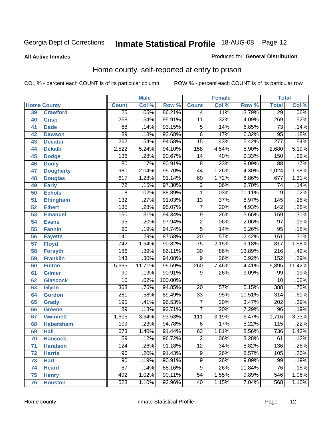#### **All Active Inmates**

#### Produced for **General Distribution**

### Home county, self-reported at entry to prison

|                 |                    |                  | <b>Male</b> |                  |                  | <b>Female</b> |        | <b>Total</b>     |         |
|-----------------|--------------------|------------------|-------------|------------------|------------------|---------------|--------|------------------|---------|
|                 | <b>Home County</b> | <b>Count</b>     | Col %       | Row <sup>%</sup> | <b>Count</b>     | Col %         | Row %  | <b>Total</b>     | Col %   |
| 39              | <b>Crawford</b>    | $\overline{25}$  | .05%        | 86.21%           | 4                | .11%          | 13.79% | $\overline{29}$  | $.06\%$ |
| 40              | <b>Crisp</b>       | 258              | .54%        | 95.91%           | $\overline{11}$  | .32%          | 4.09%  | 269              | .52%    |
| 41              | <b>Dade</b>        | 68               | .14%        | 93.15%           | 5                | .14%          | 6.85%  | 73               | .14%    |
| 42              | <b>Dawson</b>      | 89               | .18%        | 93.68%           | $\overline{6}$   | .17%          | 6.32%  | $\overline{95}$  | .18%    |
| 43              | <b>Decatur</b>     | $\overline{262}$ | .54%        | 94.58%           | $\overline{15}$  | .43%          | 5.42%  | $\overline{277}$ | .54%    |
| 44              | <b>Dekalb</b>      | 2,522            | 5.24%       | 94.10%           | $\overline{158}$ | 4.54%         | 5.90%  | 2,680            | 5.19%   |
| 45              | <b>Dodge</b>       | 136              | .28%        | 90.67%           | $\overline{14}$  | .40%          | 9.33%  | 150              | .29%    |
| 46              | <b>Dooly</b>       | $\overline{80}$  | .17%        | 90.91%           | $\overline{8}$   | .23%          | 9.09%  | $\overline{88}$  | .17%    |
| 47              | <b>Dougherty</b>   | 980              | 2.04%       | 95.70%           | $\overline{44}$  | 1.26%         | 4.30%  | 1,024            | 1.98%   |
| 48              | <b>Douglas</b>     | 617              | 1.28%       | 91.14%           | 60               | 1.72%         | 8.86%  | 677              | 1.31%   |
| 49              | <b>Early</b>       | $\overline{72}$  | .15%        | 97.30%           | $\overline{2}$   | .06%          | 2.70%  | $\overline{74}$  | .14%    |
| 50              | <b>Echols</b>      | $\overline{8}$   | .02%        | 88.89%           | $\mathbf{1}$     | .03%          | 11.11% | 9                | .02%    |
| $\overline{51}$ | <b>Effingham</b>   | $\overline{132}$ | .27%        | 91.03%           | $\overline{13}$  | .37%          | 8.97%  | 145              | .28%    |
| 52              | <b>Elbert</b>      | 135              | .28%        | 95.07%           | $\overline{7}$   | .20%          | 4.93%  | $\overline{142}$ | .28%    |
| 53              | <b>Emanuel</b>     | 150              | .31%        | 94.34%           | $\overline{9}$   | .26%          | 5.66%  | 159              | .31%    |
| 54              | <b>Evans</b>       | $\overline{95}$  | .20%        | 97.94%           | $\overline{2}$   | .06%          | 2.06%  | $\overline{97}$  | .19%    |
| 55              | <b>Fannin</b>      | $\overline{90}$  | .19%        | 94.74%           | $\overline{5}$   | .14%          | 5.26%  | $\overline{95}$  | .18%    |
| 56              | <b>Fayette</b>     | $\overline{141}$ | .29%        | 87.58%           | $\overline{20}$  | .57%          | 12.42% | 161              | .31%    |
| 57              | <b>Floyd</b>       | $\overline{742}$ | 1.54%       | 90.82%           | $\overline{75}$  | 2.15%         | 9.18%  | 817              | 1.58%   |
| 58              | <b>Forsyth</b>     | 186              | .39%        | 86.11%           | $\overline{30}$  | .86%          | 13.89% | $\overline{216}$ | .42%    |
| 59              | <b>Franklin</b>    | 143              | .30%        | 94.08%           | 9                | .26%          | 5.92%  | $\overline{152}$ | .29%    |
| 60              | <b>Fulton</b>      | 5,635            | 11.71%      | 95.59%           | 260              | 7.46%         | 4.41%  | 5,895            | 11.42%  |
| 61              | Gilmer             | 90               | .19%        | 90.91%           | 9                | .26%          | 9.09%  | 99               | .19%    |
| 62              | <b>Glascock</b>    | $\overline{10}$  | .02%        | 100.00%          |                  |               |        | $\overline{10}$  | .02%    |
| 63              | <b>Glynn</b>       | 368              | .76%        | 94.85%           | $\overline{20}$  | .57%          | 5.15%  | 388              | .75%    |
| 64              | <b>Gordon</b>      | 281              | .58%        | 89.49%           | $\overline{33}$  | .95%          | 10.51% | $\overline{314}$ | .61%    |
| 65              | <b>Grady</b>       | 195              | .41%        | 96.53%           | 7                | .20%          | 3.47%  | $\overline{202}$ | .39%    |
| 66              | <b>Greene</b>      | $\overline{89}$  | .18%        | 92.71%           | $\overline{7}$   | .20%          | 7.29%  | $\overline{96}$  | .19%    |
| 67              | <b>Gwinnett</b>    | 1,605            | 3.34%       | 93.53%           | $\overline{111}$ | 3.19%         | 6.47%  | 1,716            | 3.33%   |
| 68              | <b>Habersham</b>   | 109              | .23%        | 94.78%           | 6                | .17%          | 5.22%  | $\overline{115}$ | .22%    |
| 69              | <b>Hall</b>        | 673              | 1.40%       | 91.44%           | 63               | 1.81%         | 8.56%  | 736              | 1.43%   |
| 70              | <b>Hancock</b>     | 59               | .12%        | 96.72%           | 2                | .06%          | 3.28%  | 61               | .12%    |
| 71              | <b>Haralson</b>    | 124              | .26%        | 91.18%           | $\overline{12}$  | .34%          | 8.82%  | 136              | .26%    |
| 72              | <b>Harris</b>      | $\overline{96}$  | .20%        | 91.43%           | 9                | .26%          | 8.57%  | 105              | .20%    |
| 73              | <b>Hart</b>        | $\overline{90}$  | .19%        | 90.91%           | $\overline{9}$   | .26%          | 9.09%  | 99               | .19%    |
| 74              | <b>Heard</b>       | 67               | .14%        | 88.16%           | $\overline{9}$   | .26%          | 11.84% | 76               | .15%    |
| 75              | <b>Henry</b>       | 492              | 1.02%       | 90.11%           | $\overline{54}$  | 1.55%         | 9.89%  | 546              | 1.06%   |
| 76              | <b>Houston</b>     | 528              | 1.10%       | 92.96%           | 40               | 1.15%         | 7.04%  | 568              | 1.10%   |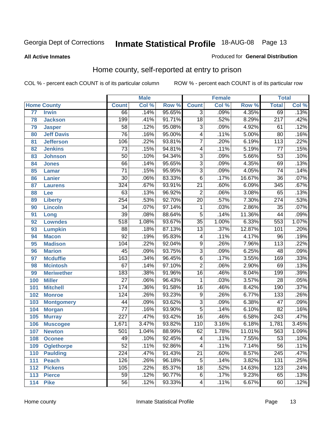#### **All Active Inmates**

#### Produced for **General Distribution**

### Home county, self-reported at entry to prison

|                 |                    |                  | <b>Male</b> |        |                 | <b>Female</b> |        | <b>Total</b>     |       |
|-----------------|--------------------|------------------|-------------|--------|-----------------|---------------|--------|------------------|-------|
|                 | <b>Home County</b> | <b>Count</b>     | Col %       | Row %  | <b>Count</b>    | Col %         | Row %  | <b>Total</b>     | Col % |
| $\overline{77}$ | <b>Irwin</b>       | 66               | .14%        | 95.65% | $\overline{3}$  | .09%          | 4.35%  | 69               | .13%  |
| 78              | <b>Jackson</b>     | 199              | .41%        | 91.71% | $\overline{18}$ | .52%          | 8.29%  | $\overline{217}$ | .42%  |
| 79              | <b>Jasper</b>      | $\overline{58}$  | .12%        | 95.08% | 3               | .09%          | 4.92%  | 61               | .12%  |
| 80              | <b>Jeff Davis</b>  | $\overline{76}$  | .16%        | 95.00% | $\overline{4}$  | .11%          | 5.00%  | $\overline{80}$  | .16%  |
| 81              | <b>Jefferson</b>   | 106              | .22%        | 93.81% | $\overline{7}$  | .20%          | 6.19%  | $\overline{113}$ | .22%  |
| 82              | <b>Jenkins</b>     | $\overline{73}$  | .15%        | 94.81% | 4               | .11%          | 5.19%  | $\overline{77}$  | .15%  |
| 83              | <b>Johnson</b>     | $\overline{50}$  | .10%        | 94.34% | $\overline{3}$  | .09%          | 5.66%  | $\overline{53}$  | .10%  |
| 84              | <b>Jones</b>       | 66               | .14%        | 95.65% | $\overline{3}$  | .09%          | 4.35%  | 69               | .13%  |
| 85              | <b>Lamar</b>       | $\overline{71}$  | .15%        | 95.95% | $\overline{3}$  | .09%          | 4.05%  | $\overline{74}$  | .14%  |
| 86              | <b>Lanier</b>      | $\overline{30}$  | .06%        | 83.33% | $\overline{6}$  | .17%          | 16.67% | $\overline{36}$  | .07%  |
| 87              | <b>Laurens</b>     | 324              | .67%        | 93.91% | $\overline{21}$ | .60%          | 6.09%  | $\overline{345}$ | .67%  |
| 88              | Lee                | $\overline{63}$  | .13%        | 96.92% | $\overline{2}$  | .06%          | 3.08%  | 65               | .13%  |
| 89              | <b>Liberty</b>     | 254              | .53%        | 92.70% | $\overline{20}$ | .57%          | 7.30%  | $\overline{274}$ | .53%  |
| 90              | <b>Lincoln</b>     | $\overline{34}$  | .07%        | 97.14% | 1               | .03%          | 2.86%  | $\overline{35}$  | .07%  |
| 91              | Long               | $\overline{39}$  | .08%        | 88.64% | $\overline{5}$  | .14%          | 11.36% | 44               | .09%  |
| 92              | <b>Lowndes</b>     | $\overline{518}$ | 1.08%       | 93.67% | $\overline{35}$ | 1.00%         | 6.33%  | 553              | 1.07% |
| 93              | <b>Lumpkin</b>     | $\overline{88}$  | .18%        | 87.13% | $\overline{13}$ | .37%          | 12.87% | 101              | .20%  |
| 94              | <b>Macon</b>       | $\overline{92}$  | .19%        | 95.83% | 4               | .11%          | 4.17%  | $\overline{96}$  | .19%  |
| 95              | <b>Madison</b>     | 104              | .22%        | 92.04% | $\overline{9}$  | .26%          | 7.96%  | $\overline{113}$ | .22%  |
| 96              | <b>Marion</b>      | $\overline{45}$  | .09%        | 93.75% | $\overline{3}$  | .09%          | 6.25%  | $\overline{48}$  | .09%  |
| 97              | <b>Mcduffie</b>    | $\overline{163}$ | .34%        | 96.45% | $\overline{6}$  | .17%          | 3.55%  | 169              | .33%  |
| 98              | <b>Mcintosh</b>    | $\overline{67}$  | .14%        | 97.10% | $\overline{2}$  | .06%          | 2.90%  | 69               | .13%  |
| 99              | <b>Meriwether</b>  | 183              | .38%        | 91.96% | $\overline{16}$ | .46%          | 8.04%  | 199              | .39%  |
| 100             | <b>Miller</b>      | $\overline{27}$  | .06%        | 96.43% | 1               | .03%          | 3.57%  | $\overline{28}$  | .05%  |
| 101             | <b>Mitchell</b>    | 174              | .36%        | 91.58% | $\overline{16}$ | .46%          | 8.42%  | 190              | .37%  |
| 102             | <b>Monroe</b>      | $\overline{124}$ | .26%        | 93.23% | $\overline{9}$  | .26%          | 6.77%  | 133              | .26%  |
| 103             | <b>Montgomery</b>  | 44               | .09%        | 93.62% | $\overline{3}$  | .09%          | 6.38%  | $\overline{47}$  | .09%  |
| 104             | <b>Morgan</b>      | $\overline{77}$  | .16%        | 93.90% | $\overline{5}$  | .14%          | 6.10%  | $\overline{82}$  | .16%  |
| 105             | <b>Murray</b>      | $\overline{227}$ | .47%        | 93.42% | $\overline{16}$ | .46%          | 6.58%  | $\overline{243}$ | .47%  |
| 106             | <b>Muscogee</b>    | 1,671            | 3.47%       | 93.82% | 110             | 3.16%         | 6.18%  | 1,781            | 3.45% |
| 107             | <b>Newton</b>      | $\overline{501}$ | 1.04%       | 88.99% | 62              | 1.78%         | 11.01% | 563              | 1.09% |
| 108             | <b>Oconee</b>      | 49               | .10%        | 92.45% | 4               | .11%          | 7.55%  | 53               | .10%  |
| 109             | <b>Oglethorpe</b>  | $\overline{52}$  | .11%        | 92.86% | 4               | .11%          | 7.14%  | $\overline{56}$  | .11%  |
| 110             | <b>Paulding</b>    | $\overline{224}$ | .47%        | 91.43% | $\overline{21}$ | .60%          | 8.57%  | $\overline{245}$ | .47%  |
| 111             | <b>Peach</b>       | 126              | .26%        | 96.18% | $\overline{5}$  | .14%          | 3.82%  | 131              | .25%  |
| 112             | <b>Pickens</b>     | 105              | .22%        | 85.37% | $\overline{18}$ | .52%          | 14.63% | 123              | .24%  |
| 113             | <b>Pierce</b>      | $\overline{59}$  | .12%        | 90.77% | $\overline{6}$  | .17%          | 9.23%  | 65               | .13%  |
| 114             | <b>Pike</b>        | $\overline{56}$  | .12%        | 93.33% | 4               | .11%          | 6.67%  | 60               | .12%  |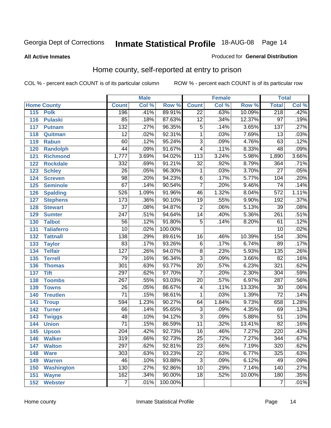#### **All Active Inmates**

#### Produced for **General Distribution**

### Home county, self-reported at entry to prison

|     |                    |                  | <b>Male</b> |         |                  | <b>Female</b> |        | <b>Total</b>     |       |
|-----|--------------------|------------------|-------------|---------|------------------|---------------|--------|------------------|-------|
|     | <b>Home County</b> | <b>Count</b>     | Col %       | Row %   | <b>Count</b>     | Col %         | Row %  | <b>Total</b>     | Col % |
| 115 | <b>Polk</b>        | 196              | .41%        | 89.91%  | $\overline{22}$  | .63%          | 10.09% | 218              | .42%  |
| 116 | <b>Pulaski</b>     | $\overline{85}$  | .18%        | 87.63%  | $\overline{12}$  | .34%          | 12.37% | $\overline{97}$  | .19%  |
| 117 | <b>Putnam</b>      | 132              | .27%        | 96.35%  | $\overline{5}$   | .14%          | 3.65%  | 137              | .27%  |
| 118 | Quitman            | $\overline{12}$  | .02%        | 92.31%  | $\mathbf{1}$     | .03%          | 7.69%  | 13               | .03%  |
| 119 | <b>Rabun</b>       | 60               | .12%        | 95.24%  | $\overline{3}$   | .09%          | 4.76%  | 63               | .12%  |
| 120 | <b>Randolph</b>    | $\overline{44}$  | .09%        | 91.67%  | $\overline{4}$   | .11%          | 8.33%  | 48               | .09%  |
| 121 | <b>Richmond</b>    | 1,777            | 3.69%       | 94.02%  | $\overline{113}$ | 3.24%         | 5.98%  | 1,890            | 3.66% |
| 122 | <b>Rockdale</b>    | 332              | .69%        | 91.21%  | $\overline{32}$  | .92%          | 8.79%  | 364              | .71%  |
| 123 | <b>Schley</b>      | $\overline{26}$  | .05%        | 96.30%  | 1                | .03%          | 3.70%  | $\overline{27}$  | .05%  |
| 124 | <b>Screven</b>     | $\overline{98}$  | .20%        | 94.23%  | 6                | .17%          | 5.77%  | 104              | .20%  |
| 125 | <b>Seminole</b>    | 67               | .14%        | 90.54%  | $\overline{7}$   | .20%          | 9.46%  | 74               | .14%  |
| 126 | <b>Spalding</b>    | 526              | 1.09%       | 91.96%  | 46               | 1.32%         | 8.04%  | 572              | 1.11% |
| 127 | <b>Stephens</b>    | $\overline{173}$ | .36%        | 90.10%  | $\overline{19}$  | .55%          | 9.90%  | 192              | .37%  |
| 128 | <b>Stewart</b>     | $\overline{37}$  | .08%        | 94.87%  | $\overline{2}$   | .06%          | 5.13%  | $\overline{39}$  | .08%  |
| 129 | <b>Sumter</b>      | $\overline{247}$ | .51%        | 94.64%  | $\overline{14}$  | .40%          | 5.36%  | $\overline{261}$ | .51%  |
| 130 | <b>Talbot</b>      | $\overline{56}$  | .12%        | 91.80%  | $\overline{5}$   | .14%          | 8.20%  | 61               | .12%  |
| 131 | <b>Taliaferro</b>  | $\overline{10}$  | .02%        | 100.00% |                  |               |        | $\overline{10}$  | .02%  |
| 132 | <b>Tattnall</b>    | $\overline{138}$ | .29%        | 89.61%  | 16               | .46%          | 10.39% | 154              | .30%  |
| 133 | <b>Taylor</b>      | 83               | .17%        | 93.26%  | $\overline{6}$   | .17%          | 6.74%  | 89               | .17%  |
| 134 | <b>Telfair</b>     | 127              | .26%        | 94.07%  | $\overline{8}$   | .23%          | 5.93%  | $\overline{135}$ | .26%  |
| 135 | <b>Terrell</b>     | $\overline{79}$  | .16%        | 96.34%  | $\overline{3}$   | .09%          | 3.66%  | 82               | .16%  |
| 136 | <b>Thomas</b>      | 301              | .63%        | 93.77%  | $\overline{20}$  | .57%          | 6.23%  | 321              | .62%  |
| 137 | <b>Tift</b>        | 297              | .62%        | 97.70%  | $\overline{7}$   | .20%          | 2.30%  | 304              | .59%  |
| 138 | <b>Toombs</b>      | $\overline{267}$ | .55%        | 93.03%  | $\overline{20}$  | .57%          | 6.97%  | 287              | .56%  |
| 139 | <b>Towns</b>       | $\overline{26}$  | .05%        | 86.67%  | 4                | .11%          | 13.33% | 30               | .06%  |
| 140 | <b>Treutlen</b>    | $\overline{71}$  | .15%        | 98.61%  | 1                | .03%          | 1.39%  | $\overline{72}$  | .14%  |
| 141 | <b>Troup</b>       | 594              | 1.23%       | 90.27%  | 64               | 1.84%         | 9.73%  | 658              | 1.28% |
| 142 | <b>Turner</b>      | 66               | .14%        | 95.65%  | $\overline{3}$   | .09%          | 4.35%  | 69               | .13%  |
| 143 | <b>Twiggs</b>      | 48               | .10%        | 94.12%  | $\overline{3}$   | .09%          | 5.88%  | 51               | .10%  |
| 144 | <b>Union</b>       | $\overline{71}$  | .15%        | 86.59%  | $\overline{11}$  | .32%          | 13.41% | $\overline{82}$  | .16%  |
| 145 | <b>Upson</b>       | $\overline{204}$ | .42%        | 92.73%  | 16               | .46%          | 7.27%  | 220              | .43%  |
| 146 | <b>Walker</b>      | $\overline{319}$ | .66%        | 92.73%  | $\overline{25}$  | .72%          | 7.27%  | 344              | .67%  |
| 147 | <b>Walton</b>      | 297              | .62%        | 92.81%  | $\overline{23}$  | .66%          | 7.19%  | 320              | .62%  |
| 148 | <b>Ware</b>        | 303              | .63%        | 93.23%  | $\overline{22}$  | .63%          | 6.77%  | 325              | .63%  |
| 149 | <b>Warren</b>      | 46               | .10%        | 93.88%  | $\overline{3}$   | .09%          | 6.12%  | 49               | .09%  |
| 150 | <b>Washington</b>  | 130              | .27%        | 92.86%  | $\overline{10}$  | .29%          | 7.14%  | 140              | .27%  |
| 151 | <b>Wayne</b>       | 162              | .34%        | 90.00%  | $\overline{18}$  | .52%          | 10.00% | 180              | .35%  |
| 152 | <b>Webster</b>     | $\overline{7}$   | .01%        | 100.00% |                  |               |        | $\overline{7}$   | .01%  |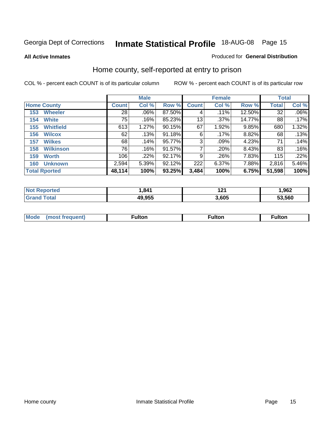#### **All Active Inmates**

#### Produced for **General Distribution**

### Home county, self-reported at entry to prison

|                    |                      | <b>Male</b>     |       |           |              | <b>Female</b> | <b>Total</b> |              |         |
|--------------------|----------------------|-----------------|-------|-----------|--------------|---------------|--------------|--------------|---------|
| <b>Home County</b> |                      | <b>Count</b>    | Col % | Row %     | <b>Count</b> | Col %         | Row %        | <b>Total</b> | Col %   |
| 153                | <b>Wheeler</b>       | $\overline{28}$ | .06%  | 87.50%    | 4            | .11%          | 12.50%       | 32           | $.06\%$ |
| 154                | <b>White</b>         | 75              | .16%  | 85.23%    | 13           | $.37\%$       | 14.77%       | 88           | .17%    |
| 155                | <b>Whitfield</b>     | 613             | 1.27% | $90.15\%$ | 67           | 1.92%         | 9.85%        | 680          | 1.32%   |
| 156                | <b>Wilcox</b>        | 62              | .13%  | 91.18%    | 6            | .17%          | 8.82%        | 68           | .13%    |
| 157                | <b>Wilkes</b>        | 68              | .14%  | 95.77%    | 3            | .09%          | 4.23%        | 71           | .14%    |
| 158                | <b>Wilkinson</b>     | 76              | .16%  | 91.57%    | 7            | .20%          | 8.43%        | 83           | .16%    |
| 159                | <b>Worth</b>         | 106             | .22%  | 92.17%    | 9            | .26%          | 7.83%        | 115          | .22%    |
| 160                | <b>Unknown</b>       | 2,594           | 5.39% | 92.12%    | 222          | 6.37%         | 7.88%        | 2,816        | 5.46%   |
|                    | <b>Total Rported</b> | 48,114          | 100%  | 93.25%    | 3,484        | 100%          | 6.75%        | 51,598       | 100%    |

| rted<br>NO1 | ,841   | 4. 9. 4<br>. . | ,962   |
|-------------|--------|----------------|--------|
| `otal       | 49.955 | .605           | 53.560 |

| <b>Mode</b> | مرمية الرار | ™ulton | uiton |
|-------------|-------------|--------|-------|
|             |             |        |       |
|             |             |        |       |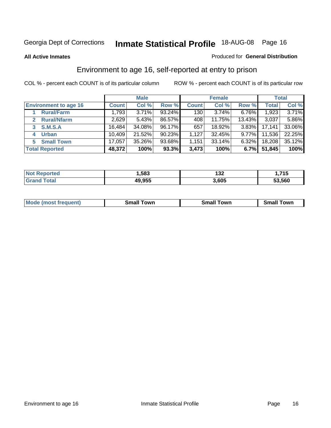#### **All Active Inmates**

#### Produced for **General Distribution**

### Environment to age 16, self-reported at entry to prison

|                                      | <b>Male</b>  |          |        | <b>Female</b> |        |          | <b>Total</b> |        |
|--------------------------------------|--------------|----------|--------|---------------|--------|----------|--------------|--------|
| <b>Environment to age 16</b>         | <b>Count</b> | Col %    | Row %  | <b>Count</b>  | Col %  | Row %    | <b>Total</b> | Col %  |
| <b>Rural/Farm</b>                    | 1,793        | $3.71\%$ | 93.24% | 130           | 3.74%  | 6.76%    | 1,923        | 3.71%  |
| <b>Rural/Nfarm</b><br>$\overline{2}$ | 2,629        | 5.43%    | 86.57% | 408           | 11.75% | 13.43%   | 3,037        | 5.86%  |
| <b>S.M.S.A</b><br>$3 -$              | 16,484       | 34.08%   | 96.17% | 657           | 18.92% | $3.83\%$ | 17,141       | 33.06% |
| <b>Urban</b><br>4                    | 10,409       | 21.52%   | 90.23% | .127          | 32.45% | $9.77\%$ | 11,536       | 22.25% |
| <b>Small Town</b><br>5               | 17,057       | 35.26%   | 93.68% | 1,151         | 33.14% | $6.32\%$ | 18,208       | 35.12% |
| <b>Total Reported</b>                | 48,372       | 100%     | 93.3%  | 3,473         | 100%   | 6.7%     | 51,845       | 100%   |

| <b>Not Reported</b> | l,583  | 12c<br>ے د ا | 715، ا |
|---------------------|--------|--------------|--------|
| <b>Grand Total</b>  | 49,955 | 3,605        | 53,560 |

| <b>Mode</b><br>⊺own<br><b>Small</b><br>(most frequent)<br><b>TOWL</b><br>owr<br>Small<br>.sr<br>וורי |  |  |
|------------------------------------------------------------------------------------------------------|--|--|
|                                                                                                      |  |  |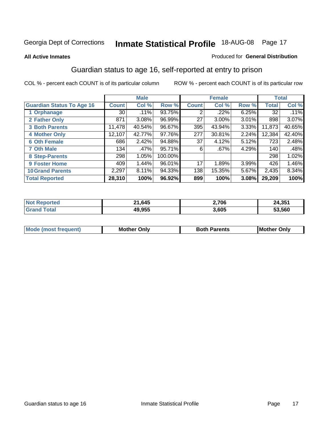#### **All Active Inmates**

#### Produced for **General Distribution**

### Guardian status to age 16, self-reported at entry to prison

|                                  |              | <b>Male</b> |         |              | <b>Female</b> |       |              | <b>Total</b> |
|----------------------------------|--------------|-------------|---------|--------------|---------------|-------|--------------|--------------|
| <b>Guardian Status To Age 16</b> | <b>Count</b> | Col %       | Row %   | <b>Count</b> | Col %         | Row % | <b>Total</b> | Col %        |
| 1 Orphanage                      | 30           | .11%        | 93.75%  | 2            | .22%          | 6.25% | 32           | .11%         |
| 2 Father Only                    | 871          | 3.08%       | 96.99%  | 27           | $3.00\%$      | 3.01% | 898          | 3.07%        |
| <b>3 Both Parents</b>            | 11,478       | 40.54%      | 96.67%  | 395          | 43.94%        | 3.33% | 11,873       | 40.65%       |
| <b>4 Mother Only</b>             | 12,107       | 42.77%      | 97.76%  | 277          | 30.81%        | 2.24% | 12,384       | 42.40%       |
| <b>6 Oth Female</b>              | 686          | 2.42%       | 94.88%  | 37           | 4.12%         | 5.12% | 723          | 2.48%        |
| <b>7 Oth Male</b>                | 134          | .47%        | 95.71%  | 6            | .67%          | 4.29% | 140          | .48%         |
| 8 Step-Parents                   | 298          | 1.05%       | 100.00% |              |               |       | 298          | 1.02%        |
| 9 Foster Home                    | 409          | 1.44%       | 96.01%  | 17           | 1.89%         | 3.99% | 426          | 1.46%        |
| <b>10 Grand Parents</b>          | 2,297        | 8.11%       | 94.33%  | 138          | 15.35%        | 5.67% | 2,435        | $8.34\%$     |
| <b>Total Reported</b>            | 28,310       | 100%        | 96.92%  | 899          | 100%          | 3.08% | 29,209       | 100%         |

| NG | 1,645<br>ົ       | 2,706 | 4,351<br>24 |
|----|------------------|-------|-------------|
| Gr | 10 Q55<br>3.33.T | 3,605 | 53.560      |

| Mode | Onlv<br>Mot | <b>Roth</b><br>Parents | <b>IMot</b><br>Onlv<br>∵hei |
|------|-------------|------------------------|-----------------------------|
|      |             |                        |                             |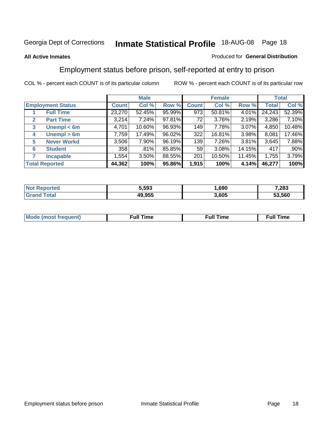#### **All Active Inmates**

#### Produced for **General Distribution**

### Employment status before prison, self-reported at entry to prison

|                                  |              | <b>Male</b> |        |              | <b>Female</b> |        |        | <b>Total</b> |
|----------------------------------|--------------|-------------|--------|--------------|---------------|--------|--------|--------------|
| <b>Employment Status</b>         | <b>Count</b> | Col %       | Row %  | <b>Count</b> | Col %         | Row %  | Total  | Col %        |
| <b>Full Time</b>                 | 23,270       | 52.45%      | 95.99% | 973          | 50.81%        | 4.01%  | 24,243 | 52.39%       |
| <b>Part Time</b><br>$\mathbf{2}$ | 3,214        | 7.24%       | 97.81% | 72           | 3.76%         | 2.19%  | 3,286  | 7.10%        |
| Unempl $<$ 6m<br>3               | 4,701        | 10.60%      | 96.93% | 149          | 7.78%         | 3.07%  | 4,850  | 10.48%       |
| Unempl > 6m<br>4                 | 7,759        | 17.49%      | 96.02% | 322          | 16.81%        | 3.98%  | 8,081  | 17.46%       |
| <b>Never Workd</b><br>5          | 3,506        | 7.90%       | 96.19% | 139          | 7.26%         | 3.81%  | 3,645  | 7.88%        |
| <b>Student</b><br>6              | 358          | .81%        | 85.85% | 59           | $3.08\%$      | 14.15% | 417    | $.90\%$      |
| 7<br><b>Incapable</b>            | 1,554        | 3.50%       | 88.55% | 201          | 10.50%        | 11.45% | 1,755  | 3.79%        |
| <b>Total Reported</b>            | 44,362       | 100%        | 95.86% | 1,915        | 100%          | 4.14%  | 46,277 | 100%         |

| 5,593       | .690  | ,283   |
|-------------|-------|--------|
| 10 Q55<br>. | 3.605 | 53.560 |

| Mo | 'me<br>uн<br>the contract of the contract of the contract of the contract of the contract of the contract of the contract of the contract of the contract of the contract of the contract of the contract of the contract of the contract o | ïme<br>uı.<br>the contract of the contract of the contract of the contract of the contract of the contract of the contract of the contract of the contract of the contract of the contract of the contract of the contract of the contract o |
|----|---------------------------------------------------------------------------------------------------------------------------------------------------------------------------------------------------------------------------------------------|----------------------------------------------------------------------------------------------------------------------------------------------------------------------------------------------------------------------------------------------|
|    |                                                                                                                                                                                                                                             |                                                                                                                                                                                                                                              |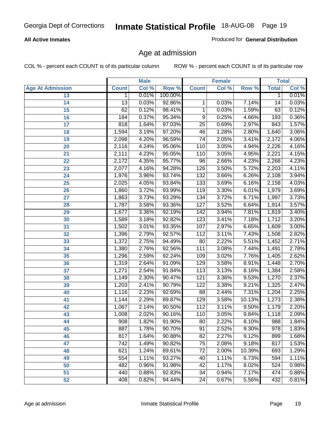#### **All Active Inmates**

Produced for **General Distribution**

### Age at admission

|                         |              | <b>Male</b> |           |                  | <b>Female</b> |        |                  | <b>Total</b> |
|-------------------------|--------------|-------------|-----------|------------------|---------------|--------|------------------|--------------|
| <b>Age At Admission</b> | <b>Count</b> | Col %       | Row %     | <b>Count</b>     | Col %         | Row %  | <b>Total</b>     | Col %        |
| 13                      | 1            | 0.01%       | 100.00%   |                  |               |        | 1                | 0.01%        |
| 14                      | 13           | 0.03%       | 92.86%    | 1                | 0.03%         | 7.14%  | 14               | 0.03%        |
| $\overline{15}$         | 62           | 0.12%       | 98.41%    | 1                | 0.03%         | 1.59%  | 63               | 0.12%        |
| 16                      | 184          | 0.37%       | 95.34%    | 9                | 0.25%         | 4.66%  | 193              | 0.36%        |
| $\overline{17}$         | 818          | 1.64%       | 97.03%    | $\overline{25}$  | 0.69%         | 2.97%  | 843              | 1.57%        |
| 18                      | 1,594        | 3.19%       | 97.20%    | 46               | 1.28%         | 2.80%  | 1,640            | 3.06%        |
| 19                      | 2,098        | 4.20%       | 96.59%    | $\overline{74}$  | 2.05%         | 3.41%  | 2,172            | 4.06%        |
| 20                      | 2,116        | 4.24%       | 95.06%    | 110              | 3.05%         | 4.94%  | 2,226            | 4.16%        |
| 21                      | 2,111        | 4.23%       | 95.05%    | 110              | 3.05%         | 4.95%  | 2,221            | 4.15%        |
| 22                      | 2,172        | 4.35%       | 95.77%    | 96               | 2.66%         | 4.23%  | 2,268            | 4.23%        |
| 23                      | 2,077        | 4.16%       | 94.28%    | 126              | 3.50%         | 5.72%  | 2,203            | 4.11%        |
| 24                      | 1,976        | 3.96%       | 93.74%    | 132              | 3.66%         | 6.26%  | 2,108            | 3.94%        |
| $\overline{25}$         | 2,025        | 4.05%       | 93.84%    | $\overline{133}$ | 3.69%         | 6.16%  | 2,158            | 4.03%        |
| 26                      | 1,860        | 3.72%       | 93.99%    | 119              | 3.30%         | 6.01%  | 1,979            | 3.69%        |
| 27                      | 1,863        | 3.73%       | 93.29%    | 134              | 3.72%         | 6.71%  | 1,997            | 3.73%        |
| 28                      | 1,787        | 3.58%       | 93.36%    | 127              | 3.52%         | 6.64%  | 1,914            | 3.57%        |
| 29                      | 1,677        | 3.36%       | 92.19%    | $\overline{142}$ | 3.94%         | 7.81%  | 1,819            | 3.40%        |
| 30                      | 1,589        | 3.18%       | 92.82%    | 123              | 3.41%         | 7.18%  | 1,712            | 3.20%        |
| 31                      | 1,502        | 3.01%       | 93.35%    | 107              | 2.97%         | 6.65%  | 1,609            | 3.00%        |
| 32                      | 1,396        | 2.79%       | 92.57%    | 112              | 3.11%         | 7.43%  | 1,508            | 2.82%        |
| 33                      | 1,372        | 2.75%       | 94.49%    | $\overline{80}$  | 2.22%         | 5.51%  | 1,452            | 2.71%        |
| 34                      | 1,380        | 2.76%       | 92.56%    | 111              | 3.08%         | 7.44%  | 1,491            | 2.78%        |
| 35                      | 1,296        | 2.59%       | 92.24%    | 109              | 3.02%         | 7.76%  | 1,405            | 2.62%        |
| 36                      | 1,319        | 2.64%       | 91.09%    | 129              | 3.58%         | 8.91%  | 1,448            | 2.70%        |
| 37                      | 1,271        | 2.54%       | 91.84%    | 113              | 3.13%         | 8.16%  | 1,384            | 2.58%        |
| 38                      | 1,149        | 2.30%       | 90.47%    | 121              | 3.36%         | 9.53%  | 1,270            | 2.37%        |
| 39                      | 1,203        | 2.41%       | 90.79%    | 122              | 3.38%         | 9.21%  | 1,325            | 2.47%        |
| 40                      | 1,116        | 2.23%       | 92.69%    | 88               | 2.44%         | 7.31%  | 1,204            | 2.25%        |
| 41                      | 1,144        | 2.29%       | 89.87%    | 129              | 3.58%         | 10.13% | 1,273            | 2.38%        |
| 42                      | 1,067        | 2.14%       | 90.50%    | 112              | 3.11%         | 9.50%  | 1,179            | 2.20%        |
| 43                      | 1,008        | 2.02%       | 90.16%    | 110              | 3.05%         | 9.84%  | 1,118            | 2.09%        |
| 44                      | 908          | 1.82%       | $91.90\%$ | 80               | 2.22%         | 8.10%  | 988              | 1.84%        |
| 45                      | 887          | 1.78%       | 90.70%    | 91               | 2.52%         | 9.30%  | $\overline{978}$ | 1.83%        |
| 46                      | 817          | 1.64%       | 90.88%    | $\overline{82}$  | 2.27%         | 9.12%  | 899              | 1.68%        |
| 47                      | 742          | 1.49%       | 90.82%    | 75               | 2.08%         | 9.18%  | 817              | 1.53%        |
| 48                      | 621          | 1.24%       | 89.61%    | 72               | 2.00%         | 10.39% | 693              | 1.29%        |
| 49                      | 554          | 1.11%       | 93.27%    | 40               | 1.11%         | 6.73%  | 594              | 1.11%        |
| 50                      | 482          | 0.96%       | 91.98%    | 42               | 1.17%         | 8.02%  | 524              | 0.98%        |
| 51                      | 440          | 0.88%       | 92.83%    | 34               | 0.94%         | 7.17%  | 474              | 0.88%        |
| 52                      | 408          | 0.82%       | 94.44%    | 24               | 0.67%         | 5.56%  | 432              | 0.81%        |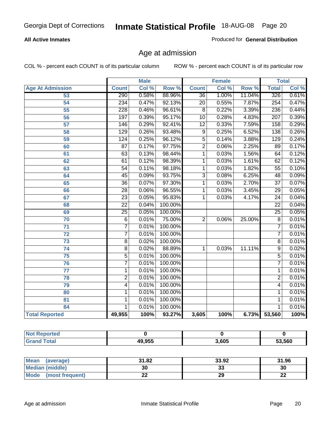#### **All Active Inmates**

Produced for **General Distribution**

### Age at admission

|                         | <b>Male</b>      |       | <b>Female</b> |                 |       | <b>Total</b> |                  |       |
|-------------------------|------------------|-------|---------------|-----------------|-------|--------------|------------------|-------|
| <b>Age At Admission</b> | <b>Count</b>     | Col % | Row %         | <b>Count</b>    | Col % | Row %        | <b>Total</b>     | Col % |
| 53                      | 290              | 0.58% | 88.96%        | $\overline{36}$ | 1.00% | 11.04%       | 326              | 0.61% |
| 54                      | 234              | 0.47% | 92.13%        | $\overline{20}$ | 0.55% | 7.87%        | 254              | 0.47% |
| $\overline{55}$         | $\overline{228}$ | 0.46% | 96.61%        | $\overline{8}$  | 0.22% | 3.39%        | 236              | 0.44% |
| $\overline{56}$         | 197              | 0.39% | 95.17%        | $\overline{10}$ | 0.28% | 4.83%        | $\overline{207}$ | 0.39% |
| $\overline{57}$         | 146              | 0.29% | 92.41%        | $\overline{12}$ | 0.33% | 7.59%        | 158              | 0.29% |
| 58                      | $\overline{129}$ | 0.26% | 93.48%        | 9               | 0.25% | 6.52%        | 138              | 0.26% |
| 59                      | 124              | 0.25% | 96.12%        | $\overline{5}$  | 0.14% | 3.88%        | 129              | 0.24% |
| 60                      | $\overline{87}$  | 0.17% | 97.75%        | $\overline{2}$  | 0.06% | 2.25%        | 89               | 0.17% |
| 61                      | 63               | 0.13% | 98.44%        | 1               | 0.03% | 1.56%        | 64               | 0.12% |
| 62                      | 61               | 0.12% | 98.39%        | 1               | 0.03% | 1.61%        | 62               | 0.12% |
| 63                      | $\overline{54}$  | 0.11% | 98.18%        | 1               | 0.03% | 1.82%        | $\overline{55}$  | 0.10% |
| 64                      | $\overline{45}$  | 0.09% | 93.75%        | $\overline{3}$  | 0.08% | 6.25%        | 48               | 0.09% |
| 65                      | $\overline{36}$  | 0.07% | 97.30%        | 1               | 0.03% | 2.70%        | $\overline{37}$  | 0.07% |
| 66                      | $\overline{28}$  | 0.06% | 96.55%        | 1               | 0.03% | 3.45%        | $\overline{29}$  | 0.05% |
| 67                      | 23               | 0.05% | 95.83%        | 1               | 0.03% | 4.17%        | $\overline{24}$  | 0.04% |
| 68                      | $\overline{22}$  | 0.04% | 100.00%       |                 |       |              | $\overline{22}$  | 0.04% |
| 69                      | $\overline{25}$  | 0.05% | 100.00%       |                 |       |              | $\overline{25}$  | 0.05% |
| 70                      | $\overline{6}$   | 0.01% | 75.00%        | $\overline{2}$  | 0.06% | 25.00%       | $\overline{8}$   | 0.01% |
| 71                      | $\overline{7}$   | 0.01% | 100.00%       |                 |       |              | 7                | 0.01% |
| $\overline{72}$         | $\overline{7}$   | 0.01% | 100.00%       |                 |       |              | $\overline{7}$   | 0.01% |
| $\overline{73}$         | $\overline{8}$   | 0.02% | 100.00%       |                 |       |              | $\overline{8}$   | 0.01% |
| $\overline{74}$         | $\overline{8}$   | 0.02% | 88.89%        | 1               | 0.03% | 11.11%       | $\overline{9}$   | 0.02% |
| $\overline{75}$         | $\overline{5}$   | 0.01% | 100.00%       |                 |       |              | 5                | 0.01% |
| 76                      | $\overline{7}$   | 0.01% | 100.00%       |                 |       |              | 7                | 0.01% |
| 77                      | $\mathbf{1}$     | 0.01% | 100.00%       |                 |       |              | 1                | 0.01% |
| 78                      | $\overline{2}$   | 0.01% | 100.00%       |                 |       |              | $\overline{2}$   | 0.01% |
| 79                      | $\overline{4}$   | 0.01% | 100.00%       |                 |       |              | 4                | 0.01% |
| 80                      | $\mathbf{1}$     | 0.01% | 100.00%       |                 |       |              | 1                | 0.01% |
| $\overline{81}$         | $\mathbf{1}$     | 0.01% | 100.00%       |                 |       |              | 1                | 0.01% |
| 84                      | 1                | 0.01% | 100.00%       |                 |       |              | 1                | 0.01% |
| <b>Total Reported</b>   | 49,955           | 100%  | 93.27%        | 3,605           | 100%  | 6.73%        | 53,560           | 100%  |

| <b>Not Reported</b> |        |       |        |
|---------------------|--------|-------|--------|
| <b>Grand Total</b>  | 49,955 | 3.605 | 53,560 |

| <b>Mean</b><br>(average)       | 31.82     | 33.92    | 31.96    |
|--------------------------------|-----------|----------|----------|
| <b>Median (middle)</b>         | 30        | ^^<br>vu | 30       |
| <b>Mode</b><br>(most frequent) | <u>__</u> | 29       | ^^<br>LL |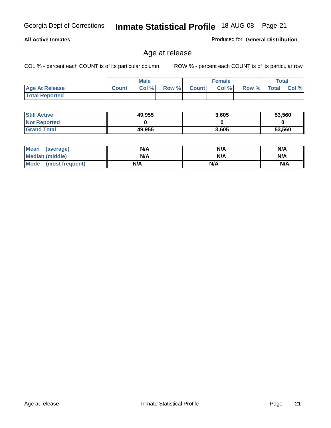#### **All Active Inmates**

Produced for **General Distribution**

### Age at release

|                       | <b>Male</b>  |       |       | <b>Female</b> |       |       | Total        |       |
|-----------------------|--------------|-------|-------|---------------|-------|-------|--------------|-------|
| <b>Age At Release</b> | <b>Count</b> | Col % | Row % | <b>Count</b>  | Col % | Row % | <b>Total</b> | Col % |
| <b>Total Reported</b> |              |       |       |               |       |       |              |       |

| <b>Still Active</b> | 49,955 | 3,605 | 53,560 |
|---------------------|--------|-------|--------|
| <b>Not Reported</b> |        |       |        |
| <b>Grand Total</b>  | 49,955 | 3,605 | 53,560 |

| Mean (average)       | N/A | N/A | N/A |
|----------------------|-----|-----|-----|
| Median (middle)      | N/A | N/A | N/A |
| Mode (most frequent) | N/A | N/A | N/A |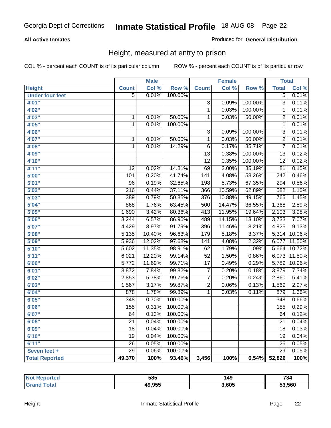#### **All Active Inmates**

#### Produced for **General Distribution**

### Height, measured at entry to prison

|                        |                  | <b>Male</b> |         |                 | Female |         | <b>Total</b>     |        |
|------------------------|------------------|-------------|---------|-----------------|--------|---------|------------------|--------|
| <b>Height</b>          | <b>Count</b>     | Col %       | Row %   | <b>Count</b>    | Col %  | Row %   | <b>Total</b>     | Col %  |
| <b>Under four feet</b> | $\overline{5}$   | 0.01%       | 100.00% |                 |        |         | $\overline{5}$   | 0.01%  |
| 4'01''                 |                  |             |         | $\overline{3}$  | 0.09%  | 100.00% | $\overline{3}$   | 0.01%  |
| 4'02"                  |                  |             |         | $\mathbf{1}$    | 0.03%  | 100.00% | 1                | 0.01%  |
| 4'03''                 | $\mathbf{1}$     | 0.01%       | 50.00%  | 1               | 0.03%  | 50.00%  | $\overline{2}$   | 0.01%  |
| 4'05''                 | $\mathbf{1}$     | 0.01%       | 100.00% |                 |        |         | 1                | 0.01%  |
| 4'06"                  |                  |             |         | $\overline{3}$  | 0.09%  | 100.00% | $\overline{3}$   | 0.01%  |
| 4'07"                  | 1                | 0.01%       | 50.00%  | $\mathbf{1}$    | 0.03%  | 50.00%  | $\overline{2}$   | 0.01%  |
| 4'08"                  | $\mathbf{1}$     | 0.01%       | 14.29%  | $\overline{6}$  | 0.17%  | 85.71%  | $\overline{7}$   | 0.01%  |
| 4'09"                  |                  |             |         | $\overline{13}$ | 0.38%  | 100.00% | 13               | 0.02%  |
| 4'10"                  |                  |             |         | $\overline{12}$ | 0.35%  | 100.00% | $\overline{12}$  | 0.02%  |
| 4'11''                 | 12               | 0.02%       | 14.81%  | 69              | 2.00%  | 85.19%  | 81               | 0.15%  |
| 5'00''                 | 101              | 0.20%       | 41.74%  | 141             | 4.08%  | 58.26%  | $\overline{242}$ | 0.46%  |
| 5'01''                 | 96               | 0.19%       | 32.65%  | 198             | 5.73%  | 67.35%  | 294              | 0.56%  |
| 5'02"                  | $\overline{216}$ | 0.44%       | 37.11%  | 366             | 10.59% | 62.89%  | 582              | 1.10%  |
| 5'03''                 | 389              | 0.79%       | 50.85%  | 376             | 10.88% | 49.15%  | 765              | 1.45%  |
| 5'04"                  | 868              | 1.76%       | 63.45%  | 500             | 14.47% | 36.55%  | 1,368            | 2.59%  |
| 5'05''                 | 1,690            | 3.42%       | 80.36%  | 413             | 11.95% | 19.64%  | 2,103            | 3.98%  |
| 5'06''                 | 3,244            | 6.57%       | 86.90%  | 489             | 14.15% | 13.10%  | 3,733            | 7.07%  |
| 5'07''                 | 4,429            | 8.97%       | 91.79%  | 396             | 11.46% | 8.21%   | 4,825            | 9.13%  |
| 5'08''                 | 5,135            | 10.40%      | 96.63%  | 179             | 5.18%  | 3.37%   | 5,314            | 10.06% |
| 5'09''                 | 5,936            | 12.02%      | 97.68%  | 141             | 4.08%  | 2.32%   | 6,077            | 11.50% |
| 5'10''                 | 5,602            | 11.35%      | 98.91%  | 62              | 1.79%  | 1.09%   | 5,664            | 10.72% |
| 5'11''                 | 6,021            | 12.20%      | 99.14%  | $\overline{52}$ | 1.50%  | 0.86%   | 6,073            | 11.50% |
| 6'00''                 | 5,772            | 11.69%      | 99.71%  | $\overline{17}$ | 0.49%  | 0.29%   | 5,789            | 10.96% |
| 6'01''                 | 3,872            | 7.84%       | 99.82%  | $\overline{7}$  | 0.20%  | 0.18%   | 3,879            | 7.34%  |
| 6'02''                 | 2,853            | 5.78%       | 99.76%  | $\overline{7}$  | 0.20%  | 0.24%   | 2,860            | 5.41%  |
| 6'03''                 | 1,567            | 3.17%       | 99.87%  | $\overline{2}$  | 0.06%  | 0.13%   | 1,569            | 2.97%  |
| 6'04''                 | 878              | 1.78%       | 99.89%  | 1               | 0.03%  | 0.11%   | 879              | 1.66%  |
| 6'05''                 | 348              | 0.70%       | 100.00% |                 |        |         | 348              | 0.66%  |
| 6'06''                 | 155              | 0.31%       | 100.00% |                 |        |         | 155              | 0.29%  |
| 6'07''                 | 64               | 0.13%       | 100.00% |                 |        |         | 64               | 0.12%  |
| 6'08''                 | $\overline{21}$  | 0.04%       | 100.00% |                 |        |         | 21               | 0.04%  |
| 6'09''                 | 18               | 0.04%       | 100.00% |                 |        |         | 18               | 0.03%  |
| 6'10''                 | 19               | 0.04%       | 100.00% |                 |        |         | 19               | 0.04%  |
| 6'11''                 | 26               | 0.05%       | 100.00% |                 |        |         | 26               | 0.05%  |
| Seven feet +           | $\overline{29}$  | 0.06%       | 100.00% |                 |        |         | $\overline{29}$  | 0.05%  |
| <b>Total Reported</b>  | 49,370           | 100%        | 93.46%  | 3,456           | 100%   | 6.54%   | 52,826           | 100%   |

| ortea<br>NOT | 585    | 49    | 734    |
|--------------|--------|-------|--------|
| 'ota.        | 49,955 | 3,605 | 53.560 |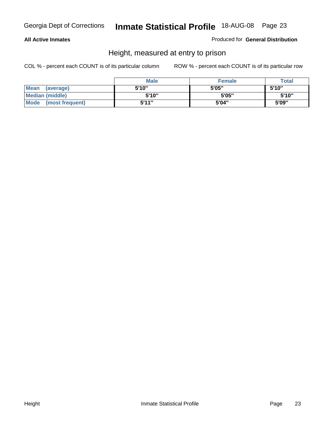#### **All Active Inmates**

Produced for **General Distribution**

### Height, measured at entry to prison

|                        | <b>Male</b> | <b>Female</b> | <b>Total</b> |
|------------------------|-------------|---------------|--------------|
| Mean (average)         | 5'10"       | 5'05"         | 5'10''       |
| <b>Median (middle)</b> | 5'10"       | 5'05"         | 5'10"        |
| Mode (most frequent)   | 5'11"       | 5'04"         | 5'09"        |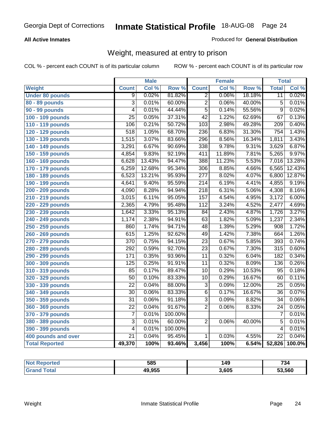#### **All Active Inmates**

#### Produced for **General Distribution**

### Weight, measured at entry to prison

|                        |                  | <b>Male</b> |         |                  | <b>Female</b> |                  | <b>Total</b>     |        |
|------------------------|------------------|-------------|---------|------------------|---------------|------------------|------------------|--------|
| <b>Weight</b>          | <b>Count</b>     | Col %       | Row %   | <b>Count</b>     | Col %         | Row <sup>%</sup> | <b>Total</b>     | Col %  |
| <b>Under 80 pounds</b> | 9                | 0.02%       | 81.82%  | $\overline{2}$   | 0.06%         | 18.18%           | $\overline{11}$  | 0.02%  |
| 80 - 89 pounds         | $\overline{3}$   | 0.01%       | 60.00%  | $\overline{2}$   | 0.06%         | 40.00%           | $\overline{5}$   | 0.01%  |
| 90 - 99 pounds         | $\overline{4}$   | 0.01%       | 44.44%  | $\overline{5}$   | 0.14%         | 55.56%           | $\overline{9}$   | 0.02%  |
| 100 - 109 pounds       | $\overline{25}$  | 0.05%       | 37.31%  | $\overline{42}$  | 1.22%         | 62.69%           | $\overline{67}$  | 0.13%  |
| 110 - 119 pounds       | 106              | 0.21%       | 50.72%  | 103              | 2.98%         | 49.28%           | $\overline{209}$ | 0.40%  |
| 120 - 129 pounds       | 518              | 1.05%       | 68.70%  | 236              | 6.83%         | 31.30%           | 754              | 1.43%  |
| 130 - 139 pounds       | 1,515            | 3.07%       | 83.66%  | 296              | 8.56%         | 16.34%           | 1,811            | 3.43%  |
| 140 - 149 pounds       | 3,291            | 6.67%       | 90.69%  | 338              | 9.78%         | 9.31%            | 3,629            | 6.87%  |
| 150 - 159 pounds       | 4,854            | 9.83%       | 92.19%  | 411              | 11.89%        | 7.81%            | 5,265            | 9.97%  |
| 160 - 169 pounds       | 6,628            | 13.43%      | 94.47%  | 388              | 11.23%        | 5.53%            | 7,016            | 13.28% |
| 170 - 179 pounds       | 6,259            | 12.68%      | 95.34%  | $\overline{306}$ | 8.85%         | 4.66%            | 6,565            | 12.43% |
| 180 - 189 pounds       | 6,523            | 13.21%      | 95.93%  | $\overline{277}$ | 8.02%         | 4.07%            | 6,800            | 12.87% |
| 190 - 199 pounds       | 4,641            | 9.40%       | 95.59%  | $\overline{214}$ | 6.19%         | 4.41%            | 4,855            | 9.19%  |
| 200 - 209 pounds       | 4,090            | 8.28%       | 94.94%  | $\overline{218}$ | 6.31%         | 5.06%            | 4,308            | 8.16%  |
| 210 - 219 pounds       | 3,015            | 6.11%       | 95.05%  | 157              | 4.54%         | 4.95%            | 3,172            | 6.00%  |
| 220 - 229 pounds       | 2,365            | 4.79%       | 95.48%  | 112              | 3.24%         | 4.52%            | 2,477            | 4.69%  |
| 230 - 239 pounds       | 1,642            | 3.33%       | 95.13%  | $\overline{84}$  | 2.43%         | 4.87%            | 1,726            | 3.27%  |
| 240 - 249 pounds       | 1,174            | 2.38%       | 94.91%  | 63               | 1.82%         | 5.09%            | 1,237            | 2.34%  |
| 250 - 259 pounds       | 860              | 1.74%       | 94.71%  | 48               | 1.39%         | 5.29%            | 908              | 1.72%  |
| 260 - 269 pounds       | 615              | 1.25%       | 92.62%  | 49               | 1.42%         | 7.38%            | 664              | 1.26%  |
| 270 - 279 pounds       | 370              | 0.75%       | 94.15%  | $\overline{23}$  | 0.67%         | 5.85%            | 393              | 0.74%  |
| 280 - 289 pounds       | 292              | 0.59%       | 92.70%  | $\overline{23}$  | 0.67%         | 7.30%            | $\overline{315}$ | 0.60%  |
| 290 - 299 pounds       | 171              | 0.35%       | 93.96%  | $\overline{11}$  | 0.32%         | 6.04%            | $\overline{182}$ | 0.34%  |
| 300 - 309 pounds       | $\overline{125}$ | 0.25%       | 91.91%  | $\overline{11}$  | 0.32%         | 8.09%            | 136              | 0.26%  |
| 310 - 319 pounds       | 85               | 0.17%       | 89.47%  | $\overline{10}$  | 0.29%         | 10.53%           | 95               | 0.18%  |
| 320 - 329 pounds       | $\overline{50}$  | 0.10%       | 83.33%  | $\overline{10}$  | 0.29%         | 16.67%           | 60               | 0.11%  |
| 330 - 339 pounds       | $\overline{22}$  | 0.04%       | 88.00%  | $\overline{3}$   | 0.09%         | 12.00%           | $\overline{25}$  | 0.05%  |
| 340 - 349 pounds       | $\overline{30}$  | 0.06%       | 83.33%  | $\overline{6}$   | 0.17%         | 16.67%           | $\overline{36}$  | 0.07%  |
| 350 - 359 pounds       | $\overline{31}$  | 0.06%       | 91.18%  | $\overline{3}$   | 0.09%         | 8.82%            | $\overline{34}$  | 0.06%  |
| 360 - 369 pounds       | $\overline{22}$  | 0.04%       | 91.67%  | $\overline{2}$   | 0.06%         | 8.33%            | 24               | 0.05%  |
| 370 - 379 pounds       | $\overline{7}$   | 0.01%       | 100.00% |                  |               |                  | 7                | 0.01%  |
| 380 - 389 pounds       | $\overline{3}$   | 0.01%       | 60.00%  | $\overline{2}$   | 0.06%         | 40.00%           | 5                | 0.01%  |
| 390 - 399 pounds       | $\overline{4}$   | 0.01%       | 100.00% |                  |               |                  | 4                | 0.01%  |
| 400 pounds and over    | $\overline{21}$  | 0.04%       | 95.45%  | $\overline{1}$   | 0.03%         | 4.55%            | $\overline{22}$  | 0.04%  |
| <b>Total Reported</b>  | 49,370           | 100%        | 93.46%  | 3,456            | 100%          | 6.54%            | 52,826           | 100.0% |

| <b>Reported</b><br>NO. | 585    | 149   | 734    |
|------------------------|--------|-------|--------|
| ota.                   | 49.955 | 3,605 | 53,560 |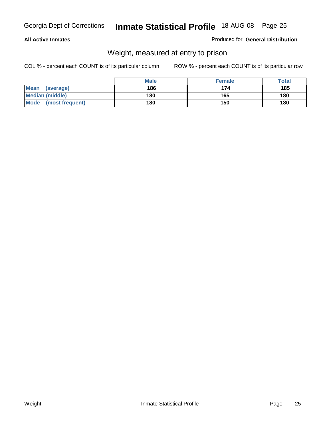#### **All Active Inmates**

#### Produced for **General Distribution**

### Weight, measured at entry to prison

|                                | <b>Male</b> | <b>Female</b> | Total |
|--------------------------------|-------------|---------------|-------|
| <b>Mean</b><br>(average)       | 186         | 174           | 185   |
| <b>Median (middle)</b>         | 180         | 165           | 180   |
| <b>Mode</b><br>(most frequent) | 180         | 150           | 180   |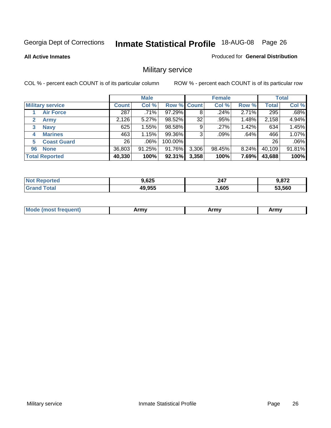**All Active Inmates**

#### Produced for **General Distribution**

### Military service

|                         |              | <b>Male</b> |             |       | <b>Female</b> |          |              | <b>Total</b> |
|-------------------------|--------------|-------------|-------------|-------|---------------|----------|--------------|--------------|
| <b>Military service</b> | <b>Count</b> | Col %       | Row % Count |       | Col %         | Row %    | <b>Total</b> | Col %        |
| <b>Air Force</b>        | 287          | .71%        | 97.29%      | 8     | $.24\%$       | 2.71%    | 295          | .68%         |
| <b>Army</b>             | 2,126        | 5.27%       | 98.52%      | 32    | .95%          | 1.48%    | 2,158        | 4.94%        |
| <b>Navy</b><br>3        | 625          | 1.55%       | 98.58%      | 9     | .27%          | 1.42%    | 634          | 1.45%        |
| <b>Marines</b><br>4     | 463          | 1.15%       | 99.36%      | 3     | .09%          | .64%     | 466          | 1.07%        |
| <b>Coast Guard</b><br>5 | 26           | $.06\%$     | 100.00%     |       |               |          | 26           | .06%         |
| <b>None</b><br>96       | 36,803       | 91.25%      | 91.76%      | 3,306 | 98.45%        | $8.24\%$ | 40,109       | 91.81%       |
| <b>Total Reported</b>   | 40,330       | 100%        | 92.31%      | 3,358 | 100%          | 7.69%    | 43,688       | 100%         |

| orted          | 9,625  | 247   | ר סי   |
|----------------|--------|-------|--------|
| NO:            |        |       | $01 -$ |
| `otal<br>Grand | 49,955 | 3,605 | 53.560 |

| <b>Mou</b><br><b>Army</b><br>ATIIV<br>41U -<br>$\sim$ 1111 $\sigma$ |  |
|---------------------------------------------------------------------|--|
|---------------------------------------------------------------------|--|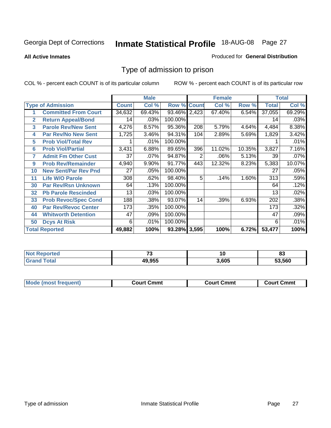#### **All Active Inmates**

#### Produced for **General Distribution**

### Type of admission to prison

|                |                             |              | <b>Male</b> |                    |     | <b>Female</b> |        |              | <b>Total</b> |
|----------------|-----------------------------|--------------|-------------|--------------------|-----|---------------|--------|--------------|--------------|
|                | <b>Type of Admission</b>    | <b>Count</b> | Col %       | <b>Row % Count</b> |     | Col %         | Row %  | <b>Total</b> | Col %        |
| 1              | <b>Committed From Court</b> | 34,632       | 69.43%      | 93.46% 2,423       |     | 67.40%        | 6.54%  | 37,055       | 69.29%       |
| $\overline{2}$ | <b>Return Appeal/Bond</b>   | 14           | .03%        | 100.00%            |     |               |        | 14           | .03%         |
| 3              | <b>Parole Rev/New Sent</b>  | 4,276        | 8.57%       | 95.36%             | 208 | 5.79%         | 4.64%  | 4,484        | 8.38%        |
| 4              | <b>Par Rev/No New Sent</b>  | 1,725        | 3.46%       | 94.31%             | 104 | 2.89%         | 5.69%  | 1,829        | 3.42%        |
| 5              | <b>Prob Viol/Total Rev</b>  |              | .01%        | 100.00%            |     |               |        |              | .01%         |
| 6              | <b>Prob Viol/Partial</b>    | 3,431        | 6.88%       | 89.65%             | 396 | 11.02%        | 10.35% | 3,827        | 7.16%        |
| 7              | <b>Admit Fm Other Cust</b>  | 37           | .07%        | 94.87%             | 2   | .06%          | 5.13%  | 39           | .07%         |
| 9              | <b>Prob Rev/Remainder</b>   | 4,940        | 9.90%       | 91.77%             | 443 | 12.32%        | 8.23%  | 5,383        | 10.07%       |
| 10             | <b>New Sent/Par Rev Pnd</b> | 27           | .05%        | 100.00%            |     |               |        | 27           | .05%         |
| 11             | <b>Life W/O Parole</b>      | 308          | .62%        | 98.40%             | 5   | .14%          | 1.60%  | 313          | .59%         |
| 30             | <b>Par Rev/Rsn Unknown</b>  | 64           | .13%        | 100.00%            |     |               |        | 64           | .12%         |
| 32             | <b>Pb Parole Rescinded</b>  | 13           | .03%        | 100.00%            |     |               |        | 13           | .02%         |
| 33             | <b>Prob Revoc/Spec Cond</b> | 188          | .38%        | 93.07%             | 14  | .39%          | 6.93%  | 202          | .38%         |
| 40             | <b>Par Rev/Revoc Center</b> | 173          | .35%        | 100.00%            |     |               |        | 173          | .32%         |
| 44             | <b>Whitworth Detention</b>  | 47           | .09%        | 100.00%            |     |               |        | 47           | .09%         |
| 50             | <b>Dcys At Risk</b>         | 6            | .01%        | 100.00%            |     |               |        | 6            | .01%         |
|                | <b>Total Reported</b>       | 49,882       | 100%        | 93.28% 3,595       |     | 100%          | 6.72%  | 53,477       | 100%         |

| Reported<br>NOT. | $\rightarrow$ | יי    | o۰<br>ია |
|------------------|---------------|-------|----------|
| 'ota.            | 49.955        | 8.605 | .560     |

| <b>Mode</b><br><b>Cmmւ</b><br>Cmmt<br>Cmmt<br>frequent)<br>∴∩urt<br>Court (<br>:ourt<br>. |  |  |
|-------------------------------------------------------------------------------------------|--|--|
|                                                                                           |  |  |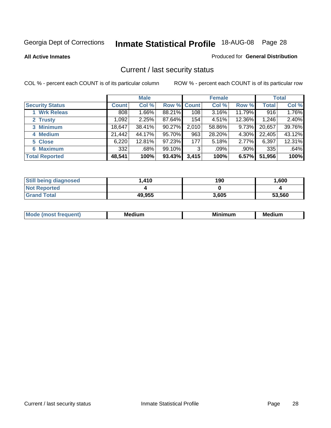**All Active Inmates**

#### Produced for **General Distribution**

### Current / last security status

|                        |              | <b>Male</b> |                    |       | <b>Female</b> |         |              | <b>Total</b> |
|------------------------|--------------|-------------|--------------------|-------|---------------|---------|--------------|--------------|
| <b>Security Status</b> | <b>Count</b> | Col %       | <b>Row % Count</b> |       | Col %         | Row %   | <b>Total</b> | Col %        |
| 1 Wrk Releas           | 808          | 1.66%       | 88.21%             | 108   | 3.16%         | 11.79%  | 916          | 1.76%        |
| 2 Trusty               | ا 092. ا     | 2.25%       | 87.64%             | 154   | 4.51%         | 12.36%  | 1,246        | 2.40%        |
| 3 Minimum              | 18,647       | 38.41%      | 90.27%             | 2,010 | 58.86%        | 9.73%   | 20,657       | 39.76%       |
| 4 Medium               | 21,442       | 44.17%      | 95.70%             | 963   | 28.20%        | 4.30%   | 22,405       | 43.12%       |
| 5 Close                | 6,220        | 12.81%      | 97.23%             | 177   | 5.18%         | 2.77%   | 6,397        | 12.31%       |
| 6 Maximum              | 332          | .68%        | 99.10%             | 3     | .09%          | $.90\%$ | 335          | .64%         |
| <b>Total Reported</b>  | 48,541       | 100%        | 93.43%             | 3,415 | 100%          | 6.57%   | 51,956       | 100%         |

| <b>Still being diagnosed</b> | .410   | 190   | 1,600  |
|------------------------------|--------|-------|--------|
| <b>Not Reported</b>          |        |       |        |
| <b>Grand Total</b>           | 49,955 | 3,605 | 53,560 |

| M.<br>.<br>--<br>M.<br><b>ALL 1999</b><br>----<br>w. |  |  |
|------------------------------------------------------|--|--|
|                                                      |  |  |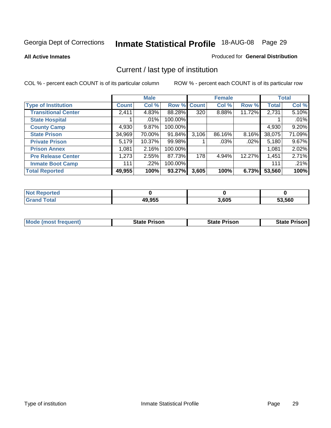**All Active Inmates**

#### Produced for **General Distribution**

### Current / last type of institution

|                            |              | <b>Male</b> |             |       | <b>Female</b> |          |              | <b>Total</b> |
|----------------------------|--------------|-------------|-------------|-------|---------------|----------|--------------|--------------|
| <b>Type of Institution</b> | <b>Count</b> | Col %       | Row % Count |       | Col %         | Row %    | <b>Total</b> | Col %        |
| <b>Transitional Center</b> | 2,411        | 4.83%       | 88.28%      | 320   | $8.88\%$      | 11.72%   | 2,731        | 5.10%        |
| <b>State Hospital</b>      |              | $.01\%$     | 100.00%     |       |               |          |              | .01%         |
| <b>County Camp</b>         | 4,930        | 9.87%       | 100.00%     |       |               |          | 4,930        | 9.20%        |
| <b>State Prison</b>        | 34,969       | 70.00%      | 91.84%      | 3,106 | 86.16%        | $8.16\%$ | 38,075       | 71.09%       |
| <b>Private Prison</b>      | 5,179        | 10.37%      | 99.98%      |       | $.03\%$       | .02%     | 5,180        | 9.67%        |
| <b>Prison Annex</b>        | 1,081        | 2.16%       | 100.00%     |       |               |          | 1,081        | 2.02%        |
| <b>Pre Release Center</b>  | 1,273        | 2.55%       | 87.73%      | 178   | 4.94%         | 12.27%   | 1,451        | 2.71%        |
| <b>Inmate Boot Camp</b>    | 111          | .22%        | 100.00%     |       |               |          | 111          | .21%         |
| <b>Total Reported</b>      | 49,955       | 100%        | 93.27%      | 3,605 | 100%          | 6.73%    | 53,560       | 100%         |

| <b>Not</b><br><b>Reported</b> |        |       |        |
|-------------------------------|--------|-------|--------|
| <b>Grand Total</b>            | 49,955 | 3,605 | 53.560 |

| <b>Mode (most frequent)</b> | State Prison | <b>State Prison</b> | <b>State Prison I</b> |
|-----------------------------|--------------|---------------------|-----------------------|
|                             |              |                     |                       |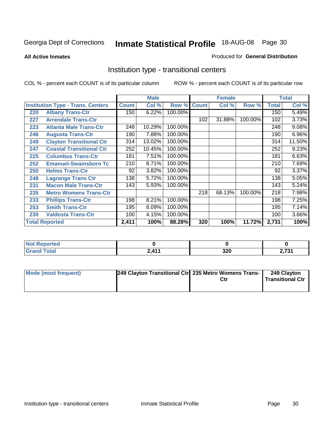**All Active Inmates**

#### Produced for **General Distribution**

### Institution type - transitional centers

|     |                                          |              | <b>Male</b> |         |              | <b>Female</b> |         |              | <b>Total</b> |
|-----|------------------------------------------|--------------|-------------|---------|--------------|---------------|---------|--------------|--------------|
|     | <b>Institution Type - Trans. Centers</b> | <b>Count</b> | Col %       | Row %   | <b>Count</b> | Col %         | Row %   | <b>Total</b> | Col %        |
| 220 | <b>Albany Trans-Ctr</b>                  | 150          | 6.22%       | 100.00% |              |               |         | 150          | 5.49%        |
| 227 | <b>Arrendale Trans-Ctr</b>               |              |             |         | 102          | 31.88%        | 100.00% | 102          | 3.73%        |
| 223 | <b>Atlanta Male Trans-Ctr</b>            | 248          | 10.29%      | 100.00% |              |               |         | 248          | 9.08%        |
| 246 | <b>Augusta Trans-Ctr</b>                 | 190          | 7.88%       | 100.00% |              |               |         | 190          | 6.96%        |
| 249 | <b>Clayton Transitional Ctr</b>          | 314          | 13.02%      | 100.00% |              |               |         | 314          | 11.50%       |
| 247 | <b>Coastal Transitional Ctr</b>          | 252          | 10.45%      | 100.00% |              |               |         | 252          | 9.23%        |
| 225 | <b>Columbus Trans-Ctr</b>                | 181          | 7.51%       | 100.00% |              |               |         | 181          | 6.63%        |
| 252 | <b>Emanuel-Swainsboro Tc</b>             | 210          | 8.71%       | 100.00% |              |               |         | 210          | 7.69%        |
| 250 | <b>Helms Trans-Ctr</b>                   | 92           | 3.82%       | 100.00% |              |               |         | 92           | 3.37%        |
| 248 | <b>Lagrange Trans Ctr</b>                | 138          | 5.72%       | 100.00% |              |               |         | 138          | 5.05%        |
| 231 | <b>Macon Male Trans-Ctr</b>              | 143          | 5.93%       | 100.00% |              |               |         | 143          | 5.24%        |
| 235 | <b>Metro Womens Trans-Ctr</b>            |              |             |         | 218          | 68.13%        | 100.00% | 218          | 7.98%        |
| 233 | <b>Phillips Trans-Ctr</b>                | 198          | 8.21%       | 100.00% |              |               |         | 198          | 7.25%        |
| 253 | <b>Smith Trans-Ctr</b>                   | 195          | 8.09%       | 100.00% |              |               |         | 195          | 7.14%        |
| 230 | <b>Valdosta Trans-Ctr</b>                | 100          | 4.15%       | 100.00% |              |               |         | 100          | 3.66%        |
|     | <b>Total Reported</b>                    | 2,411        | 100%        | 88.28%  | 320          | 100%          | 11.72%  | 2,731        | 100%         |

| NG<br>porteg<br>$\cdots$ |                 |                    |     |
|--------------------------|-----------------|--------------------|-----|
| 'otal                    | $\overline{44}$ | חרפ<br>טבע<br>$ -$ | 704 |

| <b>Mode (most frequent)</b> | 249 Clayton Transitional Ctrl 235 Metro Womens Trans- | Ctr | 249 Clayton<br><b>Transitional Ctr</b> |
|-----------------------------|-------------------------------------------------------|-----|----------------------------------------|
|                             |                                                       |     |                                        |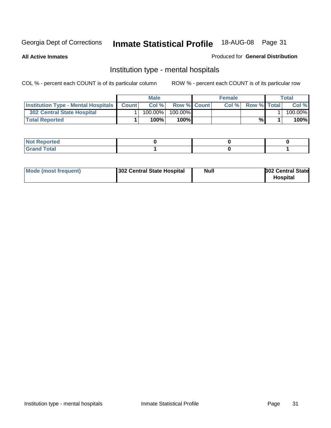**All Active Inmates**

#### Produced for **General Distribution**

### Institution type - mental hospitals

|                                                  | <b>Male</b> |                    | <b>Female</b> |                   | <b>Total</b> |
|--------------------------------------------------|-------------|--------------------|---------------|-------------------|--------------|
| <b>Institution Type - Mental Hospitals Count</b> | Col%        | <b>Row % Count</b> |               | Col % Row % Total | Col %        |
| <b>302 Central State Hospital</b>                | $100.00\%$  | $100.00\%$         |               |                   | 100.00%      |
| <b>Total Reported</b>                            | 100%        | 100%I              |               | %                 | 100%         |

| Not Reported |  |  |
|--------------|--|--|
| <b>otal</b>  |  |  |

| Mode (most frequent)<br>302 Central State Hospital | Null | <b>302 Central State</b><br><b>Hospital</b> |
|----------------------------------------------------|------|---------------------------------------------|
|----------------------------------------------------|------|---------------------------------------------|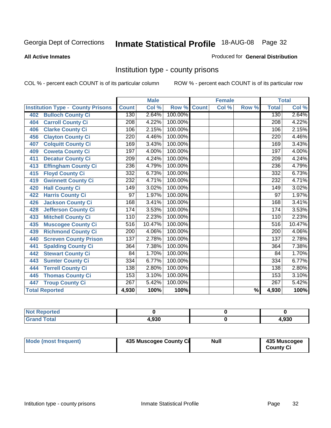#### **All Active Inmates**

#### Produced for **General Distribution**

### Institution type - county prisons

|                                          |                  | <b>Male</b> |         |              | <b>Female</b>      |                          |                  | <b>Total</b> |
|------------------------------------------|------------------|-------------|---------|--------------|--------------------|--------------------------|------------------|--------------|
| <b>Institution Type - County Prisons</b> | <b>Count</b>     | Col %       | Row %   | <b>Count</b> | $\overline{Col}$ % | Row %                    | <b>Total</b>     | Col %        |
| <b>Bulloch County Ci</b><br>402          | 130              | 2.64%       | 100.00% |              |                    |                          | 130              | 2.64%        |
| <b>Carroll County Ci</b><br>404          | $\overline{208}$ | 4.22%       | 100.00% |              |                    |                          | $\overline{208}$ | 4.22%        |
| <b>Clarke County Ci</b><br>406           | 106              | 2.15%       | 100.00% |              |                    |                          | 106              | 2.15%        |
| <b>Clayton County Ci</b><br>456          | 220              | 4.46%       | 100.00% |              |                    |                          | 220              | 4.46%        |
| <b>Colquitt County Ci</b><br>407         | 169              | 3.43%       | 100.00% |              |                    |                          | 169              | 3.43%        |
| <b>Coweta County Ci</b><br>409           | 197              | 4.00%       | 100.00% |              |                    |                          | 197              | 4.00%        |
| <b>Decatur County Ci</b><br>411          | $\overline{209}$ | 4.24%       | 100.00% |              |                    |                          | $\overline{209}$ | 4.24%        |
| <b>Effingham County Ci</b><br>413        | 236              | 4.79%       | 100.00% |              |                    |                          | 236              | 4.79%        |
| <b>Floyd County Ci</b><br>415            | 332              | 6.73%       | 100.00% |              |                    |                          | 332              | 6.73%        |
| <b>Gwinnett County Ci</b><br>419         | 232              | 4.71%       | 100.00% |              |                    |                          | 232              | 4.71%        |
| <b>Hall County Ci</b><br>420             | 149              | 3.02%       | 100.00% |              |                    |                          | 149              | 3.02%        |
| <b>Harris County Ci</b><br>422           | 97               | 1.97%       | 100.00% |              |                    |                          | 97               | 1.97%        |
| <b>Jackson County Ci</b><br>426          | 168              | 3.41%       | 100.00% |              |                    |                          | 168              | 3.41%        |
| <b>Jefferson County Ci</b><br>428        | 174              | 3.53%       | 100.00% |              |                    |                          | 174              | 3.53%        |
| <b>Mitchell County Ci</b><br>433         | 110              | 2.23%       | 100.00% |              |                    |                          | 110              | 2.23%        |
| <b>Muscogee County Ci</b><br>435         | $\overline{516}$ | 10.47%      | 100.00% |              |                    |                          | $\overline{516}$ | 10.47%       |
| <b>Richmond County Ci</b><br>439         | $\overline{200}$ | 4.06%       | 100.00% |              |                    |                          | 200              | 4.06%        |
| <b>Screven County Prison</b><br>440      | $\overline{137}$ | 2.78%       | 100.00% |              |                    |                          | 137              | 2.78%        |
| <b>Spalding County Ci</b><br>441         | 364              | 7.38%       | 100.00% |              |                    |                          | 364              | 7.38%        |
| <b>Stewart County Ci</b><br>442          | 84               | 1.70%       | 100.00% |              |                    |                          | 84               | 1.70%        |
| <b>Sumter County Ci</b><br>443           | 334              | 6.77%       | 100.00% |              |                    |                          | 334              | 6.77%        |
| <b>Terrell County Ci</b><br>444          | 138              | 2.80%       | 100.00% |              |                    |                          | 138              | 2.80%        |
| <b>Thomas County Ci</b><br>445           | 153              | 3.10%       | 100.00% |              |                    |                          | 153              | 3.10%        |
| <b>Troup County Ci</b><br>447            | 267              | 5.42%       | 100.00% |              |                    |                          | $\overline{267}$ | 5.42%        |
| <b>Total Reported</b>                    | 4,930            | 100%        | 100%    |              |                    | $\overline{\frac{9}{6}}$ | 4,930            | 100%         |

| τeα                                          |       |       |
|----------------------------------------------|-------|-------|
| $\sim$<br>$\sim$ $\sim$ $\sim$ $\sim$ $\sim$ | 4.930 | 1,930 |

| Mode (most frequent) | 435 Muscogee County Ci | Null | 435 Muscogee |
|----------------------|------------------------|------|--------------|
|                      |                        |      | County Ci    |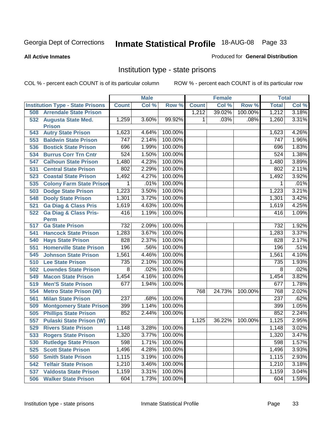#### **All Active Inmates**

#### Produced for **General Distribution**

### Institution type - state prisons

|     |                                            |                | <b>Male</b> |         |              | <b>Female</b> |         | <b>Total</b>   |       |
|-----|--------------------------------------------|----------------|-------------|---------|--------------|---------------|---------|----------------|-------|
|     | <b>Institution Type - State Prisons</b>    | <b>Count</b>   | Col %       | Row %   | <b>Count</b> | Col %         | Row %   | <b>Total</b>   | Col % |
| 508 | <b>Arrendale State Prison</b>              |                |             |         | 1,212        | 39.02%        | 100.00% | 1,212          | 3.18% |
| 532 | <b>Augusta State Med.</b><br><b>Prison</b> | 1,259          | 3.60%       | 99.92%  | 1            | .03%          | .08%    | 1,260          | 3.31% |
| 543 | <b>Autry State Prison</b>                  | 1,623          | 4.64%       | 100.00% |              |               |         | 1,623          | 4.26% |
| 553 | <b>Baldwin State Prison</b>                | 747            | 2.14%       | 100.00% |              |               |         | 747            | 1.96% |
| 536 | <b>Bostick State Prison</b>                | 696            | 1.99%       | 100.00% |              |               |         | 696            | 1.83% |
| 534 | <b>Burrus Corr Trn Cntr</b>                | 524            | 1.50%       | 100.00% |              |               |         | 524            | 1.38% |
| 547 | <b>Calhoun State Prison</b>                | 1,480          | 4.23%       | 100.00% |              |               |         | 1,480          | 3.89% |
| 531 | <b>Central State Prison</b>                | 802            | 2.29%       | 100.00% |              |               |         | 802            | 2.11% |
| 523 | <b>Coastal State Prison</b>                | 1,492          | 4.27%       | 100.00% |              |               |         | 1,492          | 3.92% |
| 535 | <b>Colony Farm State Prison</b>            | 1              | .01%        | 100.00% |              |               |         | 1              | .01%  |
| 503 | <b>Dodge State Prison</b>                  | 1,223          | 3.50%       | 100.00% |              |               |         | 1,223          | 3.21% |
| 548 | <b>Dooly State Prison</b>                  | 1,301          | 3.72%       | 100.00% |              |               |         | 1,301          | 3.42% |
| 521 | <b>Ga Diag &amp; Class Pris</b>            | 1,619          | 4.63%       | 100.00% |              |               |         | 1,619          | 4.25% |
| 522 | <b>Ga Diag &amp; Class Pris-</b>           | 416            | 1.19%       | 100.00% |              |               |         | 416            | 1.09% |
|     | <b>Perm</b>                                |                |             |         |              |               |         |                |       |
| 517 | <b>Ga State Prison</b>                     | 732            | 2.09%       | 100.00% |              |               |         | 732            | 1.92% |
| 541 | <b>Hancock State Prison</b>                | 1,283          | 3.67%       | 100.00% |              |               |         | 1,283          | 3.37% |
| 540 | <b>Hays State Prison</b>                   | 828            | 2.37%       | 100.00% |              |               |         | 828            | 2.17% |
| 551 | <b>Homerville State Prison</b>             | 196            | .56%        | 100.00% |              |               |         | 196            | .51%  |
| 545 | <b>Johnson State Prison</b>                | 1,561          | 4.46%       | 100.00% |              |               |         | 1,561          | 4.10% |
| 510 | <b>Lee State Prison</b>                    | 735            | 2.10%       | 100.00% |              |               |         | 735            | 1.93% |
| 502 | <b>Lowndes State Prison</b>                | $\overline{8}$ | .02%        | 100.00% |              |               |         | $\overline{8}$ | .02%  |
| 549 | <b>Macon State Prison</b>                  | 1,454          | 4.16%       | 100.00% |              |               |         | 1,454          | 3.82% |
| 519 | <b>Men'S State Prison</b>                  | 677            | 1.94%       | 100.00% |              |               |         | 677            | 1.78% |
| 554 | <b>Metro State Prison (W)</b>              |                |             |         | 768          | 24.73%        | 100.00% | 768            | 2.02% |
| 561 | <b>Milan State Prison</b>                  | 237            | .68%        | 100.00% |              |               |         | 237            | .62%  |
| 509 | <b>Montgomery State Prison</b>             | 399            | 1.14%       | 100.00% |              |               |         | 399            | 1.05% |
| 505 | <b>Phillips State Prison</b>               | 852            | 2.44%       | 100.00% |              |               |         | 852            | 2.24% |
| 557 | <b>Pulaski State Prison (W)</b>            |                |             |         | 1,125        | 36.22%        | 100.00% | 1,125          | 2.95% |
| 529 | <b>Rivers State Prison</b>                 | 1,148          | 3.28%       | 100.00% |              |               |         | 1,148          | 3.02% |
| 533 | <b>Rogers State Prison</b>                 | 1,320          | 3.77%       | 100.00% |              |               |         | 1,320          | 3.47% |
| 530 | <b>Rutledge State Prison</b>               | 598            | 1.71%       | 100.00% |              |               |         | 598            | 1.57% |
| 525 | <b>Scott State Prison</b>                  | 1,496          | 4.28%       | 100.00% |              |               |         | 1,496          | 3.93% |
| 550 | <b>Smith State Prison</b>                  | 1,115          | 3.19%       | 100.00% |              |               |         | 1,115          | 2.93% |
| 542 | <b>Telfair State Prison</b>                | 1,210          | 3.46%       | 100.00% |              |               |         | 1,210          | 3.18% |
| 537 | <b>Valdosta State Prison</b>               | 1,159          | 3.31%       | 100.00% |              |               |         | 1,159          | 3.04% |
| 506 | <b>Walker State Prison</b>                 | 604            | 1.73%       | 100.00% |              |               |         | 604            | 1.59% |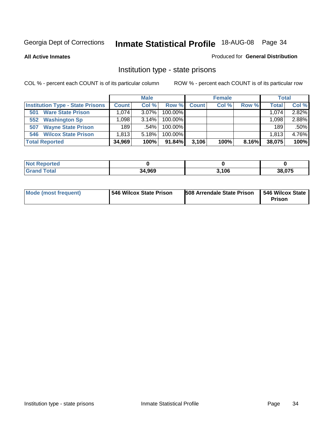**All Active Inmates**

#### Produced for **General Distribution**

### Institution type - state prisons

|                                         |              | <b>Male</b> |            |              | <b>Female</b> |       | <b>Total</b> |       |
|-----------------------------------------|--------------|-------------|------------|--------------|---------------|-------|--------------|-------|
| <b>Institution Type - State Prisons</b> | <b>Count</b> | Col %       | Row %      | <b>Count</b> | Col %         | Row % | <b>Total</b> | Col % |
| <b>Ware State Prison</b><br>501         | .074         | $3.07\%$    | 100.00%    |              |               |       | 1,074        | 2.82% |
| <b>Washington Sp</b><br>552             | .098         | $3.14\%$    | $100.00\%$ |              |               |       | 1.098        | 2.88% |
| <b>Wayne State Prison</b><br>507        | 189          | .54%        | $100.00\%$ |              |               |       | 189          | .50%  |
| <b>Wilcox State Prison</b><br>546       | 1.813        | 5.18%       | $100.00\%$ |              |               |       | 1,813,       | 4.76% |
| <b>Total Reported</b>                   | 34,969       | 100%        | $91.84\%$  | 3,106        | 100%          | 8.16% | 38,075       | 100%  |

| ' Not<br>Reported |        |       |        |
|-------------------|--------|-------|--------|
| <b>Total</b>      | 34,969 | 3.106 | 38,075 |

| <b>Mode (most frequent)</b> | 546 Wilcox State Prison | <b>508 Arrendale State Prison</b> | 546 Wilcox State<br><b>Prison</b> |
|-----------------------------|-------------------------|-----------------------------------|-----------------------------------|
|-----------------------------|-------------------------|-----------------------------------|-----------------------------------|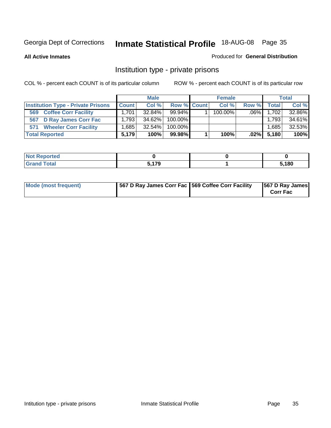#### **All Active Inmates**

#### Produced for **General Distribution**

### Institution type - private prisons

|                                           |              | <b>Male</b> |             | <b>Female</b> |         |               | <b>Total</b> |
|-------------------------------------------|--------------|-------------|-------------|---------------|---------|---------------|--------------|
| <b>Institution Type - Private Prisons</b> | <b>Count</b> | Col %       | Row % Count | Col %         | Row %   | <b>Total</b>  | Col %        |
| <b>Coffee Corr Facility</b><br>569        | 1.701        | $32.84\%$   | $99.94\%$   | $100.00\%$    | $.06\%$ | 1,702         | 32.86%       |
| D Ray James Corr Fac<br>567               | 1.793        | 34.62%      | $100.00\%$  |               |         | 1,793         | 34.61%       |
| <b>Wheeler Corr Facility</b><br>571       | .685         | $32.54\%$   | $100.00\%$  |               |         | 1,685         | 32.53%       |
| <b>Total Reported</b>                     | 5.179        | 100%        | 99.98%      | 100%          |         | $.02\%$ 5,180 | 100%         |

| <b>ported</b><br><b>NOT</b><br>uar |                                  |       |
|------------------------------------|----------------------------------|-------|
| <b>Total</b><br>$\mathbf{v}$ and   | <b>5470</b><br>. 3<br><u>. .</u> | 5,180 |

| <b>Mode (most frequent)</b> | 567 D Ray James Corr Fac 569 Coffee Corr Facility |  | 567 D Ray James<br><b>Corr Fac</b> |
|-----------------------------|---------------------------------------------------|--|------------------------------------|
|-----------------------------|---------------------------------------------------|--|------------------------------------|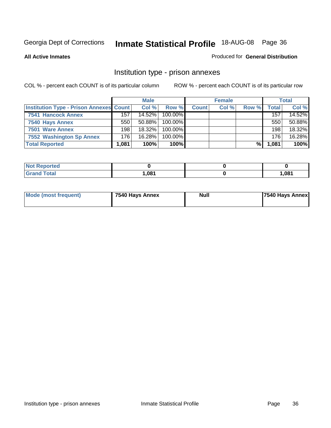#### **All Active Inmates**

#### Produced for **General Distribution**

### Institution type - prison annexes

|                                                |       | <b>Male</b> |            |              | <b>Female</b> |       |       | <b>Total</b> |
|------------------------------------------------|-------|-------------|------------|--------------|---------------|-------|-------|--------------|
| <b>Institution Type - Prison Annexes Count</b> |       | Col %       | Row %I     | <b>Count</b> | Col %         | Row % | Total | Col %        |
| 7541 Hancock Annex                             | 157   | 14.52%      | $100.00\%$ |              |               |       | 157   | 14.52%       |
| 7540 Hays Annex                                | 550   | $50.88\%$   | $100.00\%$ |              |               |       | 550   | 50.88%       |
| 7501 Ware Annex                                | 198   | $18.32\%$   | $100.00\%$ |              |               |       | 198   | 18.32%       |
| 7552 Washington Sp Annex                       | 176   | 16.28%      | 100.00%    |              |               |       | 176   | 16.28%       |
| <b>Total Reported</b>                          | 1.081 | 100%        | 100%       |              |               | %     | 1,081 | 100%         |

| <b>Not Reported</b> |      |       |
|---------------------|------|-------|
| <b>otal</b>         | ,081 | 1,081 |

|  | Mode (most frequent) | 7540 Hays Annex | <b>Null</b> | 7540 Hays Annex |
|--|----------------------|-----------------|-------------|-----------------|
|--|----------------------|-----------------|-------------|-----------------|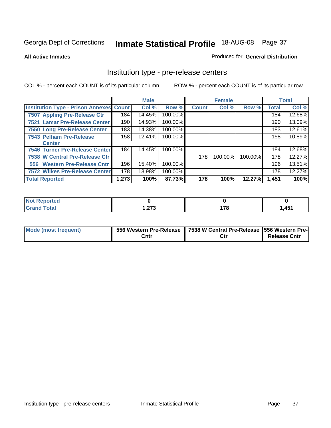#### **All Active Inmates**

#### Produced for **General Distribution**

### Institution type - pre-release centers

|                                                |                  | <b>Male</b> |         |              | <b>Female</b> |         |              | <b>Total</b> |
|------------------------------------------------|------------------|-------------|---------|--------------|---------------|---------|--------------|--------------|
| <b>Institution Type - Prison Annexes Count</b> |                  | Col %       | Row %   | <b>Count</b> | Col %         | Row %   | <b>Total</b> | Col %        |
| 7507 Appling Pre-Release Ctr                   | 184              | 14.45%      | 100.00% |              |               |         | 184          | 12.68%       |
| 7521 Lamar Pre-Release Center                  | 190              | 14.93%      | 100.00% |              |               |         | 190          | 13.09%       |
| 7550 Long Pre-Release Center                   | 183              | 14.38%      | 100.00% |              |               |         | 183          | 12.61%       |
| 7543 Pelham Pre-Release                        | 158 <sub>1</sub> | 12.41%      | 100.00% |              |               |         | 158          | 10.89%       |
| <b>Center</b>                                  |                  |             |         |              |               |         |              |              |
| <b>7546 Turner Pre-Release Center</b>          | 184              | 14.45%      | 100.00% |              |               |         | 184          | 12.68%       |
| 7538 W Central Pre-Release Ctr                 |                  |             |         | 178          | 100.00%       | 100.00% | 178          | 12.27%       |
| 556 Western Pre-Release Cntr                   | 196              | 15.40%      | 100.00% |              |               |         | 196          | 13.51%       |
| <b>7572 Wilkes Pre-Release Center</b>          | 178              | 13.98%      | 100.00% |              |               |         | 178          | 12.27%       |
| <b>Total Reported</b>                          | 1,273            | 100%        | 87.73%  | 178          | 100%          | 12.27%  | 1,451        | 100%         |

| <b>Not</b><br><b>Reported</b> |             |                                 |       |
|-------------------------------|-------------|---------------------------------|-------|
| <b>Total</b>                  | פית<br>.121 | 170<br>$\overline{\phantom{a}}$ | 1,451 |

| Mode (most frequent) |      | 556 Western Pre-Release   7538 W Central Pre-Release   556 Western Pre- |                     |
|----------------------|------|-------------------------------------------------------------------------|---------------------|
|                      | Cntı | Ctr                                                                     | <b>Release Cntr</b> |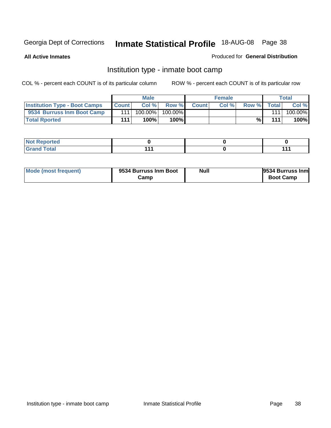**All Active Inmates**

#### Produced for **General Distribution**

### Institution type - inmate boot camp

|                                      |              | <b>Male</b> |               |              | <b>Female</b> |       |       | <b>Total</b> |
|--------------------------------------|--------------|-------------|---------------|--------------|---------------|-------|-------|--------------|
| <b>Institution Type - Boot Camps</b> | <b>Count</b> | Col %       | Row %         | <b>Count</b> | Col%          | Row % | Total | Col %        |
| 9534 Burruss Inm Boot Camp           | 111          | 100.00%     | 100.00%       |              |               |       | 111   | 100.00%      |
| <b>Total Rported</b>                 | 111          | 100%        | 100% <b> </b> |              |               | %     | 111   | 100%         |

| <b>eported</b><br><b>NOT</b><br>$\sim$ . The set of $\sim$<br>. |     |     |
|-----------------------------------------------------------------|-----|-----|
| $f \circ f \circ f$                                             | 44, | 444 |

| Mode (most frequent) | 9534 Burruss Inm Boot | <b>Null</b> | 9534 Burruss Inm |
|----------------------|-----------------------|-------------|------------------|
|                      | Camp                  |             | <b>Boot Camp</b> |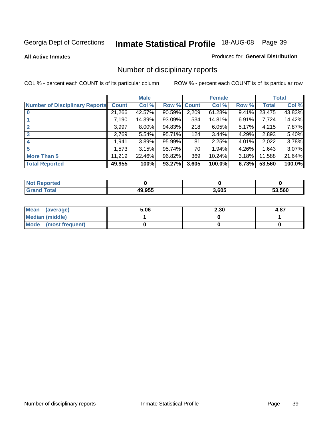**All Active Inmates**

#### Produced for **General Distribution**

# Number of disciplinary reports

|                                       |              | <b>Male</b> |        |              | <b>Female</b> |          |              | <b>Total</b> |
|---------------------------------------|--------------|-------------|--------|--------------|---------------|----------|--------------|--------------|
| <b>Number of Disciplinary Reports</b> | <b>Count</b> | Col %       | Row %  | <b>Count</b> | Col %         | Row %    | <b>Total</b> | Col %        |
|                                       | 21,266       | 42.57%      | 90.59% | 2,209        | $61.28\%$     | 9.41%    | 23,475       | 43.83%       |
|                                       | 7,190        | 14.39%      | 93.09% | 534          | 14.81%        | $6.91\%$ | 7,724        | 14.42%       |
| 2                                     | 3,997        | $8.00\%$    | 94.83% | 218          | 6.05%         | $5.17\%$ | 4,215        | 7.87%        |
| 3                                     | 2,769        | 5.54%       | 95.71% | 124          | 3.44%         | 4.29%    | 2,893        | 5.40%        |
|                                       | .941         | 3.89%       | 95.99% | 81           | 2.25%         | $4.01\%$ | 2,022        | 3.78%        |
| 5                                     | 1,573        | 3.15%       | 95.74% | 70           | 1.94%         | 4.26%    | 1,643        | 3.07%        |
| <b>More Than 5</b>                    | 11,219       | 22.46%      | 96.82% | 369          | 10.24%        | 3.18%    | 11,588       | 21.64%       |
| <b>Total Reported</b>                 | 49,955       | 100%        | 93.27% | 3,605        | 100.0%        | 6.73%    | 53,560       | 100.0%       |

| rtec<br>NG   |               |       |      |
|--------------|---------------|-------|------|
| <b>cotal</b> | <b>AQ Q55</b> | 3,605 | .560 |

| Mean (average)         | 5.06 | 2.30 | 4.87 |
|------------------------|------|------|------|
| <b>Median (middle)</b> |      |      |      |
| Mode (most frequent)   |      |      |      |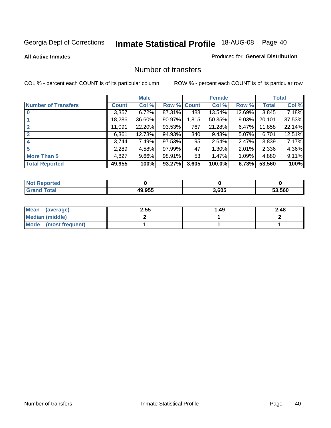#### **All Active Inmates**

### Produced for **General Distribution**

### Number of transfers

|                            |         | <b>Male</b> |        |             | <b>Female</b> |          |              | <b>Total</b> |
|----------------------------|---------|-------------|--------|-------------|---------------|----------|--------------|--------------|
| <b>Number of Transfers</b> | Count l | Col %       |        | Row % Count | Col %         | Row %    | <b>Total</b> | Col %        |
|                            | 3,357   | 6.72%       | 87.31% | 488         | 13.54%        | 12.69%   | 3,845        | 7.18%        |
|                            | 18,286  | 36.60%      | 90.97% | 1,815       | 50.35%        | $9.03\%$ | 20,101       | 37.53%       |
|                            | 11,091  | 22.20%      | 93.53% | 767         | 21.28%        | 6.47%    | 11,858       | 22.14%       |
| 3                          | 6,361   | 12.73%      | 94.93% | 340         | 9.43%         | $5.07\%$ | 6,701        | 12.51%       |
|                            | 3,744   | 7.49%       | 97.53% | 95          | 2.64%         | $2.47\%$ | 3,839        | 7.17%        |
| 5                          | 2,289   | 4.58%       | 97.99% | 47          | 1.30%         | $2.01\%$ | 2,336        | 4.36%        |
| <b>More Than 5</b>         | 4,827   | $9.66\%$    | 98.91% | 53          | 1.47%         | 1.09%    | 4,880        | 9.11%        |
| <b>Total Reported</b>      | 49,955  | 100%        | 93.27% | 3,605       | 100.0%        | 6.73%    | 53,560       | 100%         |

| rtec<br>NG   |               |       |      |
|--------------|---------------|-------|------|
| <b>cotal</b> | <b>AQ Q55</b> | 3,605 | .560 |

| Mean (average)         | 2.55 | 49. ا | 2.48 |
|------------------------|------|-------|------|
| <b>Median (middle)</b> |      |       |      |
| Mode (most frequent)   |      |       |      |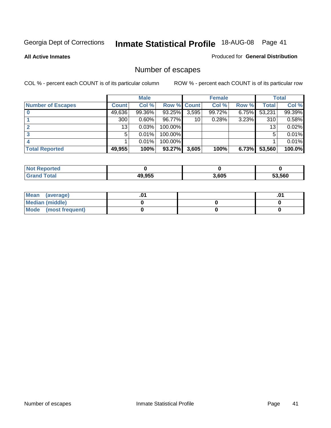**All Active Inmates**

#### Produced for **General Distribution**

# Number of escapes

|                          |         | <b>Male</b> |                    |       | <b>Female</b> |       |        | <b>Total</b> |
|--------------------------|---------|-------------|--------------------|-------|---------------|-------|--------|--------------|
| <b>Number of Escapes</b> | Count l | Col %       | <b>Row % Count</b> |       | Col %         | Row % | Total  | Col %        |
|                          | 49,636  | 99.36%      | 93.25%             | 3,595 | 99.72%        | 6.75% | 53,231 | 99.39%       |
|                          | 300     | $0.60\%$    | 96.77%             | 10    | 0.28%         | 3.23% | 310    | 0.58%        |
|                          | 13      | 0.03%       | 100.00%            |       |               |       | 13     | 0.02%        |
|                          | 5.      | 0.01%       | 100.00%            |       |               |       | 5      | 0.01%        |
|                          |         | 0.01%       | 100.00%            |       |               |       |        | 0.01%        |
| <b>Total Reported</b>    | 49,955  | 100%        | 93.27%             | 3,605 | 100%          | 6.73% | 53,560 | 100.0%       |

| тео      |        |       |        |
|----------|--------|-------|--------|
| $T0$ tol | 49.955 | 3.605 | 53.560 |

| Mean<br>(average)    |  | 0. |
|----------------------|--|----|
| Median (middle)      |  |    |
| Mode (most frequent) |  |    |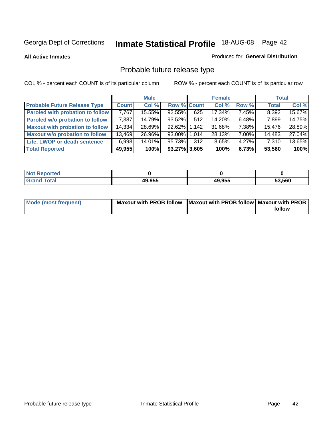**All Active Inmates**

#### Produced for **General Distribution**

# Probable future release type

|                                         |              | <b>Male</b> |                    |     | <b>Female</b> |          | <b>Total</b> |        |
|-----------------------------------------|--------------|-------------|--------------------|-----|---------------|----------|--------------|--------|
| <b>Probable Future Release Type</b>     | <b>Count</b> | Col %       | <b>Row % Count</b> |     | Col %         | Row %    | <b>Total</b> | Col %  |
| <b>Paroled with probation to follow</b> | 7,767        | 15.55%      | $92.55\%$          | 625 | 17.34%        | 7.45%    | 8,392        | 15.67% |
| Paroled w/o probation to follow         | 7,387        | 14.79%      | 93.52%             | 512 | 14.20%        | $6.48\%$ | 7,899        | 14.75% |
| <b>Maxout with probation to follow</b>  | 14,334       | 28.69%      | 92.62% 1.142       |     | 31.68%        | 7.38%    | 15,476       | 28.89% |
| <b>Maxout w/o probation to follow</b>   | 13,469       | 26.96%      | 93.00% 1.014       |     | 28.13%        | $7.00\%$ | 14,483       | 27.04% |
| Life, LWOP or death sentence            | 6,998        | 14.01%      | 95.73%             | 312 | 8.65%         | $4.27\%$ | 7,310        | 13.65% |
| <b>Total Reported</b>                   | 49,955       | 100%        | 93.27% 3,605       |     | 100%          | 6.73%    | 53,560       | 100%   |

| <b>Noi</b><br>Reported      |        |        |        |
|-----------------------------|--------|--------|--------|
| <b>Tota</b><br><b>Granu</b> | 49,955 | 49,955 | 53,560 |

| Mode (most frequent) | Maxout with PROB follow   Maxout with PROB follow   Maxout with PROB |        |
|----------------------|----------------------------------------------------------------------|--------|
|                      |                                                                      | follow |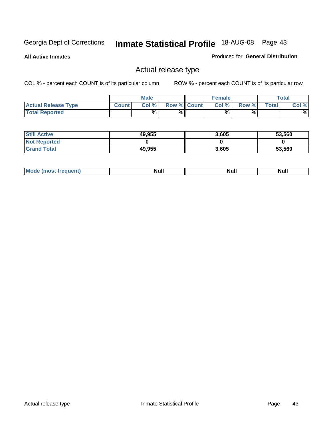**All Active Inmates**

### Produced for **General Distribution**

### Actual release type

|                            |              | <b>Male</b> |                    | <b>Female</b> |       |       | Total |
|----------------------------|--------------|-------------|--------------------|---------------|-------|-------|-------|
| <b>Actual Release Type</b> | <b>Count</b> | Col %       | <b>Row % Count</b> | Col %1        | Row % | Total | Col % |
| <b>Total Reported</b>      |              | %           | %                  | %             | %     |       | %     |

| <b>Still Active</b> | 49,955 | 3,605 | 53,560 |
|---------------------|--------|-------|--------|
| <b>Not Reported</b> |        |       |        |
| <b>Grand Total</b>  | 49,955 | 3,605 | 53,560 |

| īМ | м.<br>$-$ - $-$ - $-$ - $-$ | Null | $\cdots$ |
|----|-----------------------------|------|----------|
|    |                             |      |          |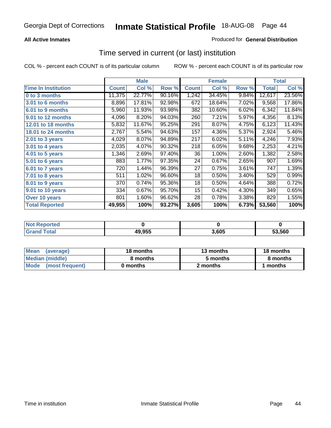### **All Active Inmates**

### Produced for **General Distribution**

### Time served in current (or last) institution

|                            |              | <b>Male</b> |        |              | <b>Female</b> |       |              | <b>Total</b> |
|----------------------------|--------------|-------------|--------|--------------|---------------|-------|--------------|--------------|
| <b>Time In Institution</b> | <b>Count</b> | Col %       | Row %  | <b>Count</b> | Col %         | Row % | <b>Total</b> | Col %        |
| 0 to 3 months              | 11,375       | 22.77%      | 90.16% | 1,242        | 34.45%        | 9.84% | 12,617       | 23.56%       |
| 3.01 to 6 months           | 8,896        | 17.81%      | 92.98% | 672          | 18.64%        | 7.02% | 9,568        | 17.86%       |
| 6.01 to 9 months           | 5,960        | 11.93%      | 93.98% | 382          | 10.60%        | 6.02% | 6,342        | 11.84%       |
| 9.01 to 12 months          | 4,096        | 8.20%       | 94.03% | 260          | 7.21%         | 5.97% | 4,356        | 8.13%        |
| 12.01 to 18 months         | 5,832        | 11.67%      | 95.25% | 291          | 8.07%         | 4.75% | 6,123        | 11.43%       |
| 18.01 to 24 months         | 2,767        | 5.54%       | 94.63% | 157          | 4.36%         | 5.37% | 2,924        | 5.46%        |
| 2.01 to 3 years            | 4,029        | 8.07%       | 94.89% | 217          | 6.02%         | 5.11% | 4,246        | 7.93%        |
| 3.01 to 4 years            | 2,035        | 4.07%       | 90.32% | 218          | 6.05%         | 9.68% | 2,253        | 4.21%        |
| 4.01 to 5 years            | 1,346        | 2.69%       | 97.40% | 36           | 1.00%         | 2.60% | 1,382        | 2.58%        |
| 5.01 to 6 years            | 883          | 1.77%       | 97.35% | 24           | 0.67%         | 2.65% | 907          | 1.69%        |
| 6.01 to 7 years            | 720          | 1.44%       | 96.39% | 27           | 0.75%         | 3.61% | 747          | 1.39%        |
| 7.01 to 8 years            | 511          | 1.02%       | 96.60% | 18           | 0.50%         | 3.40% | 529          | 0.99%        |
| 8.01 to 9 years            | 370          | 0.74%       | 95.36% | 18           | 0.50%         | 4.64% | 388          | 0.72%        |
| 9.01 to 10 years           | 334          | 0.67%       | 95.70% | 15           | 0.42%         | 4.30% | 349          | 0.65%        |
| Over 10 years              | 801          | 1.60%       | 96.62% | 28           | 0.78%         | 3.38% | 829          | 1.55%        |
| <b>Total Reported</b>      | 49,955       | 100%        | 93.27% | 3,605        | 100%          | 6.73% | 53,560       | 100%         |

| <b>NOT</b><br>prteol |        |      |        |
|----------------------|--------|------|--------|
| `otal                | 49,955 | .605 | 53.560 |

| <b>Mean</b><br>(average) | 18 months | 13 months | 18 months |
|--------------------------|-----------|-----------|-----------|
| Median (middle)          | 8 months  | 5 months  | 8 months  |
| Mode<br>(most frequent)  | 0 months  | 2 months  | months    |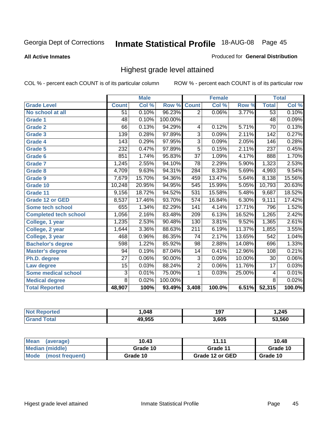#### **All Active Inmates**

#### Produced for **General Distribution**

### Highest grade level attained

|                              |                  | <b>Male</b> |         |                  | <b>Female</b>             |        |                  | <b>Total</b> |
|------------------------------|------------------|-------------|---------|------------------|---------------------------|--------|------------------|--------------|
| <b>Grade Level</b>           | <b>Count</b>     | Col %       | Row %   | <b>Count</b>     | $\overline{\text{Col}}$ % | Row %  | <b>Total</b>     | Col %        |
| No school at all             | 51               | 0.10%       | 96.23%  | $\overline{2}$   | 0.06%                     | 3.77%  | 53               | 0.10%        |
| <b>Grade 1</b>               | $\overline{48}$  | 0.10%       | 100.00% |                  |                           |        | $\overline{48}$  | 0.09%        |
| <b>Grade 2</b>               | 66               | 0.13%       | 94.29%  | 4                | 0.12%                     | 5.71%  | $\overline{70}$  | 0.13%        |
| <b>Grade 3</b>               | $\overline{139}$ | 0.28%       | 97.89%  | $\overline{3}$   | 0.09%                     | 2.11%  | 142              | 0.27%        |
| Grade 4                      | $\overline{143}$ | 0.29%       | 97.95%  | $\overline{3}$   | 0.09%                     | 2.05%  | 146              | 0.28%        |
| Grade 5                      | 232              | 0.47%       | 97.89%  | $\overline{5}$   | 0.15%                     | 2.11%  | 237              | 0.45%        |
| Grade 6                      | 851              | 1.74%       | 95.83%  | $\overline{37}$  | 1.09%                     | 4.17%  | 888              | 1.70%        |
| <b>Grade 7</b>               | 1,245            | 2.55%       | 94.10%  | $\overline{78}$  | 2.29%                     | 5.90%  | 1,323            | 2.53%        |
| Grade 8                      | 4,709            | 9.63%       | 94.31%  | 284              | 8.33%                     | 5.69%  | 4,993            | 9.54%        |
| Grade 9                      | 7,679            | 15.70%      | 94.36%  | 459              | 13.47%                    | 5.64%  | 8,138            | 15.56%       |
| Grade 10                     | 10,248           | 20.95%      | 94.95%  | 545              | 15.99%                    | 5.05%  | 10,793           | 20.63%       |
| Grade 11                     | 9,156            | 18.72%      | 94.52%  | 531              | 15.58%                    | 5.48%  | 9,687            | 18.52%       |
| <b>Grade 12 or GED</b>       | 8,537            | 17.46%      | 93.70%  | $\overline{574}$ | 16.84%                    | 6.30%  | 9,111            | 17.42%       |
| Some tech school             | 655              | 1.34%       | 82.29%  | 141              | 4.14%                     | 17.71% | 796              | 1.52%        |
| <b>Completed tech school</b> | 1,056            | 2.16%       | 83.48%  | 209              | 6.13%                     | 16.52% | 1,265            | 2.42%        |
| College, 1 year              | 1,235            | 2.53%       | 90.48%  | 130              | 3.81%                     | 9.52%  | 1,365            | 2.61%        |
| College, 2 year              | 1,644            | 3.36%       | 88.63%  | $\overline{211}$ | 6.19%                     | 11.37% | 1,855            | 3.55%        |
| College, 3 year              | 468              | 0.96%       | 86.35%  | $\overline{74}$  | 2.17%                     | 13.65% | $\overline{542}$ | 1.04%        |
| <b>Bachelor's degree</b>     | 598              | 1.22%       | 85.92%  | $\overline{98}$  | 2.88%                     | 14.08% | 696              | 1.33%        |
| <b>Master's degree</b>       | 94               | 0.19%       | 87.04%  | 14               | 0.41%                     | 12.96% | 108              | 0.21%        |
| Ph.D. degree                 | $\overline{27}$  | 0.06%       | 90.00%  | 3                | 0.09%                     | 10.00% | 30               | $0.06\%$     |
| Law degree                   | $\overline{15}$  | 0.03%       | 88.24%  | $\overline{2}$   | 0.06%                     | 11.76% | $\overline{17}$  | 0.03%        |
| <b>Some medical school</b>   | $\overline{3}$   | 0.01%       | 75.00%  | 1                | 0.03%                     | 25.00% | 4                | 0.01%        |
| <b>Medical degree</b>        | $\overline{8}$   | 0.02%       | 100.00% |                  |                           |        | $\overline{8}$   | 0.02%        |
| <b>Total Reported</b>        | 48,907           | 100%        | 93.49%  | 3,408            | 100.0%                    | 6.51%  | 52,315           | 100.0%       |

| 048    | 197  | ,245   |
|--------|------|--------|
| 10 OEE | 605، | 53.560 |

| <b>Mean</b><br>(average) | 10.43    | 11.11           | 10.48    |
|--------------------------|----------|-----------------|----------|
| Median (middle)          | Grade 10 | Grade 11        | Grade 10 |
| Mode<br>(most frequent)  | Grade 10 | Grade 12 or GED | Grade 10 |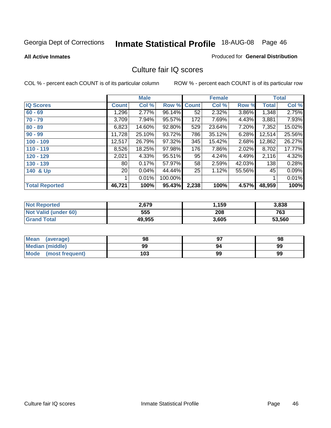#### **All Active Inmates**

# Produced for **General Distribution**

### Culture fair IQ scores

|                       |                 | <b>Male</b> |         |              | <b>Female</b> |        |        | <b>Total</b> |
|-----------------------|-----------------|-------------|---------|--------------|---------------|--------|--------|--------------|
| <b>IQ Scores</b>      | <b>Count</b>    | Col %       | Row %   | <b>Count</b> | Col %         | Row %  | Total  | Col %        |
| $60 - 69$             | .296            | 2.77%       | 96.14%  | 52           | 2.32%         | 3.86%  | 1,348  | 2.75%        |
| $70 - 79$             | 3,709           | 7.94%       | 95.57%  | 172          | 7.69%         | 4.43%  | 3,881  | 7.93%        |
| $80 - 89$             | 6,823           | 14.60%      | 92.80%  | 529          | 23.64%        | 7.20%  | 7,352  | 15.02%       |
| $90 - 99$             | 11,728          | 25.10%      | 93.72%  | 786          | 35.12%        | 6.28%  | 12,514 | 25.56%       |
| $100 - 109$           | 12,517          | 26.79%      | 97.32%  | 345          | 15.42%        | 2.68%  | 12,862 | 26.27%       |
| $110 - 119$           | 8,526           | 18.25%      | 97.98%  | 176          | 7.86%         | 2.02%  | 8,702  | 17.77%       |
| 120 - 129             | 2,021           | 4.33%       | 95.51%  | 95           | 4.24%         | 4.49%  | 2,116  | 4.32%        |
| 130 - 139             | 80 <sub>1</sub> | 0.17%       | 57.97%  | 58           | 2.59%         | 42.03% | 138    | 0.28%        |
| 140 & Up              | 20 <sub>1</sub> | 0.04%       | 44.44%  | 25           | 1.12%         | 55.56% | 45     | 0.09%        |
|                       |                 | 0.01%       | 100.00% |              |               |        | 1      | 0.01%        |
| <b>Total Reported</b> | 46,721          | 100%        | 95.43%  | 2,238        | 100%          | 4.57%  | 48,959 | 100%         |

| <b>Not Reported</b>  | 2,679  | ,159  | 3,838  |
|----------------------|--------|-------|--------|
| Not Valid (under 60) | 555    | 208   | 763    |
| <b>Grand Total</b>   | 49,955 | 3,605 | 53,560 |

| <b>Mean</b><br>(average) | 98  | כח | 98 |
|--------------------------|-----|----|----|
| <b>Median (middle)</b>   | 99  | 94 | 99 |
| Mode (most frequent)     | 103 | 99 | 99 |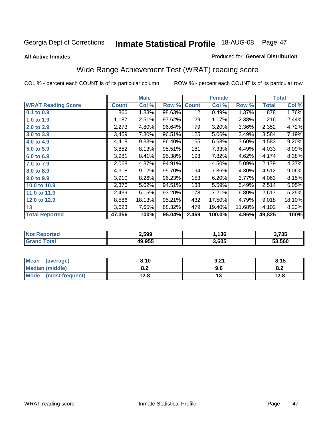#### **All Active Inmates**

#### Produced for **General Distribution**

# Wide Range Achievement Test (WRAT) reading score

|                           |              | <b>Male</b> |        |              | <b>Female</b> |        |              | <b>Total</b> |
|---------------------------|--------------|-------------|--------|--------------|---------------|--------|--------------|--------------|
| <b>WRAT Reading Score</b> | <b>Count</b> | Col %       | Row %  | <b>Count</b> | Col %         | Row %  | <b>Total</b> | Col %        |
| 0.1 to 0.9                | 866          | 1.83%       | 98.63% | 12           | 0.49%         | 1.37%  | 878          | 1.76%        |
| 1.0 to 1.9                | 1,187        | 2.51%       | 97.62% | 29           | 1.17%         | 2.38%  | 1,216        | 2.44%        |
| 2.0 to 2.9                | 2,273        | 4.80%       | 96.64% | 79           | 3.20%         | 3.36%  | 2,352        | 4.72%        |
| 3.0 to 3.9                | 3,459        | 7.30%       | 96.51% | 125          | 5.06%         | 3.49%  | 3,584        | 7.19%        |
| 4.0 to 4.9                | 4,418        | 9.33%       | 96.40% | 165          | 6.68%         | 3.60%  | 4,583        | 9.20%        |
| 5.0 to 5.9                | 3,852        | 8.13%       | 95.51% | 181          | 7.33%         | 4.49%  | 4,033        | 8.09%        |
| 6.0 to 6.9                | 3,981        | 8.41%       | 95.38% | 193          | 7.82%         | 4.62%  | 4,174        | 8.38%        |
| 7.0 to 7.9                | 2,068        | 4.37%       | 94.91% | 111          | 4.50%         | 5.09%  | 2,179        | 4.37%        |
| 8.0 to 8.9                | 4,318        | 9.12%       | 95.70% | 194          | 7.86%         | 4.30%  | 4,512        | $9.06\%$     |
| 9.0 to 9.9                | 3,910        | 8.26%       | 96.23% | 153          | 6.20%         | 3.77%  | 4,063        | 8.15%        |
| 10.0 to 10.9              | 2,376        | 5.02%       | 94.51% | 138          | 5.59%         | 5.49%  | 2,514        | 5.05%        |
| 11.0 to 11.9              | 2,439        | 5.15%       | 93.20% | 178          | 7.21%         | 6.80%  | 2,617        | 5.25%        |
| 12.0 to 12.9              | 8,586        | 18.13%      | 95.21% | 432          | 17.50%        | 4.79%  | 9,018        | 18.10%       |
| 13                        | 3,623        | 7.65%       | 88.32% | 479          | 19.40%        | 11.68% | 4,102        | 8.23%        |
| <b>Total Reported</b>     | 47,356       | 100%        | 95.04% | 2,469        | 100.0%        | 4.96%  | 49,825       | 100%         |

| orted<br>NO | 2.599  | .136.، | 3,735  |
|-------------|--------|--------|--------|
|             | 49.955 | 3,605  | 53.560 |

| <b>Mean</b><br>(average) | 8.10           | 9.21 | 8.15 |
|--------------------------|----------------|------|------|
| Median (middle)          | י ה<br>0.Z     | ນ.ບ  | О.Д  |
| Mode<br>(most frequent)  | 1 2 9<br>I ∠.O | יי   | 12.8 |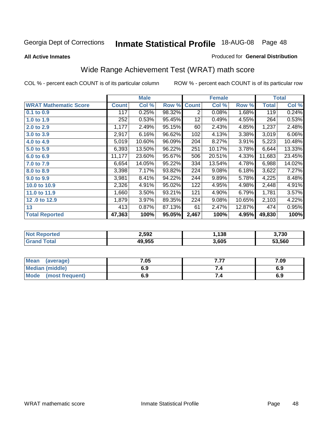**All Active Inmates**

#### Produced for **General Distribution**

# Wide Range Achievement Test (WRAT) math score

|                              |              | <b>Male</b> |        |              | <b>Female</b> |        |              | <b>Total</b> |
|------------------------------|--------------|-------------|--------|--------------|---------------|--------|--------------|--------------|
| <b>WRAT Mathematic Score</b> | <b>Count</b> | Col %       | Row %  | <b>Count</b> | Col %         | Row %  | <b>Total</b> | Col %        |
| 0.1 to 0.9                   | 117          | 0.25%       | 98.32% | 2            | 0.08%         | 1.68%  | 119          | 0.24%        |
| 1.0 to 1.9                   | 252          | 0.53%       | 95.45% | 12           | 0.49%         | 4.55%  | 264          | 0.53%        |
| 2.0 to 2.9                   | 1,177        | 2.49%       | 95.15% | 60           | 2.43%         | 4.85%  | 1,237        | 2.48%        |
| 3.0 to 3.9                   | 2,917        | 6.16%       | 96.62% | 102          | 4.13%         | 3.38%  | 3,019        | 6.06%        |
| 4.0 to 4.9                   | 5,019        | 10.60%      | 96.09% | 204          | 8.27%         | 3.91%  | 5,223        | 10.48%       |
| 5.0 to 5.9                   | 6,393        | 13.50%      | 96.22% | 251          | 10.17%        | 3.78%  | 6,644        | 13.33%       |
| 6.0 to 6.9                   | 11,177       | 23.60%      | 95.67% | 506          | 20.51%        | 4.33%  | 11,683       | 23.45%       |
| 7.0 to 7.9                   | 6,654        | 14.05%      | 95.22% | 334          | 13.54%        | 4.78%  | 6,988        | 14.02%       |
| 8.0 to 8.9                   | 3,398        | 7.17%       | 93.82% | 224          | 9.08%         | 6.18%  | 3,622        | 7.27%        |
| 9.0 to 9.9                   | 3,981        | 8.41%       | 94.22% | 244          | 9.89%         | 5.78%  | 4,225        | 8.48%        |
| 10.0 to 10.9                 | 2,326        | 4.91%       | 95.02% | 122          | 4.95%         | 4.98%  | 2,448        | 4.91%        |
| 11.0 to 11.9                 | 1,660        | 3.50%       | 93.21% | 121          | 4.90%         | 6.79%  | 1,781        | 3.57%        |
| 12.0 to 12.9                 | 1,879        | 3.97%       | 89.35% | 224          | 9.08%         | 10.65% | 2,103        | 4.22%        |
| 13                           | 413          | 0.87%       | 87.13% | 61           | 2.47%         | 12.87% | 474          | 0.95%        |
| <b>Total Reported</b>        | 47,363       | 100%        | 95.05% | 2,467        | 100%          | 4.95%  | 49,830       | 100%         |

| 2,592  | .138  | 3,730  |
|--------|-------|--------|
| 19.955 | 3,605 | 53.560 |

| Mean<br>(average)       | 7.05 | , ,,<br>. | 7.09 |
|-------------------------|------|-----------|------|
| Median (middle)         | 6.9  |           | 6.9  |
| Mode<br>(most frequent) | 6.9  | 7.4       | 6.9  |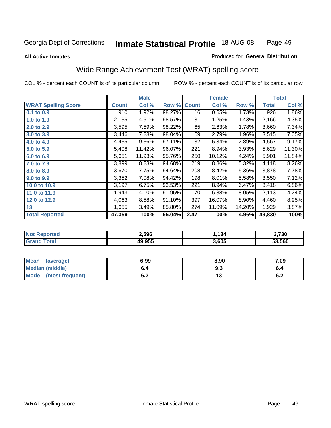#### **All Active Inmates**

#### Produced for **General Distribution**

### Wide Range Achievement Test (WRAT) spelling score

|                            |              | <b>Male</b> |        |              | <b>Female</b> |          |              | <b>Total</b> |
|----------------------------|--------------|-------------|--------|--------------|---------------|----------|--------------|--------------|
| <b>WRAT Spelling Score</b> | <b>Count</b> | Col %       | Row %  | <b>Count</b> | Col %         | Row %    | <b>Total</b> | Col %        |
| 0.1 to 0.9                 | 910          | 1.92%       | 98.27% | 16           | 0.65%         | 1.73%    | 926          | 1.86%        |
| 1.0 to 1.9                 | 2,135        | 4.51%       | 98.57% | 31           | 1.25%         | 1.43%    | 2,166        | 4.35%        |
| 2.0 to 2.9                 | 3,595        | 7.59%       | 98.22% | 65           | 2.63%         | 1.78%    | 3,660        | 7.34%        |
| 3.0 to 3.9                 | 3,446        | 7.28%       | 98.04% | 69           | 2.79%         | 1.96%    | 3,515        | 7.05%        |
| 4.0 to 4.9                 | 4,435        | 9.36%       | 97.11% | 132          | 5.34%         | 2.89%    | 4,567        | 9.17%        |
| 5.0 to 5.9                 | 5,408        | 11.42%      | 96.07% | 221          | 8.94%         | 3.93%    | 5,629        | 11.30%       |
| 6.0 to 6.9                 | 5,651        | 11.93%      | 95.76% | 250          | 10.12%        | 4.24%    | 5,901        | 11.84%       |
| 7.0 to 7.9                 | 3,899        | 8.23%       | 94.68% | 219          | 8.86%         | 5.32%    | 4,118        | 8.26%        |
| 8.0 to 8.9                 | 3,670        | 7.75%       | 94.64% | 208          | 8.42%         | 5.36%    | 3,878        | 7.78%        |
| 9.0 to 9.9                 | 3,352        | 7.08%       | 94.42% | 198          | 8.01%         | 5.58%    | 3,550        | 7.12%        |
| 10.0 to 10.9               | 3,197        | 6.75%       | 93.53% | 221          | 8.94%         | 6.47%    | 3,418        | 6.86%        |
| 11.0 to 11.9               | 1,943        | 4.10%       | 91.95% | 170          | 6.88%         | 8.05%    | 2,113        | 4.24%        |
| 12.0 to 12.9               | 4,063        | 8.58%       | 91.10% | 397          | 16.07%        | $8.90\%$ | 4,460        | 8.95%        |
| 13                         | 1,655        | 3.49%       | 85.80% | 274          | 11.09%        | 14.20%   | 1,929        | 3.87%        |
| <b>Total Reported</b>      | 47,359       | 100%        | 95.04% | 2,471        | 100%          | 4.96%    | 49,830       | 100%         |

| 2,596  | .134  | 3,730  |
|--------|-------|--------|
| 49.955 | 3.605 | 53.560 |

| <b>Mean</b><br>(average)       | 6.99       | 8.90 | 7.09 |
|--------------------------------|------------|------|------|
| Median (middle)                | o.4        | ৬.১  |      |
| <b>Mode</b><br>(most frequent) | . .<br>ν.∠ | . .  | ν.Ζ  |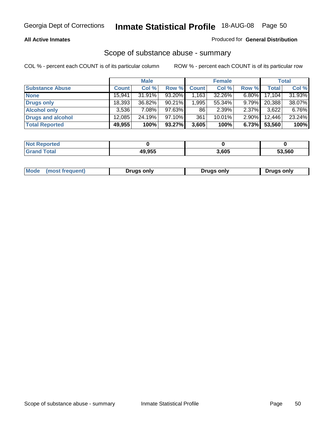#### **All Active Inmates**

### Produced for **General Distribution**

### Scope of substance abuse - summary

|                        |              | <b>Male</b> |           |              | <b>Female</b> |          |              | <b>Total</b> |
|------------------------|--------------|-------------|-----------|--------------|---------------|----------|--------------|--------------|
| <b>Substance Abuse</b> | <b>Count</b> | Col %       | Row %     | <b>Count</b> | Col %         | Row %    | <b>Total</b> | Col %        |
| <b>None</b>            | 15,941       | 31.91%      | 93.20%    | .163         | 32.26%        | $6.80\%$ | 17,104       | 31.93%       |
| <b>Drugs only</b>      | 18,393       | 36.82%      | $90.21\%$ | 1,995        | 55.34%        | $9.79\%$ | 20,388       | 38.07%       |
| <b>Alcohol only</b>    | 3.536        | $7.08\%$    | 97.63%    | 86           | 2.39%         | $2.37\%$ | 3,622        | 6.76%        |
| Drugs and alcohol      | 12,085       | 24.19%      | $97.10\%$ | 361          | $10.01\%$     | $2.90\%$ | 12,446       | 23.24%       |
| <b>Total Reported</b>  | 49,955       | 100%        | 93.27%    | 3,605        | 100%          | 6.73%    | 53,560       | 100%         |

| <b>Not Reported</b>   |        |       |        |
|-----------------------|--------|-------|--------|
| <b>Grand</b><br>™otal | 49.955 | 3,605 | 53,560 |

| Drugs only | Mode<br>(most frequent) | Drugs only | Drugs only |
|------------|-------------------------|------------|------------|
|------------|-------------------------|------------|------------|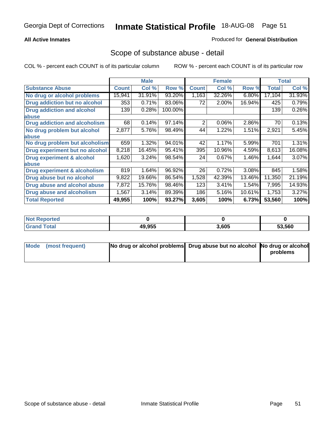### **All Active Inmates**

#### Produced for **General Distribution**

### Scope of substance abuse - detail

|                                      |              | <b>Male</b> |         |              | <b>Female</b> |        |              | <b>Total</b> |
|--------------------------------------|--------------|-------------|---------|--------------|---------------|--------|--------------|--------------|
| <b>Substance Abuse</b>               | <b>Count</b> | Col %       | Row %   | <b>Count</b> | Col %         | Row %  | <b>Total</b> | Col %        |
| No drug or alcohol problems          | 15,941       | 31.91%      | 93.20%  | 1,163        | 32.26%        | 6.80%  | 17,104       | 31.93%       |
| Drug addiction but no alcohol        | 353          | 0.71%       | 83.06%  | 72           | 2.00%         | 16.94% | 425          | 0.79%        |
| <b>Drug addiction and alcohol</b>    | 139          | 0.28%       | 100.00% |              |               |        | 139          | 0.26%        |
| <b>labuse</b>                        |              |             |         |              |               |        |              |              |
| <b>Drug addiction and alcoholism</b> | 68           | 0.14%       | 97.14%  | 2            | 0.06%         | 2.86%  | 70           | 0.13%        |
| No drug problem but alcohol          | 2,877        | 5.76%       | 98.49%  | 44           | 1.22%         | 1.51%  | 2,921        | 5.45%        |
| <b>labuse</b>                        |              |             |         |              |               |        |              |              |
| No drug problem but alcoholism       | 659          | 1.32%       | 94.01%  | 42           | 1.17%         | 5.99%  | 701          | 1.31%        |
| Drug experiment but no alcohol       | 8,218        | 16.45%      | 95.41%  | 395          | 10.96%        | 4.59%  | 8,613        | 16.08%       |
| <b>Drug experiment &amp; alcohol</b> | 1,620        | 3.24%       | 98.54%  | 24           | 0.67%         | 1.46%  | 1,644        | 3.07%        |
| <b>labuse</b>                        |              |             |         |              |               |        |              |              |
| Drug experiment & alcoholism         | 819          | 1.64%       | 96.92%  | 26           | 0.72%         | 3.08%  | 845          | 1.58%        |
| Drug abuse but no alcohol            | 9,822        | 19.66%      | 86.54%  | 1,528        | 42.39%        | 13.46% | 11,350       | 21.19%       |
| Drug abuse and alcohol abuse         | 7,872        | 15.76%      | 98.46%  | 123          | 3.41%         | 1.54%  | 7,995        | 14.93%       |
| <b>Drug abuse and alcoholism</b>     | 1,567        | 3.14%       | 89.39%  | 186          | 5.16%         | 10.61% | 1,753        | 3.27%        |
| <b>Total Reported</b>                | 49,955       | 100%        | 93.27%  | 3,605        | 100%          | 6.73%  | 53,560       | 100%         |

| <b>Reported</b><br><b>NOT</b> |        |       |        |
|-------------------------------|--------|-------|--------|
| 'otal                         | 49.955 | 3.605 | 53.560 |

| Mode (most frequent) | No drug or alcohol problems Drug abuse but no alcohol No drug or alcohol |          |
|----------------------|--------------------------------------------------------------------------|----------|
|                      |                                                                          | problems |
|                      |                                                                          |          |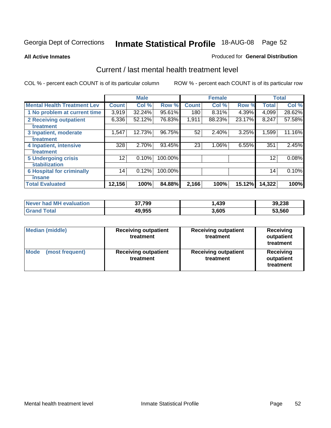#### **All Active Inmates**

#### Produced for **General Distribution**

### Current / last mental health treatment level

|                                    |              | <b>Male</b> |         |              | <b>Female</b> |        |              | <b>Total</b> |
|------------------------------------|--------------|-------------|---------|--------------|---------------|--------|--------------|--------------|
| <b>Mental Health Treatment Lev</b> | <b>Count</b> | Col%        | Row %   | <b>Count</b> | Col%          | Row %  | <b>Total</b> | Col %        |
| 1 No problem at current time       | 3,919        | 32.24%      | 95.61%  | 180          | 8.31%         | 4.39%  | 4,099        | 28.62%       |
| <b>2 Receiving outpatient</b>      | 6,336        | 52.12%      | 76.83%  | 1,911        | 88.23%        | 23.17% | 8,247        | 57.58%       |
| treatment                          |              |             |         |              |               |        |              |              |
| 3 Inpatient, moderate              | 1,547        | 12.73%      | 96.75%  | 52           | 2.40%         | 3.25%  | 1,599        | 11.16%       |
| treatment                          |              |             |         |              |               |        |              |              |
| 4 Inpatient, intensive             | 328          | 2.70%       | 93.45%  | 23           | 1.06%         | 6.55%  | 351          | 2.45%        |
| treatment                          |              |             |         |              |               |        |              |              |
| <b>5 Undergoing crisis</b>         | 12           | 0.10%       | 100.00% |              |               |        | 12           | 0.08%        |
| stabilization                      |              |             |         |              |               |        |              |              |
| <b>6 Hospital for criminally</b>   | 14           | 0.12%       | 100.00% |              |               |        | 14           | 0.10%        |
| insane                             |              |             |         |              |               |        |              |              |
| <b>Total Evaluated</b>             | 12,156       | 100%        | 84.88%  | 2,166        | 100%          | 15.12% | 14,322       | 100%         |

| Never had MH evaluation | 37,799 | . 439. | 39,238 |
|-------------------------|--------|--------|--------|
| <b>Grand Total</b>      | 49,955 | 3,605  | 53,560 |

| <b>Median (middle)</b>         | <b>Receiving outpatient</b><br>treatment | <b>Receiving outpatient</b><br>treatment | <b>Receiving</b><br>outpatient<br>treatment |
|--------------------------------|------------------------------------------|------------------------------------------|---------------------------------------------|
| <b>Mode</b><br>(most frequent) | <b>Receiving outpatient</b><br>treatment | <b>Receiving outpatient</b><br>treatment | <b>Receiving</b><br>outpatient<br>treatment |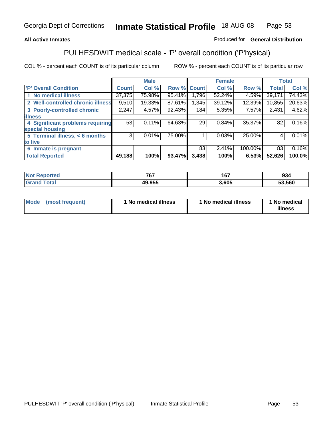### **All Active Inmates**

### Produced for **General Distribution**

# PULHESDWIT medical scale - 'P' overall condition ('P'hysical)

|                                   |                | <b>Male</b> |        |              | <b>Female</b> |         |              | <b>Total</b> |
|-----------------------------------|----------------|-------------|--------|--------------|---------------|---------|--------------|--------------|
| 'P' Overall Condition             | <b>Count</b>   | Col %       | Row %  | <b>Count</b> | Col %         | Row %   | <b>Total</b> | Col %        |
| 1 No medical illness              | 37,375         | 75.98%      | 95.41% | 1,796        | 52.24%        | 4.59%   | 39,171       | 74.43%       |
| 2 Well-controlled chronic illness | 9,510          | 19.33%      | 87.61% | 1,345        | 39.12%        | 12.39%  | 10,855       | 20.63%       |
| 3 Poorly-controlled chronic       | 2,247          | 4.57%       | 92.43% | 184          | 5.35%         | 7.57%   | 2,431        | 4.62%        |
| <b>illness</b>                    |                |             |        |              |               |         |              |              |
| 4 Significant problems requiring  | 53             | 0.11%       | 64.63% | 29           | 0.84%         | 35.37%  | 82           | 0.16%        |
| special housing                   |                |             |        |              |               |         |              |              |
| 5 Terminal illness, < 6 months    | 3 <sup>1</sup> | 0.01%       | 75.00% |              | 0.03%         | 25.00%  | 4            | 0.01%        |
| to live                           |                |             |        |              |               |         |              |              |
| Inmate is pregnant<br>6           |                |             |        | 83           | 2.41%         | 100.00% | 83           | 0.16%        |
| <b>Total Reported</b>             | 49,188         | 100%        | 93.47% | 3,438        | 100%          | 6.53%   | 52,626       | 100.0%       |

| <b>Not</b><br>Reported        | 767    | 167<br>1 O 1 | 934    |
|-------------------------------|--------|--------------|--------|
| <b>Total</b><br><b>'Grano</b> | 49,955 | ,605         | 53,560 |

| Mode (most frequent) | 1 No medical illness | 1 No medical illness | 1 No medical |
|----------------------|----------------------|----------------------|--------------|
|                      |                      |                      | illness      |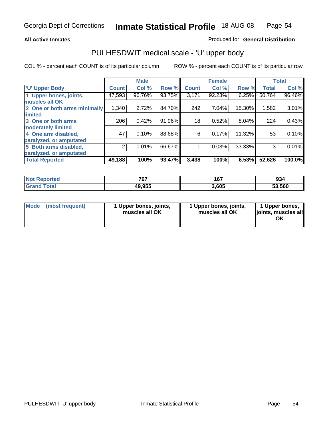#### **All Active Inmates**

#### Produced for **General Distribution**

### PULHESDWIT medical scale - 'U' upper body

|                              |              | <b>Male</b> |        |              | <b>Female</b> |        |              | <b>Total</b> |
|------------------------------|--------------|-------------|--------|--------------|---------------|--------|--------------|--------------|
| <b>U' Upper Body</b>         | <b>Count</b> | Col %       | Row %  | <b>Count</b> | Col %         | Row %  | <b>Total</b> | Col %        |
| 1 Upper bones, joints,       | 47,593       | 96.76%      | 93.75% | 3,171        | 92.23%        | 6.25%  | 50,764       | 96.46%       |
| muscles all OK               |              |             |        |              |               |        |              |              |
| 2 One or both arms minimally | 1,340        | 2.72%       | 84.70% | 242          | 7.04%         | 15.30% | 1,582        | 3.01%        |
| limited                      |              |             |        |              |               |        |              |              |
| 3 One or both arms           | 206          | 0.42%       | 91.96% | 18           | 0.52%         | 8.04%  | 224          | 0.43%        |
| moderately limited           |              |             |        |              |               |        |              |              |
| 4 One arm disabled,          | 47           | 0.10%       | 88.68% | 6            | 0.17%         | 11.32% | 53           | 0.10%        |
| paralyzed, or amputated      |              |             |        |              |               |        |              |              |
| 5 Both arms disabled,        | 2            | 0.01%       | 66.67% |              | 0.03%         | 33.33% | 3            | 0.01%        |
| paralyzed, or amputated      |              |             |        |              |               |        |              |              |
| <b>Total Reported</b>        | 49,188       | 100%        | 93.47% | 3,438        | 100%          | 6.53%  | 52,626       | 100.0%       |

| <b>Not Reported</b> | 767    | 167   | 934    |
|---------------------|--------|-------|--------|
| $\tau$ otal<br>Gran | 49,955 | 3,605 | 53,560 |

| <b>Mode</b> | (most frequent) | 1 Upper bones, joints,<br>muscles all OK | 1 Upper bones, joints,<br>muscles all OK | 1 Upper bones,<br>joints, muscles all<br>ΟK |
|-------------|-----------------|------------------------------------------|------------------------------------------|---------------------------------------------|
|-------------|-----------------|------------------------------------------|------------------------------------------|---------------------------------------------|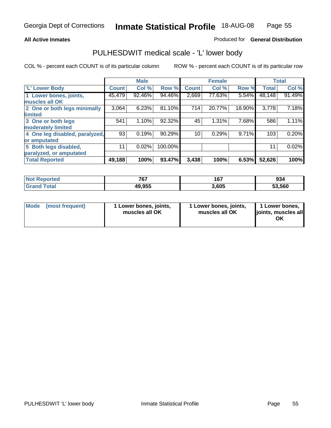#### **All Active Inmates**

#### Produced for **General Distribution**

### PULHESDWIT medical scale - 'L' lower body

|                                |              | <b>Male</b> |         |              | <b>Female</b> |        |              | <b>Total</b> |
|--------------------------------|--------------|-------------|---------|--------------|---------------|--------|--------------|--------------|
| <b>L' Lower Body</b>           | <b>Count</b> | Col %       | Row %   | <b>Count</b> | Col %         | Row %  | <b>Total</b> | Col %        |
| 1 Lower bones, joints,         | 45,479       | 92.46%      | 94.46%  | 2,669        | 77.63%        | 5.54%  | 48,148       | 91.49%       |
| muscles all OK                 |              |             |         |              |               |        |              |              |
| 2 One or both legs minimally   | 3,064        | 6.23%       | 81.10%  | 714          | 20.77%        | 18.90% | 3,778        | 7.18%        |
| limited                        |              |             |         |              |               |        |              |              |
| 3 One or both legs             | 541          | 1.10%       | 92.32%  | 45           | 1.31%         | 7.68%  | 586          | 1.11%        |
| moderately limited             |              |             |         |              |               |        |              |              |
| 4 One leg disabled, paralyzed, | 93           | 0.19%       | 90.29%  | 10           | 0.29%         | 9.71%  | 103          | 0.20%        |
| or amputated                   |              |             |         |              |               |        |              |              |
| 5 Both legs disabled,          | 11           | 0.02%       | 100.00% |              |               |        | 11           | 0.02%        |
| paralyzed, or amputated        |              |             |         |              |               |        |              |              |
| <b>Total Reported</b>          | 49,188       | 100%        | 93.47%  | 3,438        | 100%          | 6.53%  | 52,626       | 100%         |

| <b>Not Reported</b> | 767    | 167   | 934    |
|---------------------|--------|-------|--------|
| $\tau$ otal<br>Gran | 49,955 | 3,605 | 53,560 |

|  | Mode (most frequent) | 1 Lower bones, joints,<br>muscles all OK | 1 Lower bones, joints,<br>muscles all OK | 1 Lower bones,<br>joints, muscles all<br>OK |
|--|----------------------|------------------------------------------|------------------------------------------|---------------------------------------------|
|--|----------------------|------------------------------------------|------------------------------------------|---------------------------------------------|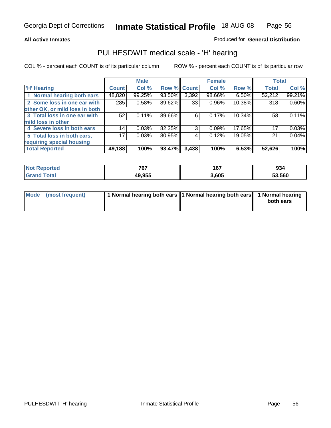#### **All Active Inmates**

### Produced for **General Distribution**

### PULHESDWIT medical scale - 'H' hearing

|                                |                 | <b>Male</b> |             |       | <b>Female</b> |        | <b>Total</b> |        |
|--------------------------------|-----------------|-------------|-------------|-------|---------------|--------|--------------|--------|
| <b>H'</b> Hearing              | <b>Count</b>    | Col %       | Row % Count |       | Col %         | Row %  | <b>Total</b> | Col %  |
| 1 Normal hearing both ears     | 48,820          | 99.25%      | 93.50%      | 3,392 | 98.66%        | 6.50%  | 52,212       | 99.21% |
| 2 Some loss in one ear with    | 285             | 0.58%       | 89.62%      | 33    | $0.96\%$      | 10.38% | 318          | 0.60%  |
| other OK, or mild loss in both |                 |             |             |       |               |        |              |        |
| 3 Total loss in one ear with   | 52              | $0.11\%$    | 89.66%      | 6     | $0.17\%$      | 10.34% | 58           | 0.11%  |
| mild loss in other             |                 |             |             |       |               |        |              |        |
| 4 Severe loss in both ears     | 14              | 0.03%       | 82.35%      | 3     | 0.09%         | 17.65% | 17           | 0.03%  |
| 5 Total loss in both ears,     | 17 <sub>1</sub> | 0.03%       | 80.95%      | 4     | 0.12%         | 19.05% | 21           | 0.04%  |
| requiring special housing      |                 |             |             |       |               |        |              |        |
| <b>Total Reported</b>          | 49,188          | 100%        | 93.47%      | 3,438 | 100%          | 6.53%  | 52,626       | 100%   |

| гес | ファフ<br>יש | 167<br>ו ט | 934    |
|-----|-----------|------------|--------|
|     | 49.955    | ,605       | 53,560 |

| Mode (most frequent) | 1 Normal hearing both ears   1 Normal hearing both ears   1 Normal hearing |           |
|----------------------|----------------------------------------------------------------------------|-----------|
|                      |                                                                            | both ears |
|                      |                                                                            |           |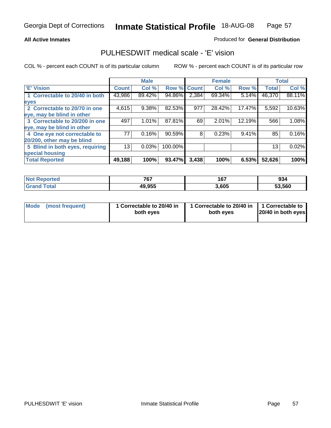#### **All Active Inmates**

#### Produced for **General Distribution**

### PULHESDWIT medical scale - 'E' vision

|                                 |              | <b>Male</b> |             |       | <b>Female</b> |        |              | <b>Total</b> |
|---------------------------------|--------------|-------------|-------------|-------|---------------|--------|--------------|--------------|
| 'E' Vision                      | <b>Count</b> | Col %       | Row % Count |       | Col %         | Row %  | <b>Total</b> | Col %        |
| 1 Correctable to 20/40 in both  | 43,986       | 89.42%      | 94.86%      | 2,384 | 69.34%        | 5.14%  | 46,370       | 88.11%       |
| eyes                            |              |             |             |       |               |        |              |              |
| 2 Correctable to 20/70 in one   | 4,615        | 9.38%       | 82.53%      | 977   | 28.42%        | 17.47% | 5,592        | 10.63%       |
| eye, may be blind in other      |              |             |             |       |               |        |              |              |
| 3 Correctable to 20/200 in one  | 497          | 1.01%       | 87.81%      | 69    | 2.01%         | 12.19% | 566          | 1.08%        |
| eye, may be blind in other      |              |             |             |       |               |        |              |              |
| 4 One eye not correctable to    | 77           | 0.16%       | 90.59%      | 8     | 0.23%         | 9.41%  | 85           | 0.16%        |
| 20/200, other may be blind      |              |             |             |       |               |        |              |              |
| 5 Blind in both eyes, requiring | 13           | 0.03%       | 100.00%     |       |               |        | 13           | 0.02%        |
| special housing                 |              |             |             |       |               |        |              |              |
| <b>Total Reported</b>           | 49,188       | 100%        | 93.47%      | 3,438 | 100%          | 6.53%  | 52,626       | 100%         |

| $N$<br><b>eported</b> | 767    | 167   | 934    |
|-----------------------|--------|-------|--------|
| fota'<br><b>Circ</b>  | 49,955 | 3,605 | 53,560 |

| Mode (most frequent) | 1 Correctable to 20/40 in<br>both eves | 1 Correctable to 20/40 in   1 Correctable to  <br>both eves | 20/40 in both eyes |
|----------------------|----------------------------------------|-------------------------------------------------------------|--------------------|
|----------------------|----------------------------------------|-------------------------------------------------------------|--------------------|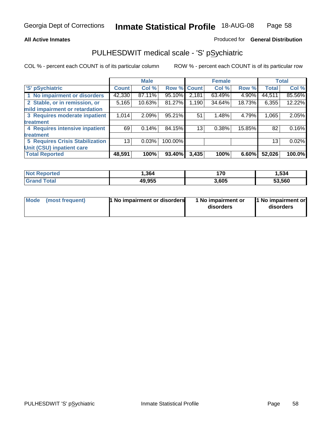#### **All Active Inmates**

#### Produced for **General Distribution**

### PULHESDWIT medical scale - 'S' pSychiatric

|                                        |              | <b>Male</b> |         |              | <b>Female</b> |        |              | <b>Total</b> |
|----------------------------------------|--------------|-------------|---------|--------------|---------------|--------|--------------|--------------|
| 'S' pSychiatric                        | <b>Count</b> | Col %       | Row %   | <b>Count</b> | Col %         | Row %  | <b>Total</b> | Col %        |
| 1 No impairment or disorders           | 42,330       | 87.11%      | 95.10%  | 2,181        | 63.49%        | 4.90%  | 44,511       | 85.56%       |
| 2 Stable, or in remission, or          | 5,165        | 10.63%      | 81.27%  | .190         | 34.64%        | 18.73% | 6,355        | 12.22%       |
| mild impairment or retardation         |              |             |         |              |               |        |              |              |
| 3 Requires moderate inpatient          | 1,014        | 2.09%       | 95.21%  | 51           | 1.48%         | 4.79%  | 1,065        | 2.05%        |
| treatment                              |              |             |         |              |               |        |              |              |
| 4 Requires intensive inpatient         | 69           | 0.14%       | 84.15%  | 13           | 0.38%         | 15.85% | 82           | 0.16%        |
| treatment                              |              |             |         |              |               |        |              |              |
| <b>5 Requires Crisis Stabilization</b> | 13           | 0.03%       | 100.00% |              |               |        | 13           | 0.02%        |
| Unit (CSU) inpatient care              |              |             |         |              |               |        |              |              |
| <b>Total Reported</b>                  | 48,591       | 100%        | 93.40%  | 3,435        | 100%          | 6.60%  | 52,026       | 100.0%       |

| <b>Not Reported</b>  | 364,   | 170   | 1,534  |
|----------------------|--------|-------|--------|
| $\tau$ otal<br>Grand | 49,955 | 3,605 | 53,560 |

| Mode (most frequent) | <b>1</b> No impairment or disorders | 1 No impairment or<br>disorders | 1 No impairment or<br>disorders |
|----------------------|-------------------------------------|---------------------------------|---------------------------------|
|                      |                                     |                                 |                                 |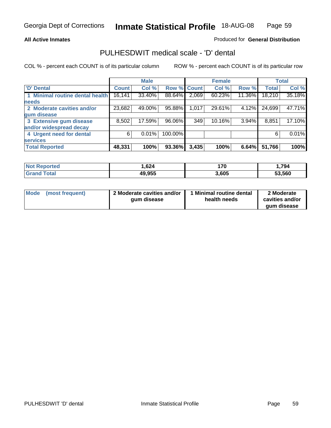#### **All Active Inmates**

#### Produced for **General Distribution**

### PULHESDWIT medical scale - 'D' dental

|                                 |        | <b>Male</b> |             |       | <b>Female</b> |          |              | <b>Total</b> |
|---------------------------------|--------|-------------|-------------|-------|---------------|----------|--------------|--------------|
| <b>D' Dental</b>                | Count! | Col %       | Row % Count |       | Col %         | Row %    | <b>Total</b> | Col %        |
| 1 Minimal routine dental health | 16,141 | 33.40%      | 88.64%      | 2,069 | 60.23%        | 11.36%   | 18,210       | 35.18%       |
| <b>needs</b>                    |        |             |             |       |               |          |              |              |
| 2 Moderate cavities and/or      | 23,682 | 49.00%      | 95.88%      | 1,017 | 29.61%        | 4.12%    | 24,699       | 47.71%       |
| gum disease                     |        |             |             |       |               |          |              |              |
| 3 Extensive gum disease         | 8,502  | 17.59%      | 96.06%      | 349   | 10.16%        | $3.94\%$ | 8,851        | 17.10%       |
| and/or widespread decay         |        |             |             |       |               |          |              |              |
| 4 Urgent need for dental        | 6      | 0.01%       | 100.00%     |       |               |          | 6            | $0.01\%$     |
| <b>services</b>                 |        |             |             |       |               |          |              |              |
| <b>Total Reported</b>           | 48,331 | 100%        | 93.36%      | 3,435 | 100%          | 6.64%    | 51,766       | 100%         |

| orted<br>NG                       | ,624   | 170   | .794   |
|-----------------------------------|--------|-------|--------|
| <sup>-</sup> otal<br><b>Grand</b> | 49,955 | 3,605 | 53,560 |

| <b>Mode</b> | (most frequent) | 2 Moderate cavities and/or<br>qum disease | Minimal routine dental<br>health needs | 2 Moderate<br>cavities and/or |
|-------------|-----------------|-------------------------------------------|----------------------------------------|-------------------------------|
|             |                 |                                           |                                        | qum disease                   |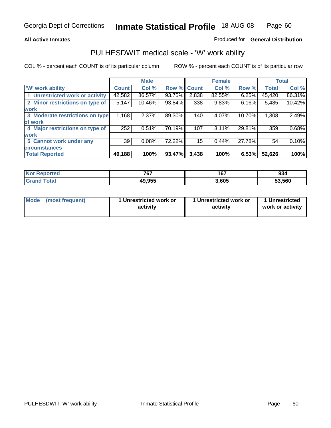#### **All Active Inmates**

#### Produced for **General Distribution**

### PULHESDWIT medical scale - 'W' work ability

|                                 |              | <b>Male</b> |        |              | <b>Female</b> |        |              | <b>Total</b> |
|---------------------------------|--------------|-------------|--------|--------------|---------------|--------|--------------|--------------|
| W' work ability                 | <b>Count</b> | Col %       | Row %  | <b>Count</b> | Col %         | Row %  | <b>Total</b> | Col %        |
| 1 Unrestricted work or activity | 42,582       | 86.57%      | 93.75% | 2,838        | 82.55%        | 6.25%  | 45,420       | 86.31%       |
| 2 Minor restrictions on type of | 5,147        | 10.46%      | 93.84% | 338          | 9.83%         | 6.16%  | 5,485        | 10.42%       |
| <b>work</b>                     |              |             |        |              |               |        |              |              |
| 3 Moderate restrictions on type | 1,168        | 2.37%       | 89.30% | 140          | 4.07%         | 10.70% | 1,308        | 2.49%        |
| of work                         |              |             |        |              |               |        |              |              |
| 4 Major restrictions on type of | 252          | 0.51%       | 70.19% | 107          | 3.11%         | 29.81% | 359          | 0.68%        |
| <b>work</b>                     |              |             |        |              |               |        |              |              |
| 5 Cannot work under any         | 39           | 0.08%       | 72.22% | 15           | 0.44%         | 27.78% | 54           | 0.10%        |
| <b>circumstances</b>            |              |             |        |              |               |        |              |              |
| <b>Total Reported</b>           | 49,188       | 100%        | 93.47% | 3,438        | 100%          | 6.53%  | 52,626       | 100%         |

| <b>Not Reported</b>   | 767<br>יש | ר י<br>10. | 934    |
|-----------------------|-----------|------------|--------|
| Total<br><b>Grand</b> | 49,955    | 3,605      | 53,560 |

| Mode            | 1 Unrestricted work or | 1 Unrestricted work or | 1 Unrestricted   |
|-----------------|------------------------|------------------------|------------------|
| (most frequent) | activity               | activity               | work or activity |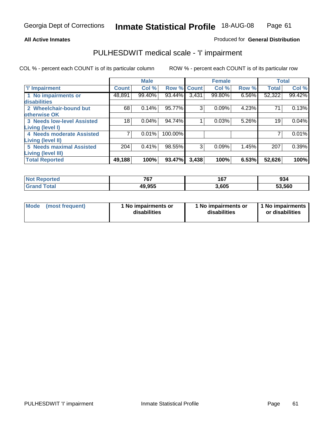#### **All Active Inmates**

### Produced for **General Distribution**

### PULHESDWIT medical scale - 'I' impairment

|                                   |              | <b>Male</b> |         |              | <b>Female</b> |          |              | <b>Total</b> |
|-----------------------------------|--------------|-------------|---------|--------------|---------------|----------|--------------|--------------|
| <b>T' Impairment</b>              | <b>Count</b> | Col %       | Row %   | <b>Count</b> | Col %         | Row %    | <b>Total</b> | Col %        |
| 1 No impairments or               | 48,891       | 99.40%      | 93.44%  | 3,431        | 99.80%        | $6.56\%$ | 52,322       | 99.42%       |
| disabilities                      |              |             |         |              |               |          |              |              |
| 2 Wheelchair-bound but            | 68           | 0.14%       | 95.77%  | 3            | 0.09%         | 4.23%    | 71           | 0.13%        |
| otherwise OK                      |              |             |         |              |               |          |              |              |
| <b>3 Needs low-level Assisted</b> | 18           | 0.04%       | 94.74%  |              | 0.03%         | 5.26%    | 19           | 0.04%        |
| Living (level I)                  |              |             |         |              |               |          |              |              |
| 4 Needs moderate Assisted         |              | 0.01%       | 100.00% |              |               |          |              | 0.01%        |
| Living (level II)                 |              |             |         |              |               |          |              |              |
| <b>5 Needs maximal Assisted</b>   | 204          | 0.41%       | 98.55%  | 3            | 0.09%         | 1.45%    | 207          | 0.39%        |
| <b>Living (level III)</b>         |              |             |         |              |               |          |              |              |
| <b>Total Reported</b>             | 49,188       | 100%        | 93.47%  | 3,438        | 100%          | 6.53%    | 52,626       | 100%         |

| <b>Not</b><br>Reported | 767    | 167   | 934    |
|------------------------|--------|-------|--------|
| <b>Total</b><br>'Granc | 49,955 | 3,605 | 53,560 |

| Mode | (most frequent) | 1 No impairments or<br>disabilities | 1 No impairments or<br>disabilities | 1 No impairments<br>or disabilities |
|------|-----------------|-------------------------------------|-------------------------------------|-------------------------------------|
|------|-----------------|-------------------------------------|-------------------------------------|-------------------------------------|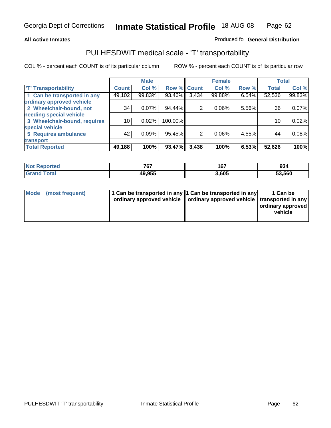#### **Inmate Statistical Profile** 18-AUG-08 Page Page 62

### All Active Inmates **All Active Inmates All Active Inmates Produced fo General Distribution**

## PULHESDWIT medical scale - 'T' transportability

|                              |              | <b>Male</b> |         |                | <b>Female</b> |       | <b>Total</b> |        |
|------------------------------|--------------|-------------|---------|----------------|---------------|-------|--------------|--------|
| <b>T' Transportability</b>   | <b>Count</b> | Col %       | Row %   | <b>Count</b>   | Col %         | Row % | <b>Total</b> | Col %  |
| 1 Can be transported in any  | 49,102       | 99.83%      | 93.46%  | 3,434          | 99.88%        | 6.54% | 52,536       | 99.83% |
| ordinary approved vehicle    |              |             |         |                |               |       |              |        |
| 2 Wheelchair-bound, not      | 34           | 0.07%       | 94.44%  | $\overline{2}$ | 0.06%         | 5.56% | 36           | 0.07%  |
| needing special vehicle      |              |             |         |                |               |       |              |        |
| 3 Wheelchair-bound, requires | 10           | 0.02%       | 100.00% |                |               |       | 10           | 0.02%  |
| special vehicle              |              |             |         |                |               |       |              |        |
| 5 Requires ambulance         | 42           | 0.09%       | 95.45%  | 2              | 0.06%         | 4.55% | 44           | 0.08%  |
| transport                    |              |             |         |                |               |       |              |        |
| <b>Total Reported</b>        | 49,188       | 100%        | 93.47%  | 3,438          | 100%          | 6.53% | 52,626       | 100%   |

| oorted<br><b>NOT</b> | 767                    | 167  | ^^<br>YJ4 |
|----------------------|------------------------|------|-----------|
|                      | 10 OEE<br>лι<br>49.933 | .605 | 53,560    |

|  | Mode (most frequent) | 1 Can be transported in any 1 Can be transported in any | ordinary approved vehicle   ordinary approved vehicle   transported in any | 1 Can be<br>ordinary approved  <br>vehicle |
|--|----------------------|---------------------------------------------------------|----------------------------------------------------------------------------|--------------------------------------------|
|--|----------------------|---------------------------------------------------------|----------------------------------------------------------------------------|--------------------------------------------|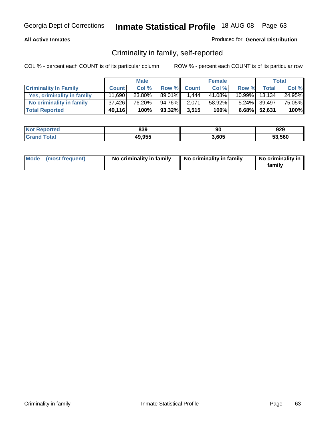### **All Active Inmates**

### Produced for **General Distribution**

### Criminality in family, self-reported

|                              |              | <b>Male</b> |           |              | <b>Female</b> |       |                 | <b>Total</b> |
|------------------------------|--------------|-------------|-----------|--------------|---------------|-------|-----------------|--------------|
| <b>Criminality In Family</b> | <b>Count</b> | Col %       | Row %     | <b>Count</b> | Col %         | Row % | <b>Total</b>    | Col %        |
| Yes, criminality in family   | 11,690       | 23.80%      | 89.01%    | 1.444        | 41.08%        |       | 10.99% 13.134   | 24.95%       |
| No criminality in family     | 37,426       | 76.20%      | 94.76%    | 2,071        | 58.92%        |       | 5.24% 39,497    | 75.05%       |
| <b>Total Reported</b>        | 49,116       | 100%        | $93.32\%$ | 3,515        | 100%          |       | $6.68\%$ 52,631 | 100%         |

| <b>Not</b><br><b>Reported</b> | 839    | 90    | 929    |
|-------------------------------|--------|-------|--------|
| Cotal                         | 49,955 | 3,605 | 53.560 |

|  | Mode (most frequent) | No criminality in family | No criminality in family | No criminality in<br>family |
|--|----------------------|--------------------------|--------------------------|-----------------------------|
|--|----------------------|--------------------------|--------------------------|-----------------------------|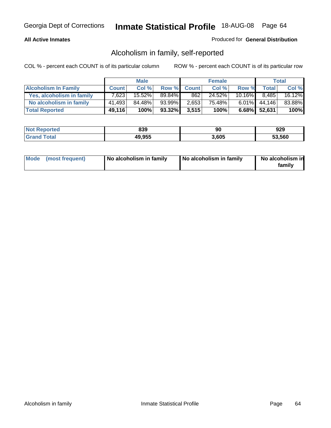#### **All Active Inmates**

### Produced for **General Distribution**

### Alcoholism in family, self-reported

|                             |              | <b>Male</b> |           |              | <b>Female</b> |           |                 | <b>Total</b> |
|-----------------------------|--------------|-------------|-----------|--------------|---------------|-----------|-----------------|--------------|
| <b>Alcoholism In Family</b> | <b>Count</b> | Col %       | Row %     | <b>Count</b> | Col %         | Row %     | <b>Total</b>    | Col %        |
| Yes, alcoholism in family   | 7.623        | 15.52%      | 89.84%    | 862          | 24.52%        | $10.16\%$ | 8.485           | 16.12%       |
| No alcoholism in family     | 41,493       | 84.48%      | 93.99%    | 2,653        | 75.48%        |           | $6.01\%$ 44,146 | 83.88%       |
| <b>Total Reported</b>       | 49,116       | 100%        | $93.32\%$ | 3,515        | 100%          |           | $6.68\%$ 52,631 | 100%         |

| <b>Not</b><br><b>Reported</b> | 839    | 90    | 929    |
|-------------------------------|--------|-------|--------|
| Cotal                         | 49,955 | 3,605 | 53.560 |

|  | Mode (most frequent) | No alcoholism in family | No alcoholism in family | No alcoholism in<br>family |
|--|----------------------|-------------------------|-------------------------|----------------------------|
|--|----------------------|-------------------------|-------------------------|----------------------------|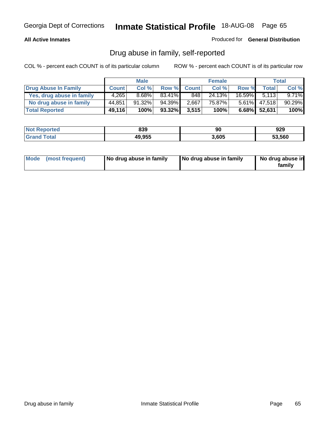### **All Active Inmates**

Produced for **General Distribution**

### Drug abuse in family, self-reported

|                           |              | <b>Male</b> |        |              | <b>Female</b> |           |              | <b>Total</b> |
|---------------------------|--------------|-------------|--------|--------------|---------------|-----------|--------------|--------------|
| Drug Abuse In Family      | <b>Count</b> | Col %       | Row %  | <b>Count</b> | Col %         | Row %     | Total        | Col %        |
| Yes, drug abuse in family | 4,265        | 8.68%       | 83.41% | 848          | 24.13%        | $16.59\%$ | 5.113        | 9.71%        |
| No drug abuse in family   | 44,851       | $91.32\%$   | 94.39% | 2,667        | 75.87%        | $5.61\%$  | 47.518       | 90.29%       |
| <b>Total Reported</b>     | 49,116       | 100%        | 93.32% | 3,515        | 100%          |           | 6.68% 52,631 | 100%         |

| <b>Not</b><br><b>Reported</b> | 839    | 90    | 929    |
|-------------------------------|--------|-------|--------|
| Cotal                         | 49,955 | 3,605 | 53.560 |

|  | Mode (most frequent) | No drug abuse in family | No drug abuse in family | No drug abuse in<br>family |
|--|----------------------|-------------------------|-------------------------|----------------------------|
|--|----------------------|-------------------------|-------------------------|----------------------------|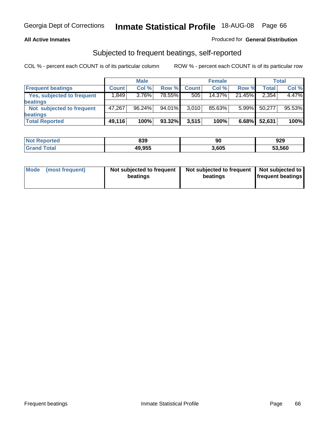#### **All Active Inmates**

### Produced for **General Distribution**

### Subjected to frequent beatings, self-reported

|                            |              | <b>Male</b> |         |              | <b>Female</b> |          |        | Total  |
|----------------------------|--------------|-------------|---------|--------------|---------------|----------|--------|--------|
| <b>Frequent beatings</b>   | <b>Count</b> | Col %       | Row %   | <b>Count</b> | Col %         | Row %    | Total  | Col %  |
| Yes, subjected to frequent | 1,849        | 3.76%       | 78.55%I | 505          | 14.37%        | 21.45%   | 2,354  | 4.47%  |
| beatings                   |              |             |         |              |               |          |        |        |
| Not subjected to frequent  | 47,267       | 96.24%      | 94.01%  | 3.010        | 85.63%        | $5.99\%$ | 50,277 | 95.53% |
| beatings                   |              |             |         |              |               |          |        |        |
| <b>Total Reported</b>      | 49,116       | 100%        | 93.32%  | 3,515        | 100%          | 6.68%    | 52,631 | 100%   |

| <b>Not</b><br><b>Reported</b> | 839    | 90    | 929    |
|-------------------------------|--------|-------|--------|
| Total                         | 49,955 | 3,605 | 53,560 |

| <b>Mode</b><br>(most frequent) | Not subjected to frequent<br>beatings | Not subjected to frequent   Not subjected to  <br>beatings | <b>frequent beatings</b> |  |
|--------------------------------|---------------------------------------|------------------------------------------------------------|--------------------------|--|
|                                |                                       |                                                            |                          |  |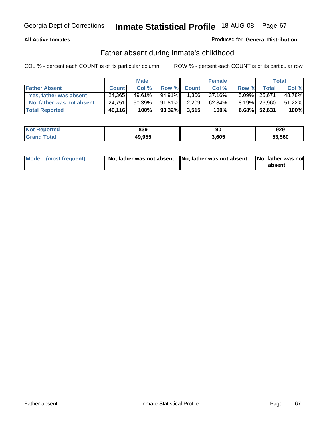### **All Active Inmates**

### Produced for **General Distribution**

### Father absent during inmate's childhood

|                           |              | <b>Male</b> |        |              | <b>Female</b> |       |              | Total  |
|---------------------------|--------------|-------------|--------|--------------|---------------|-------|--------------|--------|
| <b>Father Absent</b>      | <b>Count</b> | Col %       | Row %  | <b>Count</b> | Col %         | Row % | <b>Total</b> | Col %  |
| Yes, father was absent    | 24.365       | $49.61\%$   | 94.91% | 1.306        | 37.16%        |       | 5.09% 25,671 | 48.78% |
| No, father was not absent | 24,751       | 50.39%      | 91.81% | 2,209        | 62.84%        |       | 8.19% 26,960 | 51.22% |
| <b>Total Reported</b>     | 49,116       | 100%        | 93.32% | 3,515        | 100%          |       | 6.68% 52,631 | 100%   |

| <b>Not</b><br><b>Reported</b> | 839    | 90    | 929    |
|-------------------------------|--------|-------|--------|
| Cotal                         | 49,955 | 3,605 | 53.560 |

| Mode (most frequent) |  | 「No, father was not absent ┃No, father was not absent ┃No, father was not | absent |
|----------------------|--|---------------------------------------------------------------------------|--------|
|----------------------|--|---------------------------------------------------------------------------|--------|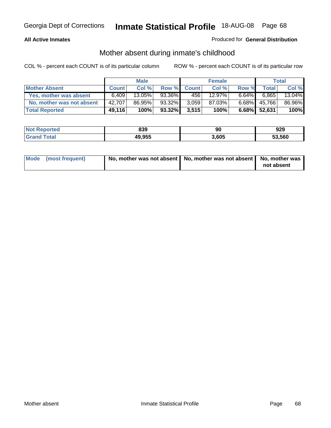#### **All Active Inmates**

### Produced for **General Distribution**

### Mother absent during inmate's childhood

|                           |              | <b>Male</b> |        |              | <b>Female</b> |          |              | Total  |
|---------------------------|--------------|-------------|--------|--------------|---------------|----------|--------------|--------|
| <b>Mother Absent</b>      | <b>Count</b> | Col %       | Row %  | <b>Count</b> | Col %         | Row %    | Total        | Col %  |
| Yes, mother was absent    | 6.409        | 13.05%      | 93.36% | 4561         | 12.97%        | $6.64\%$ | 6.865        | 13.04% |
| No, mother was not absent | 42,707       | 86.95%      | 93.32% | 3.059        | 87.03%        | $6.68\%$ | 45,766       | 86.96% |
| <b>Total Reported</b>     | 49,116       | 100%        | 93.32% | 3,515        | 100%          |          | 6.68% 52,631 | 100%   |

| <b>Not</b><br><b>Reported</b> | 839    | 90    | 929    |
|-------------------------------|--------|-------|--------|
| Cotal                         | 49,955 | 3,605 | 53.560 |

| Mode (most frequent) | No, mother was not absent   No, mother was not absent   No, mother was | not absent |
|----------------------|------------------------------------------------------------------------|------------|
|----------------------|------------------------------------------------------------------------|------------|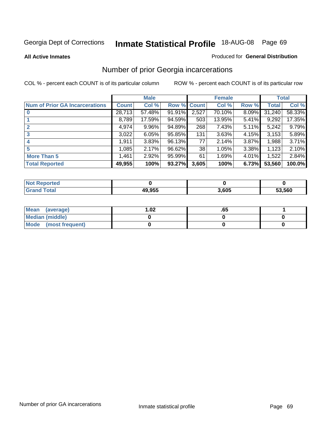#### **All Active Inmates**

#### Produced for **General Distribution**

# Number of prior Georgia incarcerations

|                                       |              | <b>Male</b> |                    |       | <b>Female</b> |       |        | <b>Total</b> |
|---------------------------------------|--------------|-------------|--------------------|-------|---------------|-------|--------|--------------|
| <b>Num of Prior GA Incarcerations</b> | <b>Count</b> | Col %       | <b>Row % Count</b> |       | Col %         | Row % | Total  | Col %        |
| $\bf{0}$                              | 28,713       | 57.48%      | 91.91%             | 2,527 | 70.10%        | 8.09% | 31.240 | 58.33%       |
|                                       | 8,789        | 17.59%      | 94.59%             | 503   | 13.95%        | 5.41% | 9,292  | 17.35%       |
| 2                                     | 4,974        | 9.96%       | 94.89%             | 268   | 7.43%         | 5.11% | 5,242  | 9.79%        |
| 3                                     | 3,022        | 6.05%       | 95.85%             | 131   | 3.63%         | 4.15% | 3,153  | 5.89%        |
|                                       | 1,911        | 3.83%       | 96.13%             | 77    | 2.14%         | 3.87% | 1,988  | 3.71%        |
| 5                                     | 1,085        | 2.17%       | 96.62%             | 38    | 1.05%         | 3.38% | 1,123  | 2.10%        |
| <b>More Than 5</b>                    | 1,461        | 2.92%       | 95.99%             | 61    | 1.69%         | 4.01% | 1,522  | 2.84%        |
| <b>Total Reported</b>                 | 49,955       | 100%        | 93.27%             | 3,605 | 100%          | 6.73% | 53,560 | 100.0%       |

| orted<br>NG         |        |       |        |
|---------------------|--------|-------|--------|
| <b>otal</b><br>. Gr | 49.955 | 3,605 | 53,560 |

| Mean (average)       | l.O2 | .оз |  |
|----------------------|------|-----|--|
| Median (middle)      |      |     |  |
| Mode (most frequent) |      |     |  |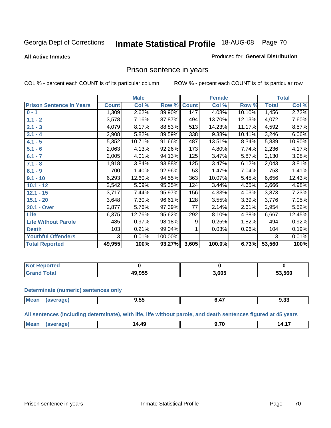#### **All Active Inmates**

#### Produced for **General Distribution**

### Prison sentence in years

COL % - percent each COUNT is of its particular column ROW % - percent each COUNT is of its particular row

|                                 |              | <b>Male</b> |         |              | <b>Female</b> |        |                | <b>Total</b> |
|---------------------------------|--------------|-------------|---------|--------------|---------------|--------|----------------|--------------|
| <b>Prison Sentence In Years</b> | <b>Count</b> | Col %       | Row %   | <b>Count</b> | Col %         | Row %  | <b>Total</b>   | Col %        |
| $0 - 1$                         | 1,309        | 2.62%       | 89.90%  | 147          | 4.08%         | 10.10% | 1,456          | 2.72%        |
| $1.1 - 2$                       | 3,578        | 7.16%       | 87.87%  | 494          | 13.70%        | 12.13% | 4,072          | 7.60%        |
| $2.1 - 3$                       | 4,079        | 8.17%       | 88.83%  | 513          | 14.23%        | 11.17% | 4,592          | 8.57%        |
| $3.1 - 4$                       | 2,908        | 5.82%       | 89.59%  | 338          | 9.38%         | 10.41% | 3,246          | 6.06%        |
| $4.1 - 5$                       | 5,352        | 10.71%      | 91.66%  | 487          | 13.51%        | 8.34%  | 5,839          | 10.90%       |
| $5.1 - 6$                       | 2,063        | 4.13%       | 92.26%  | 173          | 4.80%         | 7.74%  | 2,236          | 4.17%        |
| $6.1 - 7$                       | 2,005        | 4.01%       | 94.13%  | 125          | 3.47%         | 5.87%  | 2,130          | 3.98%        |
| $7.1 - 8$                       | 1,918        | 3.84%       | 93.88%  | 125          | 3.47%         | 6.12%  | 2,043          | 3.81%        |
| $8.1 - 9$                       | 700          | 1.40%       | 92.96%  | 53           | 1.47%         | 7.04%  | 753            | 1.41%        |
| $9.1 - 10$                      | 6,293        | 12.60%      | 94.55%  | 363          | 10.07%        | 5.45%  | 6,656          | 12.43%       |
| $10.1 - 12$                     | 2,542        | 5.09%       | 95.35%  | 124          | 3.44%         | 4.65%  | $\sqrt{2,666}$ | 4.98%        |
| $12.1 - 15$                     | 3,717        | 7.44%       | 95.97%  | 156          | 4.33%         | 4.03%  | 3,873          | 7.23%        |
| $15.1 - 20$                     | 3,648        | 7.30%       | 96.61%  | 128          | 3.55%         | 3.39%  | 3,776          | 7.05%        |
| 20.1 - Over                     | 2,877        | 5.76%       | 97.39%  | 77           | 2.14%         | 2.61%  | 2,954          | 5.52%        |
| <b>Life</b>                     | 6,375        | 12.76%      | 95.62%  | 292          | 8.10%         | 4.38%  | 6,667          | 12.45%       |
| <b>Life Without Parole</b>      | 485          | 0.97%       | 98.18%  | 9            | 0.25%         | 1.82%  | 494            | 0.92%        |
| <b>Death</b>                    | 103          | 0.21%       | 99.04%  |              | 0.03%         | 0.96%  | 104            | 0.19%        |
| <b>Youthful Offenders</b>       | 3            | 0.01%       | 100.00% |              |               |        | 3              | 0.01%        |
| <b>Total Reported</b>           | 49,955       | 100%        | 93.27%  | 3,605        | 100.0%        | 6.73%  | 53,560         | 100%         |

| : Reported<br>' NOT  |                 |       |        |
|----------------------|-----------------|-------|--------|
| <b>otal</b><br>. Gro | 0 OEE<br>49.933 | 3,605 | 53,560 |

#### **Determinate (numeric) sentences only**

| Mear<br>$\cdots$ | апе | ---<br>. .<br>コ・コー<br>---- | $-$ - - - | $\sim$<br>უ.აა |
|------------------|-----|----------------------------|-----------|----------------|
|                  |     |                            |           |                |

**All sentences (including determinate), with life, life without parole, and death sentences figured at 45 years**

| л<br>- 4<br>v<br>.<br>.<br>___ | <b>Me</b> | 49 | $\rightarrow$ |  |
|--------------------------------|-----------|----|---------------|--|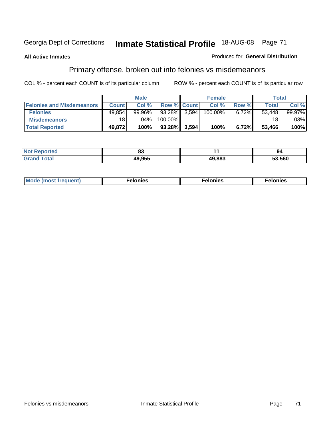#### **All Active Inmates**

#### Produced for **General Distribution**

# Primary offense, broken out into felonies vs misdemeanors

|                                  |                 | <b>Male</b> |                    |       | <b>Female</b> |          | <b>Total</b> |                        |
|----------------------------------|-----------------|-------------|--------------------|-------|---------------|----------|--------------|------------------------|
| <b>Felonies and Misdemeanors</b> | <b>Count</b>    | Col %       | <b>Row % Count</b> |       | Col%          | Row %    | Total        | Col%                   |
| <b>Felonies</b>                  | 49.854          | $99.96\%$   | $93.28\%$ 3,594    |       | 100.00%       | $6.72\%$ | 53.448       | 99.97%                 |
| <b>Misdemeanors</b>              | 18 <sup>1</sup> | $.04\%$     | 100.00%            |       |               |          | 18           | $.03\%$ $\blacksquare$ |
| <b>Total Reported</b>            | 49,872          | 100%        | 93.28%             | 3.594 | 100%          | 6.72%    | 53,466       | 100%                   |

| ted.<br>NO<br>$\sim$ | $\mathbf{r}$<br>uj |        | 94     |
|----------------------|--------------------|--------|--------|
|                      | lQ Q55             | 49.883 | 53.560 |

| M | . | . | . |
|---|---|---|---|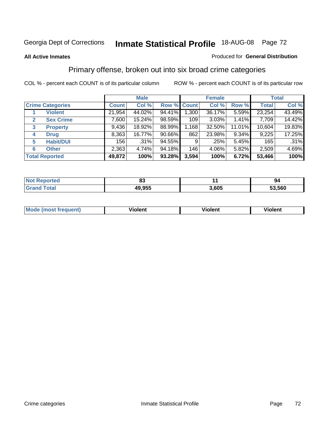#### **All Active Inmates**

#### Produced for **General Distribution**

### Primary offense, broken out into six broad crime categories

|                                  |              | <b>Male</b> |             |       | <b>Female</b> |          |              | <b>Total</b> |
|----------------------------------|--------------|-------------|-------------|-------|---------------|----------|--------------|--------------|
| <b>Crime Categories</b>          | <b>Count</b> | Col %       | Row % Count |       | Col %         | Row %    | <b>Total</b> | Col %        |
| <b>Violent</b>                   | 21,954       | 44.02%      | 94.41%      | 1,300 | 36.17%        | 5.59%    | 23,254       | 43.49%       |
| <b>Sex Crime</b><br>$\mathbf{2}$ | 7,600        | 15.24%      | 98.59%      | 109   | 3.03%         | 1.41%    | 7,709        | 14.42%       |
| $\mathbf{3}$<br><b>Property</b>  | 9,436        | 18.92%      | 88.99%      | 1,168 | 32.50%        | 11.01%   | 10,604       | 19.83%       |
| <b>Drug</b><br>4                 | 8,363        | 16.77%      | 90.66%      | 862   | 23.98%        | $9.34\%$ | 9,225        | 17.25%       |
| <b>Habit/DUI</b><br>5            | 156          | $.31\%$     | 94.55%      | 9     | .25%          | 5.45%    | 165          | .31%         |
| <b>Other</b><br>6                | 2,363        | 4.74%       | 94.18%      | 146   | 4.06%         | 5.82%    | 2,509        | 4.69%        |
| <b>Total Reported</b>            | 49,872       | 100%        | 93.28%      | 3,594 | 100%          | 6.72%    | 53,466       | 100%         |

| n,<br>υJ |      | 94   |  |
|----------|------|------|--|
| 49,955   | .605 | .560 |  |

|  | <b>Mou</b><br>--- | .<br>วlent | ---<br>olent | ≀lent<br>-------- |
|--|-------------------|------------|--------------|-------------------|
|--|-------------------|------------|--------------|-------------------|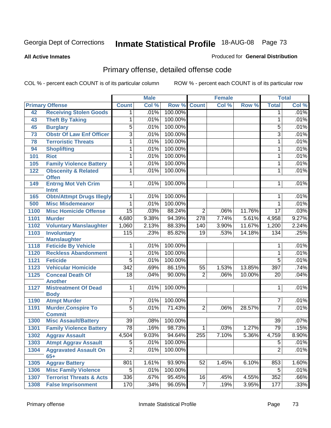#### **All Active Inmates**

### Produced for **General Distribution**

# Primary offense, detailed offense code

|      |                                                |                 | <b>Male</b> |         |                 | <b>Female</b> |        |                 | <b>Total</b> |
|------|------------------------------------------------|-----------------|-------------|---------|-----------------|---------------|--------|-----------------|--------------|
|      | <b>Primary Offense</b>                         | <b>Count</b>    | Col %       | Row %   | <b>Count</b>    | Col %         | Row %  | <b>Total</b>    | Col %        |
| 42   | <b>Receiving Stolen Goods</b>                  | $\mathbf 1$     | .01%        | 100.00% |                 |               |        | $\mathbf 1$     | .01%         |
| 43   | <b>Theft By Taking</b>                         | 1               | .01%        | 100.00% |                 |               |        | 1               | .01%         |
| 45   | <b>Burglary</b>                                | $\overline{5}$  | .01%        | 100.00% |                 |               |        | 5               | .01%         |
| 73   | <b>Obstr Of Law Enf Officer</b>                | $\overline{3}$  | .01%        | 100.00% |                 |               |        | 3               | .01%         |
| 78   | <b>Terroristic Threats</b>                     | 1               | .01%        | 100.00% |                 |               |        | 1               | .01%         |
| 94   | <b>Shoplifting</b>                             | 1               | .01%        | 100.00% |                 |               |        | 1               | .01%         |
| 101  | <b>Riot</b>                                    | 1               | .01%        | 100.00% |                 |               |        | 1               | .01%         |
| 105  | <b>Family Violence Battery</b>                 | 1               | .01%        | 100.00% |                 |               |        | 1               | .01%         |
| 122  | <b>Obscenity &amp; Related</b><br><b>Offen</b> | 1               | .01%        | 100.00% |                 |               |        | 1               | .01%         |
| 149  | <b>Entrng Mot Veh Crim</b><br><b>Intnt</b>     | $\mathbf{1}$    | .01%        | 100.00% |                 |               |        | 1               | .01%         |
| 165  | <b>Obtn/Attmpt Drugs Illegly</b>               | 1               | .01%        | 100.00% |                 |               |        | 1               | .01%         |
| 500  | <b>Misc Misdemeanor</b>                        | 1               | .01%        | 100.00% |                 |               |        | $\mathbf{1}$    | .01%         |
| 1100 | <b>Misc Homicide Offense</b>                   | $\overline{15}$ | .03%        | 88.24%  | $\overline{2}$  | .06%          | 11.76% | $\overline{17}$ | .03%         |
| 1101 | <b>Murder</b>                                  | 4,680           | 9.38%       | 94.39%  | 278             | 7.74%         | 5.61%  | 4,958           | 9.27%        |
| 1102 | <b>Voluntary Manslaughter</b>                  | 1,060           | 2.13%       | 88.33%  | 140             | 3.90%         | 11.67% | 1,200           | 2.24%        |
| 1103 | <b>Involuntary</b><br><b>Manslaughter</b>      | 115             | .23%        | 85.82%  | 19              | .53%          | 14.18% | 134             | .25%         |
| 1118 | <b>Feticide By Vehicle</b>                     | 1               | .01%        | 100.00% |                 |               |        | 1               | .01%         |
| 1120 | <b>Reckless Abandonment</b>                    | 1               | .01%        | 100.00% |                 |               |        | 1               | .01%         |
| 1121 | <b>Feticide</b>                                | $\overline{5}$  | .01%        | 100.00% |                 |               |        | $\overline{5}$  | .01%         |
| 1123 | <b>Vehicular Homicide</b>                      | 342             | .69%        | 86.15%  | $\overline{55}$ | 1.53%         | 13.85% | 397             | .74%         |
| 1125 | <b>Conceal Death Of</b><br><b>Another</b>      | $\overline{18}$ | .04%        | 90.00%  | $\overline{2}$  | .06%          | 10.00% | 20              | .04%         |
| 1127 | <b>Mistreatment Of Dead</b><br><b>Body</b>     | 1               | .01%        | 100.00% |                 |               |        | 1               | .01%         |
| 1190 | <b>Atmpt Murder</b>                            | 7               | .01%        | 100.00% |                 |               |        | $\overline{7}$  | .01%         |
| 1191 | <b>Murder, Conspire To</b><br><b>Commit</b>    | $\overline{5}$  | .01%        | 71.43%  | $\overline{2}$  | .06%          | 28.57% | $\overline{7}$  | .01%         |
| 1300 | <b>Misc Assault/Battery</b>                    | $\overline{39}$ | .08%        | 100.00% |                 |               |        | $\overline{39}$ | .07%         |
| 1301 | <b>Family Violence Battery</b>                 | $\overline{78}$ | .16%        | 98.73%  | 1               | .03%          | 1.27%  | 79              | .15%         |
| 1302 | <b>Aggrav Assault</b>                          | 4,504           | 9.03%       | 94.64%  | 255             | 7.10%         | 5.36%  | 4,759           | 8.90%        |
| 1303 | <b>Atmpt Aggrav Assault</b>                    | $\overline{5}$  | $.01\%$     | 100.00% |                 |               |        | $\overline{5}$  | .01%         |
| 1304 | <b>Aggravated Assault On</b><br>$65+$          | $\overline{2}$  | .01%        | 100.00% |                 |               |        | $\overline{2}$  | .01%         |
| 1305 | <b>Aggrav Battery</b>                          | 801             | 1.61%       | 93.90%  | 52              | 1.45%         | 6.10%  | 853             | 1.60%        |
| 1306 | <b>Misc Family Violence</b>                    | $\overline{5}$  | .01%        | 100.00% |                 |               |        | $\overline{5}$  | .01%         |
| 1307 | <b>Terrorist Threats &amp; Acts</b>            | 336             | .67%        | 95.45%  | 16              | .45%          | 4.55%  | 352             | .66%         |
| 1308 | <b>False Imprisonment</b>                      | 170             | .34%        | 96.05%  | $\overline{7}$  | .19%          | 3.95%  | 177             | .33%         |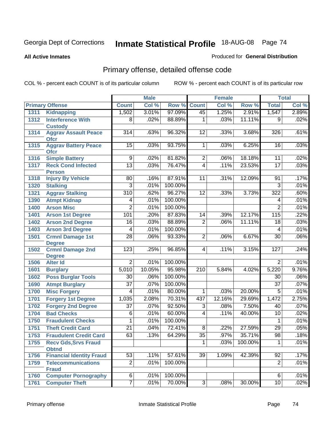**All Active Inmates**

### Produced for **General Distribution**

# Primary offense, detailed offense code

|      |                                             |                 | <b>Male</b> |         |                  | <b>Female</b> |         |                 | <b>Total</b> |
|------|---------------------------------------------|-----------------|-------------|---------|------------------|---------------|---------|-----------------|--------------|
|      | <b>Primary Offense</b>                      | <b>Count</b>    | Col %       | Row %   | <b>Count</b>     | Col %         | Row %   | <b>Total</b>    | Col %        |
| 1311 | <b>Kidnapping</b>                           | 1,502           | 3.01%       | 97.09%  | 45               | 1.25%         | 2.91%   | 1,547           | 2.89%        |
| 1312 | <b>Interference With</b><br><b>Custody</b>  | 8               | .02%        | 88.89%  | 1                | .03%          | 11.11%  | 9               | .02%         |
| 1314 | <b>Aggrav Assault Peace</b><br><b>Ofcr</b>  | 314             | .63%        | 96.32%  | 12               | .33%          | 3.68%   | 326             | .61%         |
| 1315 | <b>Aggrav Battery Peace</b><br><b>Ofcr</b>  | 15              | .03%        | 93.75%  | 1                | .03%          | 6.25%   | 16              | .03%         |
| 1316 | <b>Simple Battery</b>                       | 9               | .02%        | 81.82%  | $\overline{2}$   | .06%          | 18.18%  | 11              | .02%         |
| 1317 | <b>Reck Cond Infected</b><br><b>Person</b>  | $\overline{13}$ | .03%        | 76.47%  | $\overline{4}$   | .11%          | 23.53%  | $\overline{17}$ | .03%         |
| 1318 | <b>Injury By Vehicle</b>                    | 80              | .16%        | 87.91%  | 11               | .31%          | 12.09%  | 91              | .17%         |
| 1320 | <b>Stalking</b>                             | 3               | .01%        | 100.00% |                  |               |         | $\overline{3}$  | .01%         |
| 1321 | <b>Aggrav Stalking</b>                      | 310             | .62%        | 96.27%  | $\overline{12}$  | .33%          | 3.73%   | 322             | .60%         |
| 1390 | <b>Atmpt Kidnap</b>                         | 4               | .01%        | 100.00% |                  |               |         | 4               | .01%         |
| 1400 | <b>Arson Misc</b>                           | $\overline{2}$  | .01%        | 100.00% |                  |               |         | $\overline{2}$  | .01%         |
| 1401 | <b>Arson 1st Degree</b>                     | 101             | .20%        | 87.83%  | 14               | .39%          | 12.17%  | 115             | .22%         |
| 1402 | <b>Arson 2nd Degree</b>                     | 16              | .03%        | 88.89%  | $\overline{2}$   | .06%          | 11.11%  | $\overline{18}$ | .03%         |
| 1403 | <b>Arson 3rd Degree</b>                     | 4               | .01%        | 100.00% |                  |               |         | 4               | .01%         |
| 1501 | <b>Crmnl Damage 1st</b><br><b>Degree</b>    | $\overline{28}$ | .06%        | 93.33%  | $\overline{2}$   | .06%          | 6.67%   | $\overline{30}$ | .06%         |
| 1502 | <b>Crmnl Damage 2nd</b>                     | 123             | .25%        | 96.85%  | $\overline{4}$   | .11%          | 3.15%   | 127             | .24%         |
| 1506 | <b>Degree</b><br><b>Alter Id</b>            | $\overline{2}$  | .01%        | 100.00% |                  |               |         | $\overline{2}$  | .01%         |
| 1601 | <b>Burglary</b>                             | 5,010           | 10.05%      | 95.98%  | $\overline{210}$ | 5.84%         | 4.02%   | 5,220           | 9.76%        |
| 1602 | <b>Poss Burglar Tools</b>                   | $\overline{30}$ | .06%        | 100.00% |                  |               |         | $\overline{30}$ | .06%         |
| 1690 | <b>Atmpt Burglary</b>                       | $\overline{37}$ | .07%        | 100.00% |                  |               |         | $\overline{37}$ | .07%         |
| 1700 | <b>Misc Forgery</b>                         | 4               | .01%        | 80.00%  | 1                | .03%          | 20.00%  | $\overline{5}$  | .01%         |
| 1701 | <b>Forgery 1st Degree</b>                   | 1,035           | 2.08%       | 70.31%  | 437              | 12.16%        | 29.69%  | 1,472           | 2.75%        |
| 1702 | <b>Forgery 2nd Degree</b>                   | $\overline{37}$ | .07%        | 92.50%  | $\overline{3}$   | .08%          | 7.50%   | 40              | .07%         |
| 1704 | <b>Bad Checks</b>                           | 6               | .01%        | 60.00%  | $\overline{4}$   | .11%          | 40.00%  | $\overline{10}$ | .02%         |
| 1750 | <b>Fraudulent Checks</b>                    |                 | .01%        | 100.00% |                  |               |         | 1               | .01%         |
| 1751 | <b>Theft Credit Card</b>                    | $\overline{21}$ | .04%        | 72.41%  | 8                | .22%          | 27.59%  | $\overline{29}$ | .05%         |
| 1753 | <b>Fraudulent Credit Card</b>               | 63              | .13%        | 64.29%  | $\overline{35}$  | .97%          | 35.71%  | $\overline{98}$ | .18%         |
| 1755 | <b>Recv Gds, Srvs Fraud</b><br><b>Obtnd</b> |                 |             |         | 1                | .03%          | 100.00% | 1               | .01%         |
| 1756 | <b>Financial Identity Fraud</b>             | $\overline{53}$ | .11%        | 57.61%  | 39               | 1.09%         | 42.39%  | $\overline{92}$ | .17%         |
| 1759 | <b>Telecommunications</b><br><b>Fraud</b>   | $\overline{2}$  | .01%        | 100.00% |                  |               |         | $\overline{2}$  | .01%         |
| 1760 | <b>Computer Pornography</b>                 | $\overline{6}$  | .01%        | 100.00% |                  |               |         | 6               | .01%         |
| 1761 | <b>Computer Theft</b>                       | $\overline{7}$  | .01%        | 70.00%  | $\overline{3}$   | .08%          | 30.00%  | 10              | .02%         |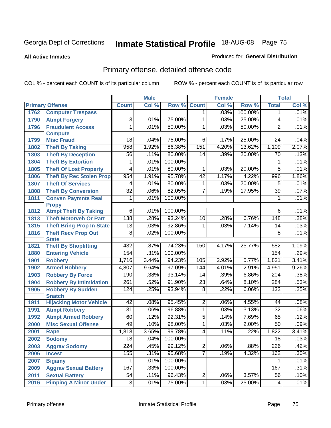#### **All Active Inmates**

#### Produced for **General Distribution**

# Primary offense, detailed offense code

|      |                                  |                  | <b>Male</b> |         | <b>Female</b>   |       |         | <b>Total</b>     |       |
|------|----------------------------------|------------------|-------------|---------|-----------------|-------|---------|------------------|-------|
|      | <b>Primary Offense</b>           | <b>Count</b>     | Col %       | Row %   | <b>Count</b>    | Col % | Row %   | <b>Total</b>     | Col % |
| 1762 | <b>Computer Trespass</b>         |                  |             |         | 1               | .03%  | 100.00% | 1                | .01%  |
| 1790 | <b>Atmpt Forgery</b>             | 3                | .01%        | 75.00%  | 1               | .03%  | 25.00%  | 4                | .01%  |
| 1796 | <b>Fraudulent Access</b>         | $\overline{1}$   | .01%        | 50.00%  | $\overline{1}$  | .03%  | 50.00%  | $\overline{2}$   | .01%  |
|      | <b>Compute</b>                   |                  |             |         |                 |       |         |                  |       |
| 1799 | <b>Misc Fraud</b>                | 18               | .04%        | 75.00%  | 6               | .17%  | 25.00%  | 24               | .04%  |
| 1802 | <b>Theft By Taking</b>           | 958              | 1.92%       | 86.38%  | 151             | 4.20% | 13.62%  | 1,109            | 2.07% |
| 1803 | <b>Theft By Deception</b>        | $\overline{56}$  | .11%        | 80.00%  | 14              | .39%  | 20.00%  | 70               | .13%  |
| 1804 | <b>Theft By Extortion</b>        | 1                | .01%        | 100.00% |                 |       |         | 1                | .01%  |
| 1805 | <b>Theft Of Lost Property</b>    | $\overline{4}$   | .01%        | 80.00%  | 1               | .03%  | 20.00%  | $\overline{5}$   | .01%  |
| 1806 | <b>Theft By Rec Stolen Prop</b>  | 954              | 1.91%       | 95.78%  | 42              | 1.17% | 4.22%   | 996              | 1.86% |
| 1807 | <b>Theft Of Services</b>         | 4                | .01%        | 80.00%  | $\mathbf{1}$    | .03%  | 20.00%  | $\overline{5}$   | .01%  |
| 1808 | <b>Theft By Conversion</b>       | $\overline{32}$  | .06%        | 82.05%  | 7               | .19%  | 17.95%  | $\overline{39}$  | .07%  |
| 1811 | <b>Convsn Paymnts Real</b>       | $\mathbf{1}$     | .01%        | 100.00% |                 |       |         | 1                | .01%  |
|      | <b>Propy</b>                     |                  |             |         |                 |       |         |                  |       |
| 1812 | <b>Atmpt Theft By Taking</b>     | $\overline{6}$   | .01%        | 100.00% |                 |       |         | $6\overline{6}$  | .01%  |
| 1813 | <b>Theft Motorveh Or Part</b>    | 138              | .28%        | 93.24%  | 10              | .28%  | 6.76%   | 148              | .28%  |
| 1815 | <b>Theft Bring Prop In State</b> | $\overline{13}$  | .03%        | 92.86%  | $\overline{1}$  | .03%  | 7.14%   | $\overline{14}$  | .03%  |
| 1816 | <b>Theft Recv Prop Out</b>       | $\overline{8}$   | .02%        | 100.00% |                 |       |         | $\overline{8}$   | .01%  |
|      | <b>State</b>                     |                  |             |         |                 |       |         |                  |       |
| 1821 | <b>Theft By Shoplifting</b>      | 432              | .87%        | 74.23%  | 150             | 4.17% | 25.77%  | 582              | 1.09% |
| 1880 | <b>Entering Vehicle</b>          | 154              | .31%        | 100.00% |                 |       |         | 154              | .29%  |
| 1901 | <b>Robbery</b>                   | 1,716            | 3.44%       | 94.23%  | 105             | 2.92% | 5.77%   | 1,821            | 3.41% |
| 1902 | <b>Armed Robbery</b>             | 4,807            | 9.64%       | 97.09%  | 144             | 4.01% | 2.91%   | 4,951            | 9.26% |
| 1903 | <b>Robbery By Force</b>          | 190              | .38%        | 93.14%  | 14              | .39%  | 6.86%   | $\overline{204}$ | .38%  |
| 1904 | <b>Robbery By Intimidation</b>   | 261              | .52%        | 91.90%  | $\overline{23}$ | .64%  | 8.10%   | 284              | .53%  |
| 1905 | <b>Robbery By Sudden</b>         | 124              | .25%        | 93.94%  | $\overline{8}$  | .22%  | 6.06%   | $\overline{132}$ | .25%  |
|      | <b>Snatch</b>                    |                  |             |         |                 |       |         |                  |       |
| 1911 | <b>Hijacking Motor Vehicle</b>   | 42               | .08%        | 95.45%  | $\overline{2}$  | .06%  | 4.55%   | 44               | .08%  |
| 1991 | <b>Atmpt Robbery</b>             | $\overline{31}$  | .06%        | 96.88%  | $\overline{1}$  | .03%  | 3.13%   | $\overline{32}$  | .06%  |
| 1992 | <b>Atmpt Armed Robbery</b>       | 60               | .12%        | 92.31%  | $\overline{5}$  | .14%  | 7.69%   | 65               | .12%  |
| 2000 | <b>Misc Sexual Offense</b>       | 49               | .10%        | 98.00%  | $\overline{1}$  | .03%  | 2.00%   | $\overline{50}$  | .09%  |
| 2001 | <b>Rape</b>                      | 1,818            | 3.65%       | 99.78%  | $\overline{4}$  | .11%  | .22%    | 1,822            | 3.41% |
| 2002 | <b>Sodomy</b>                    | $\overline{18}$  | .04%        | 100.00% |                 |       |         | $\overline{18}$  | .03%  |
| 2003 | <b>Aggrav Sodomy</b>             | $\overline{224}$ | .45%        | 99.12%  | $\overline{2}$  | .06%  | .88%    | 226              | .42%  |
| 2006 | <b>Incest</b>                    | 155              | .31%        | 95.68%  | $\overline{7}$  | .19%  | 4.32%   | 162              | .30%  |
| 2007 | <b>Bigamy</b>                    | 1                | .01%        | 100.00% |                 |       |         | 1.               | .01%  |
| 2009 | <b>Aggrav Sexual Battery</b>     | 167              | .33%        | 100.00% |                 |       |         | 167              | .31%  |
| 2011 | <b>Sexual Battery</b>            | 54               | .11%        | 96.43%  | $\overline{2}$  | .06%  | 3.57%   | 56               | .10%  |
| 2016 | <b>Pimping A Minor Under</b>     | $\overline{3}$   | .01%        | 75.00%  | $\overline{1}$  | .03%  | 25.00%  | 4                | .01%  |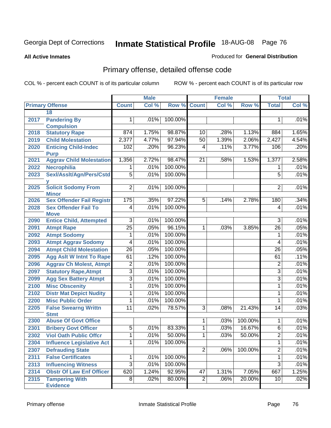#### **All Active Inmates**

### Produced for **General Distribution**

# Primary offense, detailed offense code

|      |                                               |                 | <b>Male</b> |                    |                | <b>Female</b> |         | <b>Total</b>    |       |
|------|-----------------------------------------------|-----------------|-------------|--------------------|----------------|---------------|---------|-----------------|-------|
|      | <b>Primary Offense</b>                        | <b>Count</b>    | Col %       | <b>Row % Count</b> |                | Col %         | Row %   | <b>Total</b>    | Col % |
|      | 18                                            |                 |             |                    |                |               |         |                 |       |
| 2017 | <b>Pandering By</b>                           | 1.              | .01%        | 100.00%            |                |               |         | 1               | .01%  |
|      | <b>Compulsion</b>                             |                 |             |                    |                |               |         |                 |       |
| 2018 | <b>Statutory Rape</b>                         | 874             | 1.75%       | 98.87%             | 10             | .28%          | 1.13%   | 884             | 1.65% |
| 2019 | <b>Child Molestation</b>                      | 2,377           | 4.77%       | 97.94%             | 50             | 1.39%         | 2.06%   | 2,427           | 4.54% |
| 2020 | <b>Enticing Child-Indec</b><br><b>Purp</b>    | 102             | .20%        | 96.23%             | 4              | .11%          | 3.77%   | 106             | .20%  |
| 2021 | <b>Aggrav Child Molestation</b>               | 1,356           | 2.72%       | 98.47%             | 21             | .58%          | 1.53%   | 1,377           | 2.58% |
| 2022 | Necrophilia                                   | $\mathbf 1$     | .01%        | 100.00%            |                |               |         | 1               | .01%  |
| 2023 | Sexl/Asslt/Agn/Pers/Cstd                      | $\overline{5}$  | .01%        | 100.00%            |                |               |         | $\overline{5}$  | .01%  |
|      |                                               |                 |             |                    |                |               |         |                 |       |
| 2025 | <b>Solicit Sodomy From</b><br><b>Minor</b>    | $\overline{2}$  | .01%        | 100.00%            |                |               |         | $\overline{2}$  | .01%  |
| 2026 | <b>Sex Offender Fail Registr</b>              | 175             | .35%        | 97.22%             | $\overline{5}$ | .14%          | 2.78%   | 180             | .34%  |
| 2028 | <b>Sex Offender Fail To</b>                   | 4               | .01%        | 100.00%            |                |               |         | 4               | .01%  |
| 2090 | <b>Move</b><br><b>Entice Child, Attempted</b> | $\overline{3}$  | .01%        | 100.00%            |                |               |         | 3               | .01%  |
| 2091 | <b>Atmpt Rape</b>                             | $\overline{25}$ | .05%        | 96.15%             | 1              | .03%          | 3.85%   | $\overline{26}$ | .05%  |
| 2092 | <b>Atmpt Sodomy</b>                           | 1               | .01%        | 100.00%            |                |               |         | 1               | .01%  |
| 2093 | <b>Atmpt Aggrav Sodomy</b>                    | $\overline{4}$  | .01%        | 100.00%            |                |               |         | 4               | .01%  |
| 2094 | <b>Atmpt Child Molestation</b>                | $\overline{26}$ | .05%        | 100.00%            |                |               |         | 26              | .05%  |
| 2095 | <b>Agg Aslt W Intnt To Rape</b>               | 61              | .12%        | 100.00%            |                |               |         | 61              | .11%  |
| 2096 | <b>Aggrav Ch Molest, Atmpt</b>                | $\overline{2}$  | .01%        | 100.00%            |                |               |         | $\overline{2}$  | .01%  |
| 2097 | <b>Statutory Rape, Atmpt</b>                  | $\overline{3}$  | .01%        | 100.00%            |                |               |         | 3               | .01%  |
| 2099 | <b>Agg Sex Battery Atmpt</b>                  | $\overline{3}$  | .01%        | 100.00%            |                |               |         | 3               | .01%  |
| 2100 | <b>Misc Obscenity</b>                         | 1               | .01%        | 100.00%            |                |               |         | 1               | .01%  |
| 2102 | <b>Distr Mat Depict Nudity</b>                | 1               | .01%        | 100.00%            |                |               |         | 1               | .01%  |
| 2200 | <b>Misc Public Order</b>                      | 1               | .01%        | 100.00%            |                |               |         | 1               | .01%  |
| 2205 | <b>False Swearng Writtn</b>                   | 11              | .02%        | 78.57%             | 3              | .08%          | 21.43%  | 14              | .03%  |
|      | <b>Stmt</b>                                   |                 |             |                    |                |               |         |                 |       |
| 2300 | <b>Abuse Of Govt Office</b>                   |                 |             |                    | 1              | .03%          | 100.00% | 1               | .01%  |
| 2301 | <b>Bribery Govt Officer</b>                   | $\overline{5}$  | .01%        | 83.33%             | 1              | .03%          | 16.67%  | $\overline{6}$  | .01%  |
| 2302 | <b>Viol Oath Public Offcr</b>                 | $\mathbf 1$     | .01%        | 50.00%             | 1              | .03%          | 50.00%  | $\overline{2}$  | .01%  |
| 2304 | <b>Influence Legislative Act</b>              | 1               | .01%        | 100.00%            |                |               |         | 1               | .01%  |
| 2307 | <b>Defrauding State</b>                       |                 |             |                    | $\overline{2}$ | .06%          | 100.00% | $\overline{2}$  | .01%  |
| 2311 | <b>False Certificates</b>                     | 1               | .01%        | 100.00%            |                |               |         | 1               | .01%  |
| 2313 | <b>Influencing Witness</b>                    | $\overline{3}$  | .01%        | 100.00%            |                |               |         | $\overline{3}$  | .01%  |
| 2314 | <b>Obstr Of Law Enf Officer</b>               | 620             | 1.24%       | 92.95%             | 47             | 1.31%         | 7.05%   | 667             | 1.25% |
| 2315 | <b>Tampering With</b><br><b>Evidence</b>      | $\overline{8}$  | .02%        | 80.00%             | $\overline{2}$ | .06%          | 20.00%  | 10              | .02%  |
|      |                                               |                 |             |                    |                |               |         |                 |       |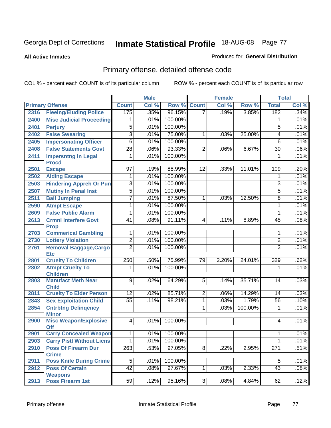#### **All Active Inmates**

### Produced for **General Distribution**

# Primary offense, detailed offense code

|      |                                             |                 | <b>Male</b> |         |                | <b>Female</b> |         |                  | <b>Total</b> |
|------|---------------------------------------------|-----------------|-------------|---------|----------------|---------------|---------|------------------|--------------|
|      | <b>Primary Offense</b>                      | <b>Count</b>    | Col %       | Row %   | <b>Count</b>   | Col %         | Row %   | <b>Total</b>     | Col %        |
| 2316 | <b>Fleeing/Eluding Police</b>               | 175             | .35%        | 96.15%  | $\overline{7}$ | .19%          | 3.85%   | 182              | .34%         |
| 2400 | <b>Misc Judicial Proceeding</b>             | 1               | .01%        | 100.00% |                |               |         | 1                | .01%         |
| 2401 | <b>Perjury</b>                              | $\overline{5}$  | .01%        | 100.00% |                |               |         | $\overline{5}$   | .01%         |
| 2402 | <b>False Swearing</b>                       | $\overline{3}$  | .01%        | 75.00%  | 1              | .03%          | 25.00%  | 4                | .01%         |
| 2405 | <b>Impersonating Officer</b>                | $\overline{6}$  | .01%        | 100.00% |                |               |         | $\overline{6}$   | .01%         |
| 2408 | <b>False Statements Govt</b>                | $\overline{28}$ | .06%        | 93.33%  | $\overline{2}$ | .06%          | 6.67%   | $\overline{30}$  | .06%         |
| 2411 | <b>Impersntng In Legal</b><br><b>Procd</b>  | $\overline{1}$  | .01%        | 100.00% |                |               |         | 1                | .01%         |
| 2501 | <b>Escape</b>                               | 97              | .19%        | 88.99%  | 12             | .33%          | 11.01%  | 109              | .20%         |
| 2502 | <b>Aiding Escape</b>                        | 1               | .01%        | 100.00% |                |               |         | 1                | .01%         |
| 2503 | <b>Hindering Appreh Or Pun</b>              | 3               | .01%        | 100.00% |                |               |         | $\overline{3}$   | .01%         |
| 2507 | <b>Mutiny In Penal Inst</b>                 | $\overline{5}$  | .01%        | 100.00% |                |               |         | 5                | .01%         |
| 2511 | <b>Bail Jumping</b>                         | $\overline{7}$  | .01%        | 87.50%  | $\mathbf{1}$   | .03%          | 12.50%  | $\overline{8}$   | .01%         |
| 2590 | <b>Atmpt Escape</b>                         | 1               | .01%        | 100.00% |                |               |         | 1                | .01%         |
| 2609 | <b>False Public Alarm</b>                   | 1               | .01%        | 100.00% |                |               |         | $\mathbf{1}$     | .01%         |
| 2613 | <b>Crmnl Interfere Govt</b>                 | $\overline{41}$ | .08%        | 91.11%  | $\overline{4}$ | .11%          | 8.89%   | 45               | .08%         |
|      | <b>Prop</b>                                 |                 |             |         |                |               |         |                  |              |
| 2703 | <b>Commerical Gambling</b>                  | 1               | .01%        | 100.00% |                |               |         | 1                | .01%         |
| 2730 | <b>Lottery Violation</b>                    | $\overline{2}$  | .01%        | 100.00% |                |               |         | $\overline{2}$   | .01%         |
| 2761 | <b>Removal Baggage, Cargo</b><br><b>Etc</b> | $\overline{2}$  | .01%        | 100.00% |                |               |         | $\overline{2}$   | .01%         |
| 2801 | <b>Cruelty To Children</b>                  | 250             | .50%        | 75.99%  | 79             | 2.20%         | 24.01%  | 329              | .62%         |
| 2802 | <b>Atmpt Cruelty To</b><br><b>Children</b>  | 1               | .01%        | 100.00% |                |               |         | 1                | .01%         |
| 2803 | <b>Manufact Meth Near</b><br><b>Child</b>   | $\overline{9}$  | .02%        | 64.29%  | 5              | .14%          | 35.71%  | 14               | .03%         |
| 2811 | <b>Cruelty To Elder Person</b>              | $\overline{12}$ | .02%        | 85.71%  | $\overline{2}$ | .06%          | 14.29%  | 14               | .03%         |
| 2843 | <b>Sex Exploitation Child</b>               | $\overline{55}$ | .11%        | 98.21%  | 1              | .03%          | 1.79%   | $\overline{56}$  | .10%         |
| 2854 | <b>Cntrbtng Delingency</b><br><b>Minor</b>  |                 |             |         | 1              | .03%          | 100.00% | 1                | .01%         |
| 2900 | <b>Misc Weapon/Explosive</b><br><b>Off</b>  | $\overline{4}$  | .01%        | 100.00% |                |               |         | 4                | .01%         |
| 2901 | <b>Carry Concealed Weapon</b>               | $\overline{1}$  | $.01\%$     | 100.00% |                |               |         | $\mathbf{1}$     | .01%         |
| 2903 | <b>Carry Pistl Without Licns</b>            | 1               | .01%        | 100.00% |                |               |         | 1                | .01%         |
| 2910 | <b>Poss Of Firearm Dur</b>                  | 263             | .53%        | 97.05%  | 8 <sup>1</sup> | .22%          | 2.95%   | $\overline{271}$ | .51%         |
|      | <b>Crime</b>                                |                 |             |         |                |               |         |                  |              |
| 2911 | <b>Poss Knife During Crime</b>              | $\overline{5}$  | .01%        | 100.00% |                |               |         | 5                | .01%         |
| 2912 | <b>Poss Of Certain</b><br><b>Weapons</b>    | $\overline{42}$ | .08%        | 97.67%  | 1              | .03%          | 2.33%   | 43               | .08%         |
| 2913 | <b>Poss Firearm 1st</b>                     | 59              | .12%        | 95.16%  | دی             | .08%          | 4.84%   | 62               | .12%         |
|      |                                             |                 |             |         |                |               |         |                  |              |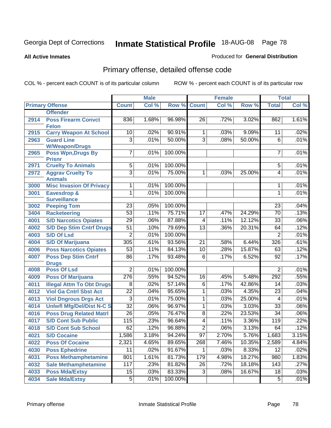#### **All Active Inmates**

### Produced for **General Distribution**

# Primary offense, detailed offense code

|      |                                            |                 | <b>Male</b> |         |                 | <b>Female</b> |        |                 | <b>Total</b> |
|------|--------------------------------------------|-----------------|-------------|---------|-----------------|---------------|--------|-----------------|--------------|
|      | <b>Primary Offense</b>                     | <b>Count</b>    | Col %       | Row %   | <b>Count</b>    | Col %         | Row %  | <b>Total</b>    | Col %        |
|      | <b>Offender</b>                            |                 |             |         |                 |               |        |                 |              |
| 2914 | <b>Poss Firearm Convct</b>                 | 836             | 1.68%       | 96.98%  | 26              | .72%          | 3.02%  | 862             | 1.61%        |
|      | <b>Felon</b>                               |                 |             |         |                 |               |        |                 |              |
| 2915 | <b>Carry Weapon At School</b>              | 10              | .02%        | 90.91%  | 1               | .03%          | 9.09%  | 11              | .02%         |
| 2963 | <b>Guard Line</b>                          | $\overline{3}$  | .01%        | 50.00%  | $\overline{3}$  | .08%          | 50.00% | 6               | .01%         |
|      | <b>W/Weapon/Drugs</b>                      |                 |             |         |                 |               |        |                 |              |
| 2965 | <b>Poss Wpn, Drugs By</b><br><b>Prisnr</b> | 7               | .01%        | 100.00% |                 |               |        | 7               | .01%         |
| 2971 | <b>Cruelty To Animals</b>                  | 5               | .01%        | 100.00% |                 |               |        | $\overline{5}$  | .01%         |
| 2972 | <b>Aggrav Cruelty To</b>                   | $\overline{3}$  | .01%        | 75.00%  | 1               | .03%          | 25.00% | $\overline{4}$  | .01%         |
|      | <b>Animals</b>                             |                 |             |         |                 |               |        |                 |              |
| 3000 | <b>Misc Invasion Of Privacy</b>            | 1               | .01%        | 100.00% |                 |               |        | 1               | .01%         |
| 3001 | <b>Eavesdrop &amp;</b>                     | 1               | .01%        | 100.00% |                 |               |        | 1               | .01%         |
|      | <b>Surveillance</b>                        |                 |             |         |                 |               |        |                 |              |
| 3002 | <b>Peeping Tom</b>                         | 23              | .05%        | 100.00% |                 |               |        | 23              | .04%         |
| 3404 | <b>Racketeering</b>                        | $\overline{53}$ | .11%        | 75.71%  | $\overline{17}$ | .47%          | 24.29% | $\overline{70}$ | .13%         |
| 4001 | <b>S/D Narcotics Opiates</b>               | $\overline{29}$ | .06%        | 87.88%  | $\overline{4}$  | .11%          | 12.12% | 33              | .06%         |
| 4002 | <b>S/D Dep Stim Cntrf Drugs</b>            | $\overline{51}$ | .10%        | 79.69%  | $\overline{13}$ | .36%          | 20.31% | 64              | .12%         |
| 4003 | <b>S/D Of Lsd</b>                          | $\overline{2}$  | .01%        | 100.00% |                 |               |        | $\overline{2}$  | .01%         |
| 4004 | <b>S/D Of Marijuana</b>                    | 305             | .61%        | 93.56%  | $\overline{21}$ | .58%          | 6.44%  | 326             | .61%         |
| 4006 | <b>Poss Narcotics Opiates</b>              | $\overline{53}$ | .11%        | 84.13%  | 10              | .28%          | 15.87% | 63              | .12%         |
| 4007 | <b>Poss Dep Stim Cntrf</b>                 | 86              | .17%        | 93.48%  | 6               | .17%          | 6.52%  | $\overline{92}$ | .17%         |
|      | <b>Drugs</b>                               |                 |             |         |                 |               |        |                 |              |
| 4008 | <b>Poss Of Lsd</b>                         | $\overline{2}$  | .01%        | 100.00% |                 |               |        | $\overline{2}$  | .01%         |
| 4009 | <b>Poss Of Marijuana</b>                   | 276             | .55%        | 94.52%  | 16              | .45%          | 5.48%  | 292             | .55%         |
| 4011 | <b>Illegal Attm To Obt Drugs</b>           | $\overline{8}$  | .02%        | 57.14%  | $\overline{6}$  | .17%          | 42.86% | $\overline{14}$ | .03%         |
| 4012 | <b>Viol Ga Cntrl Sbst Act</b>              | $\overline{22}$ | .04%        | 95.65%  | 1               | .03%          | 4.35%  | $\overline{23}$ | .04%         |
| 4013 | <b>Viol Dngrous Drgs Act</b>               | $\overline{3}$  | .01%        | 75.00%  | 1               | .03%          | 25.00% | $\overline{4}$  | .01%         |
| 4014 | <b>Uniwfl Mfg/Del/Dist N-C S</b>           | $\overline{32}$ | .06%        | 96.97%  | 1               | .03%          | 3.03%  | $\overline{33}$ | .06%         |
| 4016 | <b>Poss Drug Related Matri</b>             | $\overline{26}$ | .05%        | 76.47%  | $\overline{8}$  | .22%          | 23.53% | $\overline{34}$ | .06%         |
| 4017 | <b>S/D Cont Sub Public</b>                 | 115             | .23%        | 96.64%  | 4               | .11%          | 3.36%  | 119             | .22%         |
| 4018 | <b>S/D Cont Sub School</b>                 | 62              | .12%        | 96.88%  | $\overline{2}$  | .06%          | 3.13%  | 64              | .12%         |
| 4021 | <b>S/D Cocaine</b>                         | 1,586           | 3.18%       | 94.24%  | $\overline{97}$ | 2.70%         | 5.76%  | 1,683           | 3.15%        |
| 4022 | <b>Poss Of Cocaine</b>                     | 2,321           | 4.65%       | 89.65%  | 268             | 7.46%         | 10.35% | 2,589           | 4.84%        |
| 4030 | <b>Poss Ephedrine</b>                      | $\overline{11}$ | .02%        | 91.67%  |                 | .03%          | 8.33%  | $\overline{12}$ | .02%         |
| 4031 | <b>Poss Methamphetamine</b>                | 801             | 1.61%       | 81.73%  | 179             | 4.98%         | 18.27% | 980             | 1.83%        |
| 4032 | <b>Sale Methamphetamine</b>                | 117             | .23%        | 81.82%  | $\overline{26}$ | .72%          | 18.18% | 143             | .27%         |
| 4033 | <b>Poss Mda/Extsy</b>                      | 15              | .03%        | 83.33%  | $\overline{3}$  | .08%          | 16.67% | $\overline{18}$ | .03%         |
| 4034 | <b>Sale Mda/Extsy</b>                      | $\overline{5}$  | .01%        | 100.00% |                 |               |        | $\overline{5}$  | .01%         |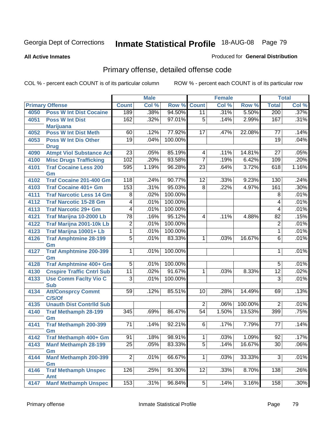#### **All Active Inmates**

### Produced for **General Distribution**

# Primary offense, detailed offense code

|      |                                    |                  | <b>Male</b> |             |                 | <b>Female</b> |         |                          | <b>Total</b> |
|------|------------------------------------|------------------|-------------|-------------|-----------------|---------------|---------|--------------------------|--------------|
|      | <b>Primary Offense</b>             | <b>Count</b>     | Col %       | Row %       | Count           | Col %         | Row %   | <b>Total</b>             | Col %        |
| 4050 | <b>Poss W Int Dist Cocaine</b>     | 189              | .38%        | 94.50%      | 11              | .31%          | 5.50%   | 200                      | .37%         |
| 4051 | <b>Poss W Int Dist</b>             | 162              | .32%        | 97.01%      | $\overline{5}$  | .14%          | 2.99%   | 167                      | .31%         |
|      | <b>Marijuana</b>                   |                  |             |             |                 |               |         |                          |              |
| 4052 | <b>Poss W Int Dist Meth</b>        | 60               | .12%        | 77.92%      | 17              | .47%          | 22.08%  | 77                       | .14%         |
| 4053 | <b>Poss W Int Dis Other</b>        | $\overline{19}$  | .04%        | 100.00%     |                 |               |         | $\overline{19}$          | .04%         |
|      | <b>Drug</b>                        |                  |             |             |                 |               |         |                          |              |
| 4090 | <b>Atmpt Viol Substance Act</b>    | $\overline{23}$  | .05%        | 85.19%      | 4               | .11%          | 14.81%  | 27                       | .05%         |
| 4100 | <b>Misc Drugs Trafficking</b>      | 102              | .20%        | 93.58%      | $\overline{7}$  | .19%          | 6.42%   | 109                      | .20%         |
| 4101 | <b>Traf Cocaine Less 200</b>       | 595              | 1.19%       | 96.28%      | $\overline{23}$ | .64%          | 3.72%   | 618                      | 1.16%        |
|      | Gm                                 |                  |             |             |                 |               |         |                          |              |
| 4102 | <b>Traf Cocaine 201-400 Gm</b>     | $\overline{118}$ | .24%        | 90.77%      | $\overline{12}$ | .33%          | 9.23%   | 130                      | .24%         |
| 4103 | <b>Traf Cocaine 401+ Gm</b>        | 153              | .31%        | 95.03%      | $\overline{8}$  | .22%          | 4.97%   | 161                      | .30%         |
| 4111 | <b>Traf Narcotic Less 14 Gm</b>    | $\overline{8}$   | .02%        | 100.00%     |                 |               |         | $\overline{8}$           | .01%         |
| 4112 | <b>Traf Narcotic 15-28 Gm</b>      | 4                | .01%        | 100.00%     |                 |               |         | $\overline{\mathcal{A}}$ | .01%         |
| 4113 | <b>Traf Narcotic 29+ Gm</b>        | $\overline{4}$   | .01%        | 100.00%     |                 |               |         | 4                        | .01%         |
| 4121 | Traf Marijna 10-2000 Lb            | $\overline{78}$  | .16%        | 95.12%      | 4               | .11%          | 4.88%   | $\overline{82}$          | .15%         |
| 4122 | Traf Marijna 2001-10k Lb           | $\overline{2}$   | .01%        | 100.00%     |                 |               |         | $\overline{2}$           | .01%         |
| 4123 | Traf Marijna 10001+ Lb             | 1                | .01%        | 100.00%     |                 |               |         | 1                        | .01%         |
| 4126 | <b>Traf Amphtmine 28-199</b>       | $\overline{5}$   | .01%        | 83.33%      | $\mathbf{1}$    | .03%          | 16.67%  | $\overline{6}$           | .01%         |
|      | Gm                                 |                  |             |             |                 |               |         |                          |              |
| 4127 | <b>Traf Amphtmine 200-399</b>      | 1                | .01%        | 100.00%     |                 |               |         | 1                        | .01%         |
|      | Gm                                 |                  |             |             |                 |               |         |                          |              |
| 4128 | <b>Traf Amphtmine 400+ Gm</b>      | $\overline{5}$   | .01%        | 100.00%     |                 |               |         | 5                        | .01%         |
| 4130 | <b>Cnspire Traffic Cntrl Sub</b>   | $\overline{11}$  | .02%        | 91.67%      | 1               | .03%          | 8.33%   | $\overline{12}$          | .02%         |
| 4133 | <b>Use Comm Facity Vio C</b>       | $\overline{3}$   | .01%        | 100.00%     |                 |               |         | $\overline{3}$           | .01%         |
|      | <b>Sub</b>                         |                  |             |             |                 |               |         |                          |              |
| 4134 | <b>Att/Consprcy Commt</b>          | 59               | .12%        | 85.51%      | 10              | .28%          | 14.49%  | 69                       | .13%         |
|      | C/S/Of                             |                  |             |             |                 |               |         |                          |              |
| 4135 | <b>Unauth Dist Contrild Sub</b>    |                  |             |             | $\overline{2}$  | .06%          | 100.00% | $\overline{2}$           | .01%         |
| 4140 | <b>Traf Methamph 28-199</b>        | 345              | .69%        | 86.47%      | $\overline{54}$ | 1.50%         | 13.53%  | 399                      | .75%         |
| 4141 | Gm<br><b>Traf Methamph 200-399</b> | 71               | .14%        | 92.21%      | 6               | .17%          | 7.79%   | 77                       | .14%         |
|      | Gm                                 |                  |             |             |                 |               |         |                          |              |
| 4142 | Traf Methamph 400+ Gm              | 91               |             | .18% 98.91% | 1               | .03%          | 1.09%   | 92                       | .17%         |
| 4143 | <b>Manf Methamph 28-199</b>        | $\overline{25}$  | .05%        | 83.33%      | $\overline{5}$  | .14%          | 16.67%  | $\overline{30}$          | .06%         |
|      | Gm                                 |                  |             |             |                 |               |         |                          |              |
| 4144 | Manf Methamph 200-399              | $\overline{2}$   | .01%        | 66.67%      | $\overline{1}$  | .03%          | 33.33%  | $\overline{3}$           | .01%         |
|      | Gm                                 |                  |             |             |                 |               |         |                          |              |
| 4146 | <b>Traf Methamph Unspec</b>        | 126              | .25%        | 91.30%      | 12              | .33%          | 8.70%   | 138                      | .26%         |
|      | Amt                                |                  |             |             |                 |               |         |                          |              |
| 4147 | <b>Manf Methamph Unspec</b>        | $\overline{153}$ | .31%        | 96.84%      | 5               | .14%          | 3.16%   | 158                      | .30%         |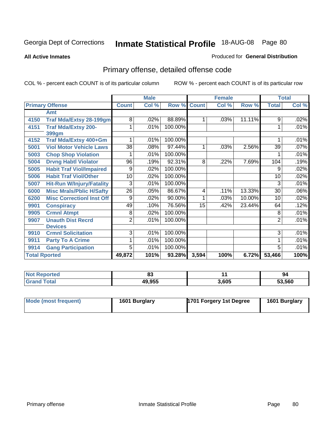**All Active Inmates**

### Produced for **General Distribution**

# Primary offense, detailed offense code

|                      |                                  | <b>Male</b>     |         |         | <b>Female</b> |       |        | <b>Total</b>    |       |
|----------------------|----------------------------------|-----------------|---------|---------|---------------|-------|--------|-----------------|-------|
|                      | <b>Primary Offense</b>           | <b>Count</b>    | Col %   | Row %   | <b>Count</b>  | Col % | Row %  | <b>Total</b>    | Col % |
|                      | Amt                              |                 |         |         |               |       |        |                 |       |
| 4150                 | <b>Traf Mda/Extsy 28-199gm</b>   | 8               | .02%    | 88.89%  |               | .03%  | 11.11% | 9               | .02%  |
| 4151                 | <b>Traf Mda/Extsy 200-</b>       |                 | .01%    | 100.00% |               |       |        | 1               | .01%  |
|                      | 399gm                            |                 |         |         |               |       |        |                 |       |
| 4152                 | Traf Mda/Extsy 400+Gm            |                 | .01%    | 100.00% |               |       |        |                 | .01%  |
| 5001                 | <b>Viol Motor Vehicle Laws</b>   | $\overline{38}$ | .08%    | 97.44%  | $\mathbf{1}$  | .03%  | 2.56%  | $\overline{39}$ | .07%  |
| 5003                 | <b>Chop Shop Violation</b>       |                 | .01%    | 100.00% |               |       |        |                 | .01%  |
| 5004                 | <b>Drvng Habtl Violator</b>      | 96              | .19%    | 92.31%  | 8             | .22%  | 7.69%  | 104             | .19%  |
| 5005                 | <b>Habit Traf Viol/Impaired</b>  | 9               | $.02\%$ | 100.00% |               |       |        | 9               | .02%  |
| 5006                 | <b>Habit Traf Viol/Other</b>     | 10              | .02%    | 100.00% |               |       |        | 10              | .02%  |
| 5007                 | <b>Hit-Run W/Injury/Fatality</b> | 3               | .01%    | 100.00% |               |       |        | 3               | .01%  |
| 6000                 | <b>Misc Mrals/Pblic H/Safty</b>  | 26              | .05%    | 86.67%  | 4             | .11%  | 13.33% | 30              | .06%  |
| 6200                 | <b>Misc CorrectionI Inst Off</b> | 9               | .02%    | 90.00%  | 1             | .03%  | 10.00% | 10              | .02%  |
| 9901                 | <b>Conspiracy</b>                | 49              | .10%    | 76.56%  | 15            | .42%  | 23.44% | 64              | .12%  |
| 9905                 | <b>Crmnl Atmpt</b>               | 8               | .02%    | 100.00% |               |       |        | 8               | .01%  |
| 9907                 | <b>Unauth Dist Recrd</b>         | $\overline{2}$  | .01%    | 100.00% |               |       |        | $\overline{2}$  | .01%  |
|                      | <b>Devices</b>                   |                 |         |         |               |       |        |                 |       |
| 9910                 | <b>Crmnl Solicitation</b>        | 3               | .01%    | 100.00% |               |       |        | 3               | .01%  |
| 9911                 | <b>Party To A Crime</b>          |                 | .01%    | 100.00% |               |       |        | 1               | .01%  |
| 9914                 | <b>Gang Participation</b>        | 5               | .01%    | 100.00% |               |       |        | 5               | .01%  |
| <b>Total Rported</b> |                                  | 49,872          | 101%    | 93.28%  | 3,594         | 100%  | 6.72%  | 53,466          | 100%  |

| <b>Not Reported</b>   | ൦ഄ     |       | 94     |
|-----------------------|--------|-------|--------|
| Γotal<br><b>Grand</b> | 49,955 | 3,605 | 53,560 |

| Mode (most frequent) | 1601 Burglary | 1701 Forgery 1st Degree | 1601 Burglary |
|----------------------|---------------|-------------------------|---------------|
|----------------------|---------------|-------------------------|---------------|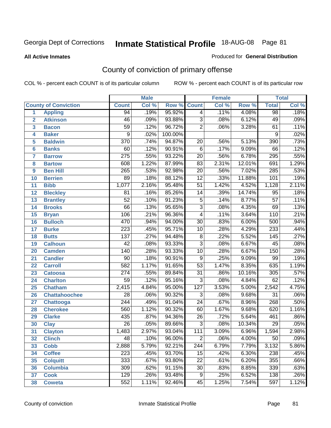#### **All Active Inmates**

#### Produced for **General Distribution**

# County of conviction of primary offense

|                         |                             |                  | <b>Male</b> |         |                  | <b>Female</b> |          |                  | <b>Total</b> |
|-------------------------|-----------------------------|------------------|-------------|---------|------------------|---------------|----------|------------------|--------------|
|                         | <b>County of Conviction</b> | <b>Count</b>     | Col %       | Row %   | <b>Count</b>     | Col %         | Row %    | <b>Total</b>     | Col %        |
| 1                       | <b>Appling</b>              | 94               | .19%        | 95.92%  | $\overline{4}$   | .11%          | 4.08%    | 98               | .18%         |
| $\overline{2}$          | <b>Atkinson</b>             | $\overline{46}$  | .09%        | 93.88%  | $\overline{3}$   | .08%          | 6.12%    | 49               | .09%         |
| $\overline{\mathbf{3}}$ | <b>Bacon</b>                | $\overline{59}$  | .12%        | 96.72%  | $\overline{2}$   | .06%          | 3.28%    | 61               | .11%         |
| 4                       | <b>Baker</b>                | $\overline{9}$   | .02%        | 100.00% |                  |               |          | 9                | .02%         |
| 5                       | <b>Baldwin</b>              | $\overline{370}$ | .74%        | 94.87%  | $\overline{20}$  | .56%          | 5.13%    | 390              | .73%         |
| 6                       | <b>Banks</b>                | 60               | .12%        | 90.91%  | $\overline{6}$   | .17%          | 9.09%    | 66               | .12%         |
| 7                       | <b>Barrow</b>               | $\overline{275}$ | .55%        | 93.22%  | $\overline{20}$  | .56%          | 6.78%    | 295              | .55%         |
| 8                       | <b>Bartow</b>               | 608              | 1.22%       | 87.99%  | 83               | 2.31%         | 12.01%   | 691              | 1.29%        |
| 9                       | <b>Ben Hill</b>             | 265              | .53%        | 92.98%  | $\overline{20}$  | .56%          | 7.02%    | 285              | .53%         |
| 10                      | <b>Berrien</b>              | 89               | .18%        | 88.12%  | $\overline{12}$  | .33%          | 11.88%   | 101              | .19%         |
| 11                      | <b>Bibb</b>                 | 1,077            | 2.16%       | 95.48%  | $\overline{51}$  | 1.42%         | 4.52%    | 1,128            | 2.11%        |
| 12                      | <b>Bleckley</b>             | 81               | .16%        | 85.26%  | 14               | .39%          | 14.74%   | $\overline{95}$  | .18%         |
| $\overline{13}$         | <b>Brantley</b>             | $\overline{52}$  | .10%        | 91.23%  | $\overline{5}$   | .14%          | 8.77%    | $\overline{57}$  | .11%         |
| 14                      | <b>Brooks</b>               | $\overline{66}$  | .13%        | 95.65%  | $\overline{3}$   | .08%          | 4.35%    | 69               | .13%         |
| 15                      | <b>Bryan</b>                | 106              | .21%        | 96.36%  | $\overline{4}$   | .11%          | 3.64%    | 110              | .21%         |
| 16                      | <b>Bulloch</b>              | 470              | .94%        | 94.00%  | $\overline{30}$  | .83%          | 6.00%    | 500              | .94%         |
| 17                      | <b>Burke</b>                | $\overline{223}$ | .45%        | 95.71%  | $\overline{10}$  | .28%          | 4.29%    | 233              | .44%         |
| 18                      | <b>Butts</b>                | $\overline{137}$ | .27%        | 94.48%  | $\overline{8}$   | .22%          | 5.52%    | $\overline{145}$ | .27%         |
| 19                      | <b>Calhoun</b>              | $\overline{42}$  | .08%        | 93.33%  | $\overline{3}$   | .08%          | 6.67%    | 45               | .08%         |
| 20                      | <b>Camden</b>               | 140              | .28%        | 93.33%  | $\overline{10}$  | .28%          | 6.67%    | 150              | .28%         |
| 21                      | <b>Candler</b>              | $\overline{90}$  | .18%        | 90.91%  | $\overline{9}$   | .25%          | 9.09%    | 99               | .19%         |
| 22                      | <b>Carroll</b>              | 582              | 1.17%       | 91.65%  | $\overline{53}$  | 1.47%         | 8.35%    | 635              | 1.19%        |
| 23                      | <b>Catoosa</b>              | $\overline{274}$ | .55%        | 89.84%  | $\overline{31}$  | .86%          | 10.16%   | 305              | .57%         |
| 24                      | <b>Charlton</b>             | $\overline{59}$  | .12%        | 95.16%  | 3                | .08%          | 4.84%    | 62               | .12%         |
| 25                      | <b>Chatham</b>              | 2,415            | 4.84%       | 95.00%  | $\overline{127}$ | 3.53%         | 5.00%    | 2,542            | 4.75%        |
| 26                      | <b>Chattahoochee</b>        | $\overline{28}$  | .06%        | 90.32%  | $\overline{3}$   | .08%          | 9.68%    | $\overline{31}$  | .06%         |
| 27                      | <b>Chattooga</b>            | $\overline{244}$ | .49%        | 91.04%  | $\overline{24}$  | .67%          | 8.96%    | 268              | .50%         |
| 28                      | <b>Cherokee</b>             | 560              | 1.12%       | 90.32%  | 60               | 1.67%         | 9.68%    | 620              | 1.16%        |
| 29                      | <b>Clarke</b>               | 435              | .87%        | 94.36%  | $\overline{26}$  | .72%          | 5.64%    | 461              | .86%         |
| 30                      | <b>Clay</b>                 | $\overline{26}$  | .05%        | 89.66%  | $\overline{3}$   | .08%          | 10.34%   | $\overline{29}$  | .05%         |
| 31                      | <b>Clayton</b>              | 1,483            | 2.97%       | 93.04%  | 111              | 3.09%         | 6.96%    | 1,594            | 2.98%        |
| 32                      | <b>Clinch</b>               | 48               | .10%        | 96.00%  | 2                | .06%          | $4.00\%$ | 50               | $.09\%$      |
| 33                      | <b>Cobb</b>                 | 2,888            | 5.79%       | 92.21%  | 244              | 6.79%         | 7.79%    | 3,132            | 5.86%        |
| 34                      | <b>Coffee</b>               | 223              | .45%        | 93.70%  | 15               | .42%          | 6.30%    | 238              | .45%         |
| 35                      | <b>Colquitt</b>             | 333              | .67%        | 93.80%  | 22               | .61%          | 6.20%    | 355              | .66%         |
| 36                      | <b>Columbia</b>             | 309              | .62%        | 91.15%  | 30               | .83%          | 8.85%    | 339              | .63%         |
| 37                      | <b>Cook</b>                 | 129              | .26%        | 93.48%  | $\overline{9}$   | .25%          | 6.52%    | 138              | .26%         |
| 38                      | <b>Coweta</b>               | 552              | 1.11%       | 92.46%  | 45               | 1.25%         | 7.54%    | 597              | 1.12%        |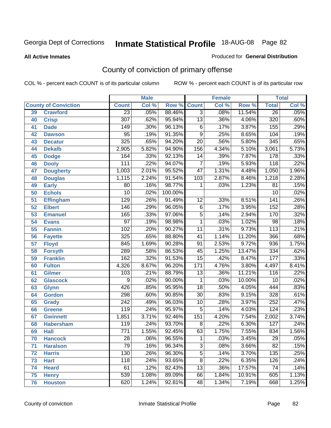**All Active Inmates**

### Produced for **General Distribution**

# County of conviction of primary offense

|    |                             | <b>Male</b><br><b>Female</b> |       |         | <b>Total</b>    |       |        |                  |       |
|----|-----------------------------|------------------------------|-------|---------|-----------------|-------|--------|------------------|-------|
|    | <b>County of Conviction</b> | <b>Count</b>                 | Col % | Row %   | <b>Count</b>    | Col % | Row %  | <b>Total</b>     | Col % |
| 39 | <b>Crawford</b>             | $\overline{23}$              | .05%  | 88.46%  | $\overline{3}$  | .08%  | 11.54% | $\overline{26}$  | .05%  |
| 40 | <b>Crisp</b>                | $\overline{307}$             | .62%  | 95.94%  | $\overline{13}$ | .36%  | 4.06%  | 320              | .60%  |
| 41 | <b>Dade</b>                 | 149                          | .30%  | 96.13%  | 6               | .17%  | 3.87%  | 155              | .29%  |
| 42 | <b>Dawson</b>               | $\overline{95}$              | .19%  | 91.35%  | $\overline{9}$  | .25%  | 8.65%  | 104              | .19%  |
| 43 | <b>Decatur</b>              | 325                          | .65%  | 94.20%  | $\overline{20}$ | .56%  | 5.80%  | 345              | .65%  |
| 44 | <b>Dekalb</b>               | 2,905                        | 5.82% | 94.90%  | 156             | 4.34% | 5.10%  | 3,061            | 5.73% |
| 45 | <b>Dodge</b>                | 164                          | .33%  | 92.13%  | 14              | .39%  | 7.87%  | 178              | .33%  |
| 46 | <b>Dooly</b>                | 111                          | .22%  | 94.07%  | $\overline{7}$  | .19%  | 5.93%  | 118              | .22%  |
| 47 | <b>Dougherty</b>            | 1,003                        | 2.01% | 95.52%  | $\overline{47}$ | 1.31% | 4.48%  | 1,050            | 1.96% |
| 48 | <b>Douglas</b>              | 1,115                        | 2.24% | 91.54%  | 103             | 2.87% | 8.46%  | 1,218            | 2.28% |
| 49 | <b>Early</b>                | 80                           | .16%  | 98.77%  | 1               | .03%  | 1.23%  | 81               | .15%  |
| 50 | <b>Echols</b>               | $\overline{10}$              | .02%  | 100.00% |                 |       |        | 10               | .02%  |
| 51 | <b>Effingham</b>            | 129                          | .26%  | 91.49%  | $\overline{12}$ | .33%  | 8.51%  | $\overline{141}$ | .26%  |
| 52 | <b>Elbert</b>               | 146                          | .29%  | 96.05%  | $\overline{6}$  | .17%  | 3.95%  | 152              | .28%  |
| 53 | <b>Emanuel</b>              | 165                          | .33%  | 97.06%  | $\overline{5}$  | .14%  | 2.94%  | 170              | .32%  |
| 54 | <b>Evans</b>                | $\overline{97}$              | .19%  | 98.98%  | $\mathbf{1}$    | .03%  | 1.02%  | 98               | .18%  |
| 55 | <b>Fannin</b>               | 102                          | .20%  | 90.27%  | 11              | .31%  | 9.73%  | $\overline{113}$ | .21%  |
| 56 | <b>Fayette</b>              | 325                          | .65%  | 88.80%  | 41              | 1.14% | 11.20% | 366              | .68%  |
| 57 | <b>Floyd</b>                | 845                          | 1.69% | 90.28%  | 91              | 2.53% | 9.72%  | 936              | 1.75% |
| 58 | <b>Forsyth</b>              | 289                          | .58%  | 86.53%  | 45              | 1.25% | 13.47% | $\frac{1}{334}$  | .62%  |
| 59 | <b>Franklin</b>             | 162                          | .32%  | 91.53%  | $\overline{15}$ | .42%  | 8.47%  | $\overline{177}$ | .33%  |
| 60 | <b>Fulton</b>               | 4,326                        | 8.67% | 96.20%  | 171             | 4.76% | 3.80%  | 4,497            | 8.41% |
| 61 | Gilmer                      | 103                          | .21%  | 88.79%  | 13              | .36%  | 11.21% | 116              | .22%  |
| 62 | <b>Glascock</b>             | 9                            | .02%  | 90.00%  | 1               | .03%  | 10.00% | 10               | .02%  |
| 63 | <b>Glynn</b>                | 426                          | .85%  | 95.95%  | $\overline{18}$ | .50%  | 4.05%  | 444              | .83%  |
| 64 | <b>Gordon</b>               | 298                          | .60%  | 90.85%  | $\overline{30}$ | .83%  | 9.15%  | 328              | .61%  |
| 65 | <b>Grady</b>                | $\overline{242}$             | .49%  | 96.03%  | 10              | .28%  | 3.97%  | 252              | .47%  |
| 66 | <b>Greene</b>               | 119                          | .24%  | 95.97%  | 5               | .14%  | 4.03%  | 124              | .23%  |
| 67 | <b>Gwinnett</b>             | 1,851                        | 3.71% | 92.46%  | 151             | 4.20% | 7.54%  | 2,002            | 3.74% |
| 68 | <b>Habersham</b>            | 119                          | .24%  | 93.70%  | $\overline{8}$  | .22%  | 6.30%  | 127              | .24%  |
| 69 | <b>Hall</b>                 | $\overline{771}$             | 1.55% | 92.45%  | 63              | 1.75% | 7.55%  | 834              | 1.56% |
| 70 | <b>Hancock</b>              | 28                           | .06%  | 96.55%  | 1               | .03%  | 3.45%  | 29               | .05%  |
| 71 | <b>Haralson</b>             | $\overline{79}$              | .16%  | 96.34%  | $\overline{3}$  | .08%  | 3.66%  | $\overline{82}$  | .15%  |
| 72 | <b>Harris</b>               | 130                          | .26%  | 96.30%  | $\overline{5}$  | .14%  | 3.70%  | 135              | .25%  |
| 73 | <b>Hart</b>                 | 118                          | .24%  | 93.65%  | $\overline{8}$  | .22%  | 6.35%  | 126              | .24%  |
| 74 | <b>Heard</b>                | 61                           | .12%  | 82.43%  | 13              | .36%  | 17.57% | 74               | .14%  |
| 75 | <b>Henry</b>                | 539                          | 1.08% | 89.09%  | 66              | 1.84% | 10.91% | 605              | 1.13% |
| 76 | <b>Houston</b>              | 620                          | 1.24% | 92.81%  | 48              | 1.34% | 7.19%  | 668              | 1.25% |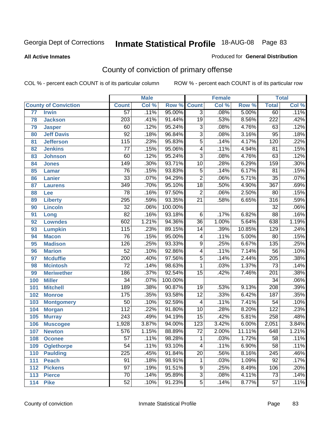**All Active Inmates**

### Produced for **General Distribution**

# County of conviction of primary offense

|     |                             |                  | <b>Male</b> |         |                 | <b>Female</b> |        |                  | <b>Total</b> |
|-----|-----------------------------|------------------|-------------|---------|-----------------|---------------|--------|------------------|--------------|
|     | <b>County of Conviction</b> | <b>Count</b>     | Col %       | Row %   | <b>Count</b>    | Col %         | Row %  | <b>Total</b>     | Col %        |
| 77  | <b>Irwin</b>                | $\overline{57}$  | .11%        | 95.00%  | $\overline{3}$  | .08%          | 5.00%  | 60               | .11%         |
| 78  | <b>Jackson</b>              | $\overline{203}$ | .41%        | 91.44%  | $\overline{19}$ | .53%          | 8.56%  | $\overline{222}$ | .42%         |
| 79  | <b>Jasper</b>               | 60               | .12%        | 95.24%  | $\overline{3}$  | .08%          | 4.76%  | 63               | .12%         |
| 80  | <b>Jeff Davis</b>           | $\overline{92}$  | .18%        | 96.84%  | $\overline{3}$  | .08%          | 3.16%  | $\overline{95}$  | .18%         |
| 81  | <b>Jefferson</b>            | $\overline{115}$ | .23%        | 95.83%  | $\overline{5}$  | .14%          | 4.17%  | 120              | .22%         |
| 82  | <b>Jenkins</b>              | $\overline{77}$  | .15%        | 95.06%  | $\overline{4}$  | .11%          | 4.94%  | $\overline{81}$  | .15%         |
| 83  | <b>Johnson</b>              | 60               | .12%        | 95.24%  | $\overline{3}$  | .08%          | 4.76%  | 63               | .12%         |
| 84  | <b>Jones</b>                | 149              | .30%        | 93.71%  | 10              | .28%          | 6.29%  | 159              | .30%         |
| 85  | <b>Lamar</b>                | $\overline{76}$  | .15%        | 93.83%  | $\overline{5}$  | .14%          | 6.17%  | $\overline{81}$  | .15%         |
| 86  | <b>Lanier</b>               | $\overline{33}$  | .07%        | 94.29%  | $\overline{2}$  | .06%          | 5.71%  | $\overline{35}$  | .07%         |
| 87  | <b>Laurens</b>              | 349              | .70%        | 95.10%  | $\overline{18}$ | .50%          | 4.90%  | 367              | .69%         |
| 88  | Lee                         | $\overline{78}$  | .16%        | 97.50%  | $\overline{2}$  | .06%          | 2.50%  | 80               | .15%         |
| 89  | <b>Liberty</b>              | 295              | .59%        | 93.35%  | $\overline{21}$ | .58%          | 6.65%  | $\overline{316}$ | .59%         |
| 90  | <b>Lincoln</b>              | $\overline{32}$  | .06%        | 100.00% |                 |               |        | $\overline{32}$  | .06%         |
| 91  | Long                        | $\overline{82}$  | .16%        | 93.18%  | 6               | .17%          | 6.82%  | $\overline{88}$  | .16%         |
| 92  | <b>Lowndes</b>              | 602              | 1.21%       | 94.36%  | $\overline{36}$ | 1.00%         | 5.64%  | 638              | 1.19%        |
| 93  | <b>Lumpkin</b>              | $\overline{115}$ | .23%        | 89.15%  | 14              | .39%          | 10.85% | 129              | .24%         |
| 94  | <b>Macon</b>                | 76               | .15%        | 95.00%  | 4               | .11%          | 5.00%  | $\overline{80}$  | .15%         |
| 95  | <b>Madison</b>              | 126              | .25%        | 93.33%  | $\overline{9}$  | .25%          | 6.67%  | 135              | .25%         |
| 96  | <b>Marion</b>               | $\overline{52}$  | .10%        | 92.86%  | 4               | .11%          | 7.14%  | $\overline{56}$  | .10%         |
| 97  | <b>Mcduffie</b>             | 200              | .40%        | 97.56%  | $\overline{5}$  | .14%          | 2.44%  | $\overline{205}$ | .38%         |
| 98  | <b>Mcintosh</b>             | $\overline{72}$  | .14%        | 98.63%  | 1               | .03%          | 1.37%  | $\overline{73}$  | .14%         |
| 99  | <b>Meriwether</b>           | 186              | .37%        | 92.54%  | $\overline{15}$ | .42%          | 7.46%  | $\overline{201}$ | .38%         |
| 100 | <b>Miller</b>               | $\overline{34}$  | .07%        | 100.00% |                 |               |        | $\overline{34}$  | .06%         |
| 101 | <b>Mitchell</b>             | 189              | .38%        | 90.87%  | 19              | .53%          | 9.13%  | 208              | .39%         |
| 102 | <b>Monroe</b>               | 175              | .35%        | 93.58%  | $\overline{12}$ | .33%          | 6.42%  | 187              | .35%         |
| 103 | <b>Montgomery</b>           | $\overline{50}$  | .10%        | 92.59%  | $\overline{4}$  | .11%          | 7.41%  | $\overline{54}$  | .10%         |
| 104 | <b>Morgan</b>               | $\overline{112}$ | .22%        | 91.80%  | 10              | .28%          | 8.20%  | 122              | .23%         |
| 105 | <b>Murray</b>               | 243              | .49%        | 94.19%  | $\overline{15}$ | .42%          | 5.81%  | 258              | .48%         |
| 106 | <b>Muscogee</b>             | 1,928            | 3.87%       | 94.00%  | 123             | 3.42%         | 6.00%  | 2,051            | 3.84%        |
| 107 | <b>Newton</b>               | 576              | 1.15%       | 88.89%  | $\overline{72}$ | 2.00%         | 11.11% | 648              | 1.21%        |
| 108 | <b>Oconee</b>               | 57               | .11%        | 98.28%  | 1               | .03%          | 1.72%  | 58               | .11%         |
| 109 | <b>Oglethorpe</b>           | $\overline{54}$  | .11%        | 93.10%  | $\overline{4}$  | .11%          | 6.90%  | $\overline{58}$  | .11%         |
| 110 | <b>Paulding</b>             | $\overline{225}$ | .45%        | 91.84%  | $\overline{20}$ | .56%          | 8.16%  | $\overline{245}$ | .46%         |
| 111 | <b>Peach</b>                | 91               | .18%        | 98.91%  | 1               | .03%          | 1.09%  | 92               | .17%         |
| 112 | <b>Pickens</b>              | $\overline{97}$  | .19%        | 91.51%  | 9               | .25%          | 8.49%  | 106              | .20%         |
| 113 | <b>Pierce</b>               | $\overline{70}$  | .14%        | 95.89%  | $\overline{3}$  | .08%          | 4.11%  | $\overline{73}$  | .14%         |
| 114 | <b>Pike</b>                 | 52               | .10%        | 91.23%  | $\overline{5}$  | .14%          | 8.77%  | 57               | .11%         |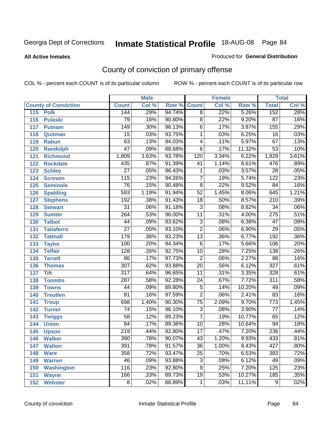**All Active Inmates**

#### Produced for **General Distribution**

# County of conviction of primary offense

|                             |                  | <b>Male</b> |        |                 | <b>Female</b> |        |                  | <b>Total</b> |
|-----------------------------|------------------|-------------|--------|-----------------|---------------|--------|------------------|--------------|
| <b>County of Conviction</b> | <b>Count</b>     | Col %       | Row %  | <b>Count</b>    | Col %         | Row %  | <b>Total</b>     | Col %        |
| 115<br><b>Polk</b>          | 144              | .29%        | 94.74% | $\overline{8}$  | .22%          | 5.26%  | 152              | .28%         |
| 116<br><b>Pulaski</b>       | 79               | .16%        | 90.80% | $\overline{8}$  | .22%          | 9.20%  | $\overline{87}$  | .16%         |
| 117<br><b>Putnam</b>        | $\overline{149}$ | .30%        | 96.13% | 6               | .17%          | 3.87%  | 155              | .29%         |
| 118<br>Quitman              | $\overline{15}$  | .03%        | 93.75% | 1               | .03%          | 6.25%  | $\overline{16}$  | .03%         |
| 119<br><b>Rabun</b>         | 63               | .13%        | 94.03% | 4               | .11%          | 5.97%  | 67               | .13%         |
| 120<br><b>Randolph</b>      | $\overline{47}$  | .09%        | 88.68% | $\overline{6}$  | .17%          | 11.32% | $\overline{53}$  | .10%         |
| 121<br><b>Richmond</b>      | 1,809            | 3.63%       | 93.78% | 120             | 3.34%         | 6.22%  | 1,929            | 3.61%        |
| 122<br><b>Rockdale</b>      | 435              | .87%        | 91.39% | 41              | 1.14%         | 8.61%  | 476              | .89%         |
| 123<br><b>Schley</b>        | $\overline{27}$  | .05%        | 96.43% | 1               | .03%          | 3.57%  | $\overline{28}$  | .05%         |
| 124<br><b>Screven</b>       | 115              | .23%        | 94.26% | $\overline{7}$  | .19%          | 5.74%  | 122              | .23%         |
| <b>Seminole</b><br>125      | 76               | .15%        | 90.48% | $\overline{8}$  | .22%          | 9.52%  | 84               | .16%         |
| 126<br><b>Spalding</b>      | 593              | 1.19%       | 91.94% | $\overline{52}$ | 1.45%         | 8.06%  | 645              | 1.21%        |
| 127<br><b>Stephens</b>      | 192              | .38%        | 91.43% | $\overline{18}$ | .50%          | 8.57%  | $\overline{210}$ | .39%         |
| 128<br><b>Stewart</b>       | $\overline{31}$  | .06%        | 91.18% | $\overline{3}$  | .08%          | 8.82%  | $\overline{34}$  | .06%         |
| 129<br><b>Sumter</b>        | 264              | .53%        | 96.00% | $\overline{11}$ | .31%          | 4.00%  | $\overline{275}$ | .51%         |
| <b>Talbot</b><br>130        | 44               | .09%        | 93.62% | 3               | .08%          | 6.38%  | $\overline{47}$  | .09%         |
| 131<br><b>Taliaferro</b>    | $\overline{27}$  | .05%        | 93.10% | $\overline{2}$  | .06%          | 6.90%  | $\overline{29}$  | .05%         |
| <b>Tattnall</b><br>132      | 179              | .36%        | 93.23% | $\overline{13}$ | .36%          | 6.77%  | 192              | .36%         |
| 133<br><b>Taylor</b>        | 100              | .20%        | 94.34% | $\overline{6}$  | .17%          | 5.66%  | 106              | .20%         |
| <b>Telfair</b><br>134       | 128              | .26%        | 92.75% | $\overline{10}$ | .28%          | 7.25%  | 138              | .26%         |
| 135<br><b>Terrell</b>       | 86               | .17%        | 97.73% | $\overline{2}$  | .06%          | 2.27%  | $\overline{88}$  | .16%         |
| 136<br><b>Thomas</b>        | $\overline{307}$ | .62%        | 93.88% | $\overline{20}$ | .56%          | 6.12%  | $\overline{327}$ | .61%         |
| 137<br><b>Tift</b>          | $\overline{317}$ | .64%        | 96.65% | $\overline{11}$ | .31%          | 3.35%  | 328              | .61%         |
| <b>Toombs</b><br>138        | 287              | .58%        | 92.28% | 24              | .67%          | 7.72%  | $\overline{311}$ | .58%         |
| 139<br><b>Towns</b>         | $\overline{44}$  | .09%        | 89.80% | $\overline{5}$  | .14%          | 10.20% | 49               | .09%         |
| <b>Treutlen</b><br>140      | $\overline{81}$  | .16%        | 97.59% | $\overline{2}$  | .06%          | 2.41%  | 83               | .16%         |
| 141<br><b>Troup</b>         | 698              | 1.40%       | 90.30% | $\overline{75}$ | 2.09%         | 9.70%  | $\overline{773}$ | 1.45%        |
| 142<br><b>Turner</b>        | 74               | .15%        | 96.10% | $\overline{3}$  | .08%          | 3.90%  | 77               | .14%         |
| 143<br><b>Twiggs</b>        | $\overline{58}$  | .12%        | 89.23% | $\overline{7}$  | .19%          | 10.77% | 65               | .12%         |
| 144<br><b>Union</b>         | 84               | .17%        | 89.36% | $\overline{10}$ | .28%          | 10.64% | 94               | .18%         |
| 145<br><b>Upson</b>         | $\overline{219}$ | .44%        | 92.80% | $\overline{17}$ | .47%          | 7.20%  | 236              | .44%         |
| 146<br><b>Walker</b>        | 390              | .78%        | 90.07% | 43              | 1.20%         | 9.93%  | 433              | .81%         |
| 147<br><b>Walton</b>        | 391              | .78%        | 91.57% | $\overline{36}$ | 1.00%         | 8.43%  | 427              | .80%         |
| 148<br><b>Ware</b>          | 358              | .72%        | 93.47% | 25              | .70%          | 6.53%  | 383              | .72%         |
| <b>Warren</b><br>149        | 46               | .09%        | 93.88% | 3               | .08%          | 6.12%  | 49               | .09%         |
| <b>Washington</b><br>150    | 116              | .23%        | 92.80% | 9               | .25%          | 7.20%  | 125              | .23%         |
| 151<br><b>Wayne</b>         | 166              | .33%        | 89.73% | 19              | .53%          | 10.27% | 185              | .35%         |
| <b>Webster</b><br>152       | 8                | .02%        | 88.89% | $\mathbf 1$     | .03%          | 11.11% | 9                | .02%         |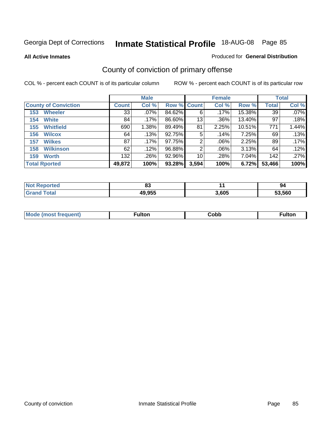**All Active Inmates**

### Produced for **General Distribution**

# County of conviction of primary offense

|                             |              | <b>Male</b> |             |       | <b>Female</b> |        |              | <b>Total</b> |
|-----------------------------|--------------|-------------|-------------|-------|---------------|--------|--------------|--------------|
| <b>County of Conviction</b> | <b>Count</b> | Col %       | Row % Count |       | Col %         | Row %  | <b>Total</b> | Col %        |
| <b>Wheeler</b><br>153       | 33           | $.07\%$     | 84.62%      | 6     | .17%          | 15.38% | 39           | $.07\%$      |
| <b>White</b><br>154         | 84           | .17%        | 86.60%      | 13    | .36%          | 13.40% | 97           | .18%         |
| <b>Whitfield</b><br>155     | 690          | 1.38%       | 89.49%      | 81    | 2.25%         | 10.51% | 771          | 1.44%        |
| <b>Wilcox</b><br>156        | 64           | .13%        | 92.75%      | 5     | .14%          | 7.25%  | 69           | .13%         |
| <b>Wilkes</b><br>157        | 87           | .17%        | 97.75%      | 2     | $.06\%$       | 2.25%  | 89           | .17%         |
| <b>Wilkinson</b><br>158     | 62           | .12%        | 96.88%      | 2     | $.06\%$       | 3.13%  | 64           | .12%         |
| <b>Worth</b><br>159         | 132          | .26%        | 92.96%      | 10    | .28%          | 7.04%  | 142          | .27%         |
| <b>Total Rported</b>        | 49,872       | 100%        | 93.28%      | 3,594 | 100%          | 6.72%  | 53,466       | 100%         |

| <b>eported</b> | 00<br>u |       | 94     |
|----------------|---------|-------|--------|
|                | 49,955  | 3,605 | 53.560 |

| Mc | ™ulton | Cobb |  |
|----|--------|------|--|
|    |        |      |  |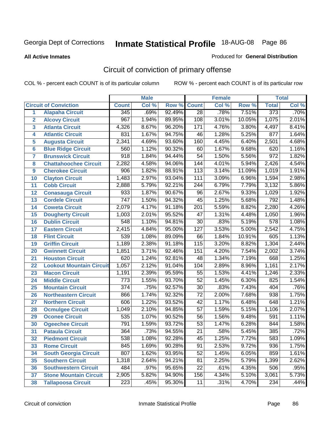#### **All Active Inmates**

#### Produced for **General Distribution**

# Circuit of conviction of primary offense

|                         |                                 |                  | <b>Male</b> |        |                  | <b>Female</b> |        |                  | <b>Total</b> |
|-------------------------|---------------------------------|------------------|-------------|--------|------------------|---------------|--------|------------------|--------------|
|                         | <b>Circuit of Conviction</b>    | <b>Count</b>     | Col %       | Row %  | <b>Count</b>     | Col %         | Row %  | <b>Total</b>     | Col %        |
| 1                       | <b>Alapaha Circuit</b>          | $\overline{345}$ | .69%        | 92.49% | $\overline{28}$  | .78%          | 7.51%  | 373              | .70%         |
| $\overline{2}$          | <b>Alcovy Circuit</b>           | $\overline{967}$ | 1.94%       | 89.95% | 108              | 3.01%         | 10.05% | 1,075            | 2.01%        |
| $\overline{\mathbf{3}}$ | <b>Atlanta Circuit</b>          | 4,326            | 8.67%       | 96.20% | 171              | 4.76%         | 3.80%  | 4,497            | 8.41%        |
| 4                       | <b>Atlantic Circuit</b>         | 831              | 1.67%       | 94.75% | 46               | 1.28%         | 5.25%  | 877              | 1.64%        |
| 5                       | <b>Augusta Circuit</b>          | 2,341            | 4.69%       | 93.60% | 160              | 4.45%         | 6.40%  | 2,501            | 4.68%        |
| $6\phantom{a}$          | <b>Blue Ridge Circuit</b>       | 560              | 1.12%       | 90.32% | 60               | 1.67%         | 9.68%  | 620              | 1.16%        |
| $\overline{\mathbf{7}}$ | <b>Brunswick Circuit</b>        | 918              | 1.84%       | 94.44% | $\overline{54}$  | 1.50%         | 5.56%  | $\overline{972}$ | 1.82%        |
| 8                       | <b>Chattahoochee Circuit</b>    | 2,282            | 4.58%       | 94.06% | $\overline{144}$ | 4.01%         | 5.94%  | 2,426            | 4.54%        |
| 9                       | <b>Cherokee Circuit</b>         | 906              | 1.82%       | 88.91% | 113              | 3.14%         | 11.09% | 1,019            | 1.91%        |
| 10                      | <b>Clayton Circuit</b>          | 1,483            | 2.97%       | 93.04% | 111              | 3.09%         | 6.96%  | 1,594            | 2.98%        |
| 11                      | <b>Cobb Circuit</b>             | 2,888            | 5.79%       | 92.21% | $\overline{244}$ | 6.79%         | 7.79%  | 3,132            | 5.86%        |
| 12                      | <b>Conasauga Circuit</b>        | 933              | 1.87%       | 90.67% | 96               | 2.67%         | 9.33%  | 1,029            | 1.92%        |
| 13                      | <b>Cordele Circuit</b>          | $\overline{747}$ | 1.50%       | 94.32% | $\overline{45}$  | 1.25%         | 5.68%  | 792              | 1.48%        |
| 14                      | <b>Coweta Circuit</b>           | 2,079            | 4.17%       | 91.18% | $\overline{201}$ | 5.59%         | 8.82%  | 2,280            | 4.26%        |
| 15                      | <b>Dougherty Circuit</b>        | 1,003            | 2.01%       | 95.52% | 47               | 1.31%         | 4.48%  | 1,050            | 1.96%        |
| 16                      | <b>Dublin Circuit</b>           | $\overline{548}$ | 1.10%       | 94.81% | $\overline{30}$  | .83%          | 5.19%  | $\overline{578}$ | 1.08%        |
| 17                      | <b>Eastern Circuit</b>          | 2,415            | 4.84%       | 95.00% | $\overline{127}$ | 3.53%         | 5.00%  | 2,542            | 4.75%        |
| 18                      | <b>Flint Circuit</b>            | 539              | 1.08%       | 89.09% | 66               | 1.84%         | 10.91% | 605              | 1.13%        |
| 19                      | <b>Griffin Circuit</b>          | 1,189            | 2.38%       | 91.18% | 115              | 3.20%         | 8.82%  | 1,304            | 2.44%        |
| 20                      | <b>Gwinnett Circuit</b>         | 1,851            | 3.71%       | 92.46% | 151              | 4.20%         | 7.54%  | 2,002            | 3.74%        |
| 21                      | <b>Houston Circuit</b>          | 620              | 1.24%       | 92.81% | 48               | 1.34%         | 7.19%  | 668              | 1.25%        |
| 22                      | <b>Lookout Mountain Circuit</b> | 1,057            | 2.12%       | 91.04% | 104              | 2.89%         | 8.96%  | 1,161            | 2.17%        |
| 23                      | <b>Macon Circuit</b>            | 1,191            | 2.39%       | 95.59% | $\overline{55}$  | 1.53%         | 4.41%  | 1,246            | 2.33%        |
| 24                      | <b>Middle Circuit</b>           | $\overline{773}$ | 1.55%       | 93.70% | $\overline{52}$  | 1.45%         | 6.30%  | 825              | 1.54%        |
| 25                      | <b>Mountain Circuit</b>         | $\overline{374}$ | .75%        | 92.57% | $\overline{30}$  | .83%          | 7.43%  | 404              | .76%         |
| 26                      | <b>Northeastern Circuit</b>     | 866              | 1.74%       | 92.32% | $\overline{72}$  | 2.00%         | 7.68%  | 938              | 1.75%        |
| 27                      | <b>Northern Circuit</b>         | 606              | 1.22%       | 93.52% | $\overline{42}$  | 1.17%         | 6.48%  | $\overline{648}$ | 1.21%        |
| 28                      | <b>Ocmulgee Circuit</b>         | 1,049            | 2.10%       | 94.85% | $\overline{57}$  | 1.59%         | 5.15%  | 1,106            | 2.07%        |
| 29                      | <b>Oconee Circuit</b>           | 535              | 1.07%       | 90.52% | 56               | 1.56%         | 9.48%  | 591              | 1.11%        |
| 30                      | <b>Ogeechee Circuit</b>         | 791              | 1.59%       | 93.72% | $\overline{53}$  | 1.47%         | 6.28%  | 844              | 1.58%        |
| $\overline{31}$         | <b>Pataula Circuit</b>          | 364              | .73%        | 94.55% | $\overline{21}$  | .58%          | 5.45%  | 385              | .72%         |
| 32                      | <b>Piedmont Circuit</b>         | 538              | 1.08%       | 92.28% | 45               | 1.25%         | 7.72%  | 583              | 1.09%        |
| 33                      | <b>Rome Circuit</b>             | 845              | 1.69%       | 90.28% | 91               | 2.53%         | 9.72%  | 936              | 1.75%        |
| 34                      | <b>South Georgia Circuit</b>    | 807              | 1.62%       | 93.95% | $\overline{52}$  | 1.45%         | 6.05%  | 859              | 1.61%        |
| 35                      | <b>Southern Circuit</b>         | 1,318            | 2.64%       | 94.21% | 81               | 2.25%         | 5.79%  | 1,399            | 2.62%        |
| 36                      | <b>Southwestern Circuit</b>     | 484              | .97%        | 95.65% | 22               | .61%          | 4.35%  | 506              | .95%         |
| 37                      | <b>Stone Mountain Circuit</b>   | 2,905            | 5.82%       | 94.90% | 156              | 4.34%         | 5.10%  | 3,061            | 5.73%        |
| 38                      | <b>Tallapoosa Circuit</b>       | $\overline{223}$ | .45%        | 95.30% | 11               | .31%          | 4.70%  | 234              | .44%         |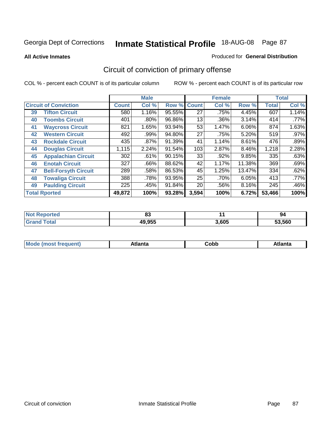**All Active Inmates**

#### Produced for **General Distribution**

# Circuit of conviction of primary offense

|    |                              |              | <b>Male</b> |        |              | <b>Female</b> |          |              | <b>Total</b> |
|----|------------------------------|--------------|-------------|--------|--------------|---------------|----------|--------------|--------------|
|    | <b>Circuit of Conviction</b> | <b>Count</b> | Col %       | Row %  | <b>Count</b> | Col %         | Row %    | <b>Total</b> | Col %        |
| 39 | <b>Tifton Circuit</b>        | 580          | 1.16%       | 95.55% | 27           | .75%          | 4.45%    | 607          | 1.14%        |
| 40 | <b>Toombs Circuit</b>        | 401          | .80%        | 96.86% | 13           | .36%          | 3.14%    | 414          | .77%         |
| 41 | <b>Waycross Circuit</b>      | 821          | 1.65%       | 93.94% | 53           | 1.47%         | 6.06%    | 874          | 1.63%        |
| 42 | <b>Western Circuit</b>       | 492          | $.99\%$     | 94.80% | 27           | .75%          | 5.20%    | 519          | $.97\%$      |
| 43 | <b>Rockdale Circuit</b>      | 435          | .87%        | 91.39% | 41           | 1.14%         | 8.61%    | 476          | .89%         |
| 44 | <b>Douglas Circuit</b>       | 1,115        | 2.24%       | 91.54% | 103          | 2.87%         | $8.46\%$ | 1,218        | 2.28%        |
| 45 | <b>Appalachian Circuit</b>   | 302          | .61%        | 90.15% | 33           | .92%          | 9.85%    | 335          | .63%         |
| 46 | <b>Enotah Circuit</b>        | 327          | .66%        | 88.62% | 42           | 1.17%         | 11.38%   | 369          | .69%         |
| 47 | <b>Bell-Forsyth Circuit</b>  | 289          | .58%        | 86.53% | 45           | 1.25%         | 13.47%   | 334          | .62%         |
| 48 | <b>Towaliga Circuit</b>      | 388          | .78%        | 93.95% | 25           | .70%          | 6.05%    | 413          | .77%         |
| 49 | <b>Paulding Circuit</b>      | 225          | .45%        | 91.84% | 20           | .56%          | 8.16%    | 245          | .46%         |
|    | <b>Total Rported</b>         | 49,872       | 100%        | 93.28% | 3,594        | 100%          | 6.72%    | 53,466       | 100%         |

| тет | n.<br>ບບ |       | 94     |
|-----|----------|-------|--------|
|     | 49,955   | 3.605 | 53.560 |

| <b>M</b> ດ<br>.<br>. | $+1$ ant $\cdot$<br>ιαπιω<br>. <i>. .</i> | ∶obb<br>- - - - - | 'anta |
|----------------------|-------------------------------------------|-------------------|-------|
|----------------------|-------------------------------------------|-------------------|-------|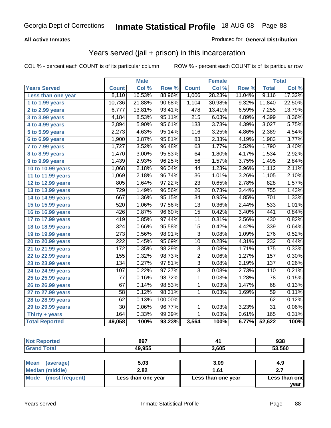### **All Active Inmates**

### Produced for **General Distribution**

## Years served (jail + prison) in this incarceration

|                              |                  | <b>Male</b> |         |                  | <b>Female</b> |        |                  | <b>Total</b> |
|------------------------------|------------------|-------------|---------|------------------|---------------|--------|------------------|--------------|
| <b>Years Served</b>          | <b>Count</b>     | Col %       | Row %   | <b>Count</b>     | Col %         | Row %  | <b>Total</b>     | Col %        |
| Less than one year           | 8,110            | 16.53%      | 88.96%  | 1,006            | 28.23%        | 11.04% | 9,116            | 17.32%       |
| 1 to 1.99 years              | 10,736           | 21.88%      | 90.68%  | 1,104            | 30.98%        | 9.32%  | 11,840           | 22.50%       |
| 2 to 2.99 years              | 6,777            | 13.81%      | 93.41%  | 478              | 13.41%        | 6.59%  | 7,255            | 13.79%       |
| 3 to 3.99 years              | 4,184            | 8.53%       | 95.11%  | $\overline{215}$ | 6.03%         | 4.89%  | 4,399            | 8.36%        |
| 4 to 4.99 years              | 2,894            | 5.90%       | 95.61%  | 133              | 3.73%         | 4.39%  | 3,027            | 5.75%        |
| 5 to 5.99 years              | 2,273            | 4.63%       | 95.14%  | 116              | 3.25%         | 4.86%  | 2,389            | 4.54%        |
| 6 to 6.99 years              | 1,900            | 3.87%       | 95.81%  | 83               | 2.33%         | 4.19%  | 1,983            | 3.77%        |
| $\overline{7}$ to 7.99 years | 1,727            | 3.52%       | 96.48%  | 63               | 1.77%         | 3.52%  | 1,790            | 3.40%        |
| 8 to 8.99 years              | 1,470            | 3.00%       | 95.83%  | 64               | 1.80%         | 4.17%  | 1,534            | 2.92%        |
| 9 to 9.99 years              | 1,439            | 2.93%       | 96.25%  | $\overline{56}$  | 1.57%         | 3.75%  | 1,495            | 2.84%        |
| 10 to 10.99 years            | 1,068            | 2.18%       | 96.04%  | 44               | 1.23%         | 3.96%  | 1,112            | 2.11%        |
| 11 to 11.99 years            | 1,069            | 2.18%       | 96.74%  | $\overline{36}$  | 1.01%         | 3.26%  | 1,105            | 2.10%        |
| 12 to 12.99 years            | 805              | 1.64%       | 97.22%  | $\overline{23}$  | 0.65%         | 2.78%  | 828              | 1.57%        |
| 13 to 13.99 years            | 729              | 1.49%       | 96.56%  | $\overline{26}$  | 0.73%         | 3.44%  | 755              | 1.43%        |
| 14 to 14.99 years            | 667              | 1.36%       | 95.15%  | $\overline{34}$  | 0.95%         | 4.85%  | 701              | 1.33%        |
| 15 to 15.99 years            | 520              | 1.06%       | 97.56%  | 13               | 0.36%         | 2.44%  | 533              | 1.01%        |
| 16 to 16.99 years            | 426              | 0.87%       | 96.60%  | $\overline{15}$  | 0.42%         | 3.40%  | 441              | 0.84%        |
| 17 to 17.99 years            | 419              | 0.85%       | 97.44%  | $\overline{11}$  | 0.31%         | 2.56%  | 430              | 0.82%        |
| 18 to 18.99 years            | 324              | 0.66%       | 95.58%  | $\overline{15}$  | 0.42%         | 4.42%  | 339              | 0.64%        |
| 19 to 19.99 years            | $\overline{273}$ | 0.56%       | 98.91%  | $\overline{3}$   | 0.08%         | 1.09%  | $\overline{276}$ | 0.52%        |
| 20 to 20.99 years            | $\overline{222}$ | 0.45%       | 95.69%  | $\overline{10}$  | 0.28%         | 4.31%  | 232              | 0.44%        |
| 21 to 21.99 years            | $\overline{172}$ | 0.35%       | 98.29%  | $\overline{3}$   | 0.08%         | 1.71%  | 175              | 0.33%        |
| 22 to 22.99 years            | 155              | 0.32%       | 98.73%  | $\overline{2}$   | 0.06%         | 1.27%  | 157              | 0.30%        |
| 23 to 23.99 years            | 134              | 0.27%       | 97.81%  | $\overline{3}$   | 0.08%         | 2.19%  | 137              | 0.26%        |
| 24 to 24.99 years            | 107              | 0.22%       | 97.27%  | $\overline{3}$   | 0.08%         | 2.73%  | 110              | 0.21%        |
| 25 to 25.99 years            | 77               | 0.16%       | 98.72%  | $\mathbf{1}$     | 0.03%         | 1.28%  | 78               | 0.15%        |
| 26 to 26.99 years            | $\overline{67}$  | 0.14%       | 98.53%  | 1                | 0.03%         | 1.47%  | 68               | 0.13%        |
| 27 to 27.99 years            | 58               | 0.12%       | 98.31%  | $\mathbf{1}$     | 0.03%         | 1.69%  | 59               | 0.11%        |
| 28 to 28.99 years            | 62               | 0.13%       | 100.00% |                  |               |        | 62               | 0.12%        |
| 29 to 29.99 years            | $\overline{30}$  | 0.06%       | 96.77%  | $\mathbf{1}$     | 0.03%         | 3.23%  | $\overline{31}$  | 0.06%        |
| Thirty + years               | 164              | 0.33%       | 99.39%  | $\overline{1}$   | 0.03%         | 0.61%  | 165              | 0.31%        |
| <b>Total Reported</b>        | 49,058           | 100%        | 93.23%  | 3,564            | 100%          | 6.77%  | 52,622           | 100%         |

| <b>ortea</b><br>NO) | 897    |       | 938    |
|---------------------|--------|-------|--------|
| <b>otal</b>         | 49,955 | 3,605 | 53.560 |

| <b>Mean</b><br>(average) | 5.03               | 3.09               | 4.9           |
|--------------------------|--------------------|--------------------|---------------|
| Median (middle)          | 2.82               | 1.61               |               |
| Mode<br>(most frequent)  | Less than one year | Less than one year | Less than one |
|                          |                    |                    | vear          |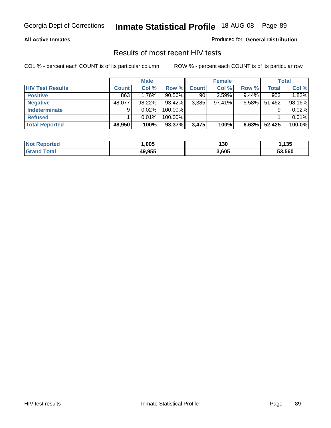#### **All Active Inmates**

Produced for **General Distribution**

### Results of most recent HIV tests

|                         |              | <b>Male</b> |           |              | <b>Female</b> |          |              | <b>Total</b> |
|-------------------------|--------------|-------------|-----------|--------------|---------------|----------|--------------|--------------|
| <b>HIV Test Results</b> | <b>Count</b> | Col %       | Row %     | <b>Count</b> | Col %         | Row %    | <b>Total</b> | Col %        |
| <b>Positive</b>         | 863          | 1.76%       | $90.56\%$ | 90           | 2.59%         | $9.44\%$ | 953          | 1.82%        |
| <b>Negative</b>         | 48,077       | 98.22%      | 93.42%    | 3,385        | $97.41\%$     | $6.58\%$ | 51,462       | 98.16%       |
| Indeterminate           | 9            | 0.02%       | 100.00%   |              |               |          |              | 0.02%        |
| <b>Refused</b>          |              | 0.01%       | 100.00%   |              |               |          |              | 0.01%        |
| <b>Total Reported</b>   | 48,950       | 100%        | 93.37%    | 3.475        | 100%          | 6.63%    | 52,425       | 100.0%       |

| <b>Not</b><br>Reported | .005   | 130   | , 135  |
|------------------------|--------|-------|--------|
| <b>Grand</b><br>⊺otal  | 49,955 | 3,605 | 53,560 |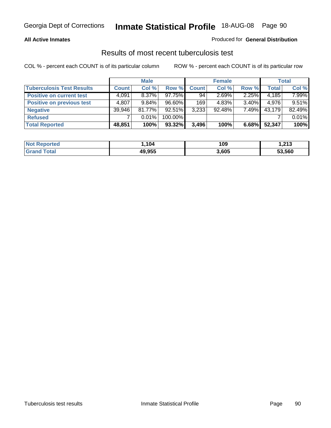### **All Active Inmates**

### Produced for **General Distribution**

### Results of most recent tuberculosis test

|                                  |              | <b>Male</b> |           |              | <b>Female</b> |          |              | Total  |
|----------------------------------|--------------|-------------|-----------|--------------|---------------|----------|--------------|--------|
| <b>Tuberculosis Test Results</b> | <b>Count</b> | Col %       | Row %     | <b>Count</b> | Col %         | Row %    | <b>Total</b> | Col %  |
| <b>Positive on current test</b>  | 4,091        | $8.37\%$    | $97.75\%$ | 94           | 2.69%         | $2.25\%$ | 4,185        | 7.99%  |
| <b>Positive on previous test</b> | 4,807        | $9.84\%$    | 96.60%    | 169          | 4.83%         | $3.40\%$ | 4,976        | 9.51%  |
| <b>Negative</b>                  | 39,946       | $81.77\%$   | 92.51%    | 3,233        | $92.48\%$     | 7.49%    | 43,179       | 82.49% |
| <b>Refused</b>                   |              | $0.01\%$    | 100.00%   |              |               |          |              | 0.01%  |
| <b>Total Reported</b>            | 48,851       | 100%        | 93.32%    | 3,496        | 100%          | 6.68%    | 52,347       | 100%   |

| <b>Not Reported</b>   | .104   | 109   | 213. ا |
|-----------------------|--------|-------|--------|
| Гоtal<br><b>Grand</b> | 49,955 | 3,605 | 53,560 |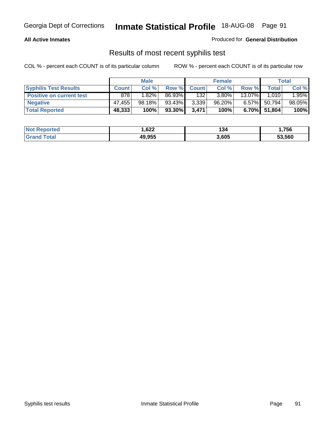### **All Active Inmates**

Produced for **General Distribution**

### Results of most recent syphilis test

|                                 |              | <b>Male</b>         |         |              | <b>Female</b> |           |              | Total  |
|---------------------------------|--------------|---------------------|---------|--------------|---------------|-----------|--------------|--------|
| <b>Syphilis Test Results</b>    | <b>Count</b> | Col %               | Row %   | <b>Count</b> | Col %         | Row %     | Total        | Col %  |
| <b>Positive on current test</b> | 878          | $1.\overline{82\%}$ | 86.93%  | 132          | $3.80\%$      | $13.07\%$ | 1.010        | 1.95%  |
| <b>Negative</b>                 | 47.455       | 98.18%              | 93.43%  | 3,339        | $96.20\%$     | $6.57\%$  | 50,794       | 98.05% |
| <b>Total Reported</b>           | 48,333       | 100%                | 93.30%I | 3,471        | 100%          |           | 6.70% 51,804 | 100%   |

| <b>Not Reported</b> | 622. ا | 134   | 1,756  |
|---------------------|--------|-------|--------|
| <b>Grand Total</b>  | 49,955 | 3,605 | 53,560 |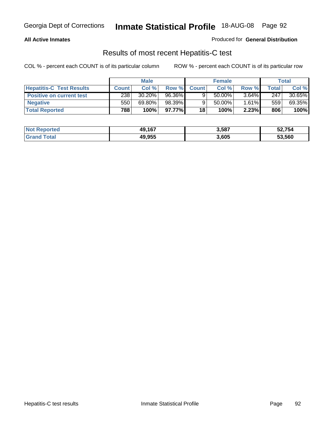### **All Active Inmates**

Produced for **General Distribution**

### Results of most recent Hepatitis-C test

|                                 |              | <b>Male</b> |         |              | <b>Female</b> |          |             | Total  |
|---------------------------------|--------------|-------------|---------|--------------|---------------|----------|-------------|--------|
| <b>Hepatitis-C Test Results</b> | <b>Count</b> | Col %       | Row %I  | <b>Count</b> | Col %         | Row %    | $\tau$ otal | Col %  |
| <b>Positive on current test</b> | 238          | $30.20\%$   | 96.36%  |              | $50.00\%$     | $3.64\%$ | 247         | 30.65% |
| <b>Negative</b>                 | 550          | 69.80%      | 98.39%  |              | 50.00%        | $1.61\%$ | 559         | 69.35% |
| <b>Total Reported</b>           | 788          | 100%        | 97.77%I | 18           | 100%          | 2.23%    | 806         | 100%   |

| <b>Not Reported</b> | 49,167 | 3,587 | 52,754 |
|---------------------|--------|-------|--------|
| <b>Grand Total</b>  | 49,955 | 3,605 | 53,560 |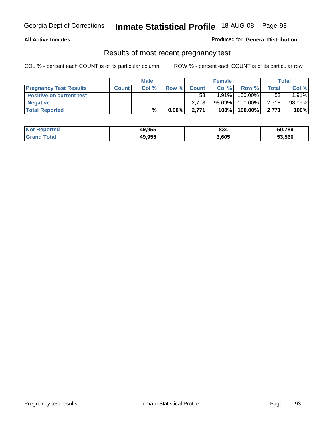### **All Active Inmates**

### Produced for **General Distribution**

### Results of most recent pregnancy test

|                                 |              | <b>Male</b> |          |              | <b>Female</b> |         |              | <b>Total</b> |
|---------------------------------|--------------|-------------|----------|--------------|---------------|---------|--------------|--------------|
| <b>Pregnancy Test Results</b>   | <b>Count</b> | Col%        | Row %    | <b>Count</b> | Col %         | Row %   | <b>Total</b> | Col %        |
| <b>Positive on current test</b> |              |             |          | 53           | 1.91%         | 100.00% | 53           | 1.91%        |
| <b>Negative</b>                 |              |             |          | 2.718        | 98.09%        | 100.00% | 2,718        | 98.09%       |
| <b>Total Reported</b>           |              | %           | $0.00\%$ | 2.771        | 100%          | 100.00% | 2.771        | 100%         |

| <b>Not Reported</b> | 49,955 | 834   | 50,789 |
|---------------------|--------|-------|--------|
| <b>Grand Total</b>  | 49,955 | 3,605 | 53,560 |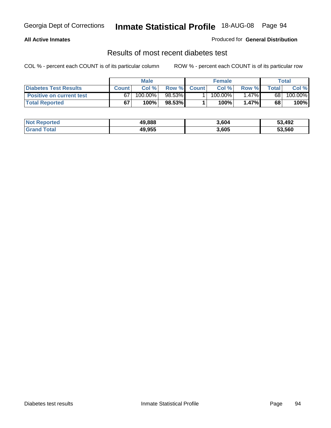### **All Active Inmates**

### Produced for **General Distribution**

### Results of most recent diabetes test

|                                 | <b>Male</b>  |         |        | <b>Female</b> |            |          | Total |         |
|---------------------------------|--------------|---------|--------|---------------|------------|----------|-------|---------|
| <b>Diabetes Test Results</b>    | <b>Count</b> | Col %   | Row %  | <b>Count</b>  | Col %      | Row %I   | Total | Col %   |
| <b>Positive on current test</b> | 67           | 100.00% | 98.53% |               | $100.00\%$ | $1.47\%$ | 68    | 100.00% |
| <b>Total Reported</b>           | 67           | 100%    | 98.53% |               | 100%       | 1.47%    | 68    | 100%    |

| <b>Not Reported</b> | 49.888 | 3.604 | 53,492 |
|---------------------|--------|-------|--------|
| Total<br>' Granc    | 49.955 | 3,605 | 53,560 |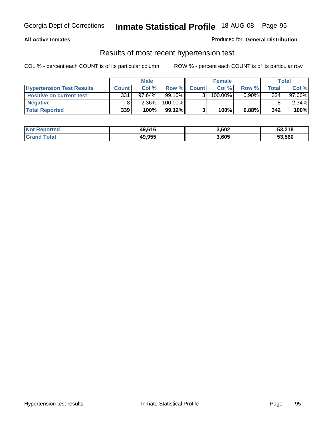### **All Active Inmates**

### Produced for **General Distribution**

### Results of most recent hypertension test

|                                  | <b>Male</b>  |           |           | <b>Female</b> |         |          | Total |           |
|----------------------------------|--------------|-----------|-----------|---------------|---------|----------|-------|-----------|
| <b>Hypertension Test Results</b> | <b>Count</b> | Col %     | Row %     | <b>Count</b>  | Col%    | Row %    | Total | Col %     |
| <b>Positive on current test</b>  | 331          | $97.64\%$ | 99.10%    |               | 100.00% | $0.90\%$ | 334   | $97.66\%$ |
| <b>Negative</b>                  |              | 2.36%     | 100.00%   |               |         |          |       | $2.34\%$  |
| <b>Total Reported</b>            | 339          | 100%      | $99.12\%$ |               | 100%    | 0.88%    | 342   | 100%      |

| <b>Not Reported</b> | 49,616 | 3,602 | 53,218 |
|---------------------|--------|-------|--------|
| <b>Grand Total</b>  | 49,955 | 3,605 | 53,560 |